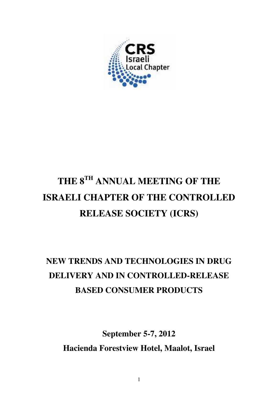

# **THE 8TH ANNUAL MEETING OF THE ISRAELI CHAPTER OF THE CONTROLLED RELEASE SOCIETY (ICRS)**

# **NEW TRENDS AND TECHNOLOGIES IN DRUG DELIVERY AND IN CONTROLLED-RELEASE BASED CONSUMER PRODUCTS**

**September 5-7, 2012 Hacienda Forestview Hotel, Maalot, Israel**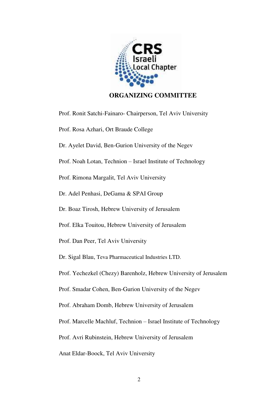

# **ORGANIZING COMMITTEE**

Prof. Ronit Satchi-Fainaro- Chairperson, Tel Aviv University Prof. Rosa Azhari, Ort Braude College Dr. Ayelet David, Ben-Gurion University of the Negev Prof. Noah Lotan, Technion – Israel Institute of Technology Prof. Rimona Margalit, Tel Aviv University Dr. Adel Penhasi, DeGama & SPAI Group Dr. Boaz Tirosh, Hebrew University of Jerusalem Prof. Elka Touitou, Hebrew University of Jerusalem Prof. Dan Peer, Tel Aviv University Dr. Sigal Blau, Teva Pharmaceutical Industries LTD. Prof. Yechezkel (Chezy) Barenholz, Hebrew University of Jerusalem Prof. Smadar Cohen, Ben-Gurion University of the Negev Prof. Abraham Domb, Hebrew University of Jerusalem Prof. Marcelle Machluf, Technion – Israel Institute of Technology Prof. Avri Rubinstein, Hebrew University of Jerusalem Anat Eldar-Boock, Tel Aviv University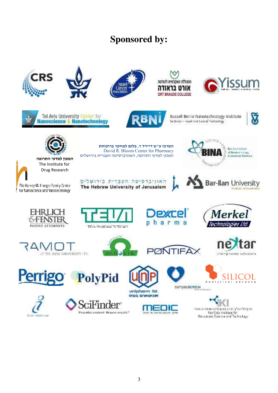# **Sponsored by:**











<sup>16</sup> Barikelreitung O of Newcomplexa **K-November Platerne** 

**Tradition of Escation** 





**המרכז ע"ש דייויד ר. בלום למחקר ברוקחות** David R. Bloom Center for Pharmacy

Russell Berne Nanotechnology Institute Technicir - Israel Institute of Technology





**המכון למדעי התרופה** המכון למדעי התרופה, האוניברסיטה העברית בירושלים The Institute for Drug ResearchThe Harvey M. Krueger Family Center

1 for Nanoscience and Nanotechnology





**SOFFICE** 



















рапувывотесн







Perri



**PolyPid** 





creases the crease incursor and numerical hse Katz institute for Nanciscale Science and Technology

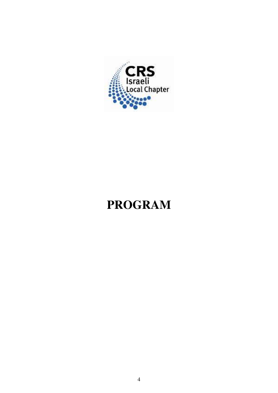

# **PROGRAM**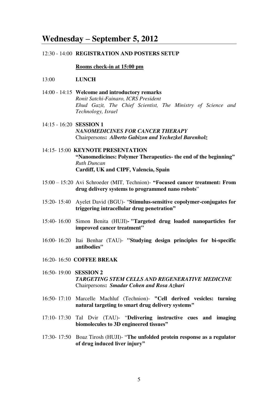# **Wednesday – September 5, 2012**

### 12:30 - 14:00 **REGISTRATION AND POSTERS SETUP**

#### **Rooms check-in at 15:00 pm**

- 13:00 **LUNCH**
- 14:00 14:15 **Welcome and introductory remarks**  *Ronit Satchi-Fainaro, ICRS President Ehud Gazit, The Chief Scientist, The Ministry of Science and Technology, Israel*
- 14:15 16:20 **SESSION 1** *NANOMEDICINES FOR CANCER THERAPY*  Chairpersons**:** *Alberto Gabizon and Yechezkel Barenholz*
- 14:15- 15:00 **KEYNOTE PRESENTATION "Nanomedicines: Polymer Therapeutics- the end of the beginning"** *Ruth Duncan*  **Cardiff, UK and CIPF, Valencia, Spain**
- 15:00 15:20 Avi Schroeder (MIT, Technion)- **"Focused cancer treatment: From drug delivery systems to programmed nano robots**"
- 15:20- 15:40 Ayelet David (BGU)- "**Stimulus-sensitive copolymer-conjugates for triggering intracellular drug penetration"**
- 15:40- 16:00 Simon Benita (HUJI)**- "Targeted drug loaded nanoparticles for improved cancer treatment"**
- 16:00- 16:20 Itai Benhar (TAU)- **"Studying design principles for bi-specific antibodies"**
- 16:20- 16:50 **COFFEE BREAK**
- 16:50- 19:00 **SESSION 2** *TARGETING STEM CELLS AND REGENERATIVE MEDICINE*  Chairpersons**:** *Smadar Cohen and Rosa Azhari*
- 16:50- 17:10 Marcelle Machluf (Technion)- **"Cell derived vesicles: turning natural targeting to smart drug delivery systems"**
- 17:10- 17:30 Tal Dvir (TAU)- "**Delivering instructive cues and imaging biomolecules to 3D engineered tissues"**
- 17:30- 17:50 Boaz Tirosh (HUJI)- "**The unfolded protein response as a regulator of drug induced liver injury"**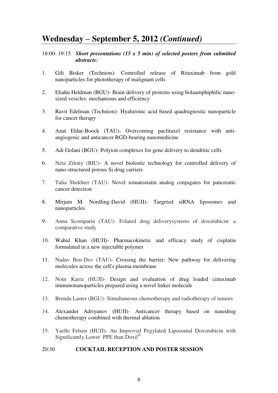# **Wednesday – September 5, 2012** *(Continued)*

# 18:00- 19:15 *Short presentations (15 x 5 min) of selected posters from submitted abstracts:*

- 1. Gili Bisker (Technion)- Controlled release of Rituximab from gold nanoparticles for phototherapy of malignant cells
- 2. Eliahu Heldman (BGU)- Brain delivery of proteins using bolaamphiphilic nanosized vesicles: mechanisms and efficiency
- 3. Ravit Edelman (Technion)- Hyaluronic acid based quadrugnostic nanoparticle for cancer therapy
- 4. Anat Eldar-Boock (TAU)- Overcoming paclitaxel resistance with antiangiogenic and anticancer RGD-bearing nanomedicine
- 5. Adi Golani (BGU)- Polyion complexes for gene delivery to dendritic cells
- 6. Neta Zilony (BIU)- A novel biolostic technology for controlled delivery of nano-structured porous Si drug carriers
- 7. Talia Shekhter (TAU)- Novel somatostatin analog conjugates for pancreatic cancer detection
- 8. Mirjam M. Nordling-David (HUJI)- Targeted siRNA liposomes and nanoparticles
- 9. Anna Scomparin (TAU)- Folated drug deliverysystems of doxorubicin: a comparative study
- 10. Wahid Khan (HUJI)- Pharmacokinetic and efficacy study of cisplatin formulated in a new injectable polymer
- 11. Nadav Ben-Dov (TAU)- Crossing the barrier: New pathway for delivering molecules across the cell's plasma membrane
- 12. Nour Karra (HUJI)- Design and evaluation of drug loaded cetuximab immunonanoparticles prepared using a novel linker molecule
- 13. Brenda Laster (BGU)- Simultaneous chemotherapy and radiotherapy of tumors
- 14. Alexander Adriyanov (HUJI)- Anticancer therapy based on nanodrug chemotherapy combined with thermal ablation
- 15. Yaelle Felsen (HUJI)- An Improved Pegylated Liposomal Doxorubicin with Significantly Lower PPE than  $\overline{Doxil}^{\circledR}$

## 20:30**COCKTAIL RECEPTION AND POSTER SESSION**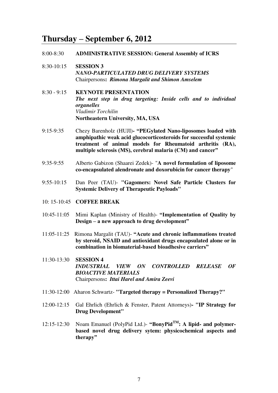# **Thursday – September 6, 2012**

#### 8:00-8:30 **ADMINISTRATIVE SESSION: General Assembly of ICRS**

8:30-10:15 **SESSION 3**  *NANO-PARTICULATED DRUG DELIVERY SYSTEMS*  Chairpersons**:** *Rimona Margalit and Shimon Amselem* 

8:30 - 9:15 **KEYNOTE PRESENTATION**  *The next step in drug targeting: Inside cells and to individual organelles Vladimir Torchilin*  **Northeastern University, MA, USA** 

- 9:15-9:35 Chezy Barenholz (HUJI) **"PEGylated Nano-liposomes loaded with amphipathic weak acid glucocorticosteroids for successful systemic treatment of animal models for Rheumatoid arthritis (RA), multiple sclerosis (MS), cerebral malaria (CM) and cancer"**
- 9:35-9:55 Alberto Gabizon (Shaarei Zedek)- "**A novel formulation of liposome co-encapsulated alendronate and doxorubicin for cancer therapy**"
- 9:55-10:15 Dan Peer (TAU)- **"Gagomers: Novel Safe Particle Clusters for Systemic Delivery of Therapeutic Payloads"**
- 10: 15-10:45 **COFFEE BREAK**
- 10:45-11:05 Mimi Kaplan (Ministry of Health)- **"Implementation of Quality by Design – a new approach to drug development"**
- 11:05-11:25 Rimona Margalit (TAU)- **"Acute and chronic inflammations treated by steroid, NSAID and antioxidant drugs encapsulated alone or in combination in biomaterial-based bioadhesive carriers"**
- 11:30-13:30 **SESSION 4** *INDUSTRIAL VIEW ON CONTROLLED RELEASE OF BIOACTIVE MATERIALS*  Chairpersons**:** *Ittai Harel and Amira Zeevi*
- 11:30-12:00Aharon Schwartz- **"Targeted therapy = Personalized Therapy?"**
- 12:00-12:15 Gal Ehrlich (Ehrlich & Fenster, Patent Attorneys)**- "IP Strategy for Drug Development"**
- 12:15-12:30 Noam Emanuel (PolyPid Ltd.)- **"BonyPidTM: A lipid- and polymerbased novel drug delivery sytem: physicochemical aspects and therapy"**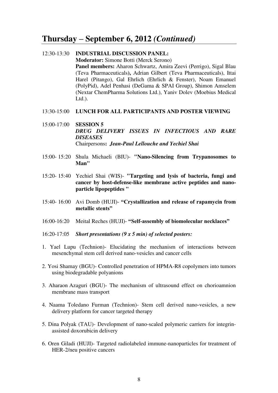# **Thursday – September 6, 2012** *(Continued)*

# 12:30-13:30 **INDUSTRIAL DISCUSSION PANEL: Moderator:** Simone Botti (Merck Serono) **Panel members:** Aharon Schwartz, Amira Zeevi (Perrigo), Sigal Blau (Teva Pharmaceuticals**),** Adrian Gilbert (Teva Pharmaceuticals), Ittai Harel (Pitango), Gal Ehrlich (Ehrlich & Fenster), Noam Emanuel (PolyPid), Adel Penhasi (DeGama & SPAI Group), Shimon Amselem (Nextar ChemPharma Solutions Ltd.), Yaniv Dolev (Moebius Medical  $Ltd.$ ).

### 13:30-15:00 **LUNCH FOR ALL PARTICIPANTS AND POSTER VIEWING**

- 15:00-17:00 **SESSION 5** *DRUG DELIVERY ISSUES IN INFECTIOUS AND RARE DISEASES*  Chairpersons**:** *Jean-Paul Lellouche and Yechiel Shai*
- 15:00- 15:20 Shula Michaeli (BIU)- **"Nano-Silencing from Trypanosomes to Man"**
- 15:20- 15:40 Yechiel Shai (WIS)- **"Targeting and lysis of bacteria, fungi and cancer by host-defense-like membrane active peptides and nanoparticle lipopeptides "**
- 15:40- 16:00 Avi Domb (HUJI)- **"Crystallization and release of rapamycin from metallic stents"**
- 16:00-16:20 Meital Reches (HUJI)- **"Self-assembly of biomolecular necklaces"**
- 16:20-17:05 *Short presentations (9 x 5 min) of selected posters:*
- 1. Yael Lupu (Technion)- Elucidating the mechanism of interactions between mesenchymal stem cell derived nano-vesicles and cancer cells
- 2. Yosi Shamay (BGU)- Controlled penetration of HPMA-R8 copolymers into tumors using biodegradable polyanions
- 3. Aharaon Azaguri (BGU)- The mechanism of ultrasound effect on chorioamnion membrane mass transport
- 4. Naama Toledano Furman (Technion)- Stem cell derived nano-vesicles, a new delivery platform for cancer targeted therapy
- 5. Dina Polyak (TAU)- Development of nano-scaled polymeric carriers for integrinassisted doxorubicin delivery
- 6. Oren Giladi (HUJI)- Targeted radiolabeled immune-nanoparticles for treatment of HER-2/neu positive cancers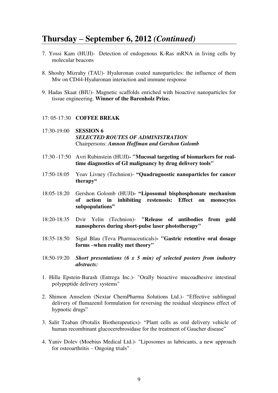# **Thursday – September 6, 2012** *(Continued)*

- 7. Yossi Kam (HUJI)- Detection of endogenous K-Ras mRNA in living cells by molecular beacons
- 8. Shoshy Mizrahy (TAU)- Hyaluronan coated nanoparticles: the influence of them Mw on CD44-Hyaluronan interaction and immune response
- 9. Hadas Skaat (BIU)- Magnetic scaffolds enriched with bioactive nanoparticles for tissue engineering. **Winner of the Barenholz Prize.**

#### 17: 05-17:30 **COFFEE BREAK**

- 17:30-19:00 **SESSION 6**  *SELECTED ROUTES OF ADMINISTRATION*  Chairpersons: *Amnon Hoffman and Gershon Golomb*
- 17:30 -17:50 Avri Rubinstein (HUJI) **"Mucosal targeting of biomarkers for realtime diagnostics of GI malignancy by drug delivery tools"**
- 17:50-18:05 Yoav Livney (Technion)- **"Quadrugnostic nanoparticles for cancer therapy"**
- 18:05-18:20 Gershon Golomb (HUJI**)- "Liposomal bisphosphonate mechanism of action in inhibiting restenosis: Effect on monocytes subpopulations"**
- 18:20-18:35 Dvir Yelin (Technion)- **"Release of antibodies from gold nanospheres during short-pulse laser phototherapy"**
- 18:35-18:50 Sigal Blau (Teva Pharmaceuticals) **"Gastric retentive oral dosage forms –when reality met theory"**
- 18:50-19:20 *Short presentations (6 x 5 min) of selected posters from industry abstracts:*
- 1. Hilla Epstein-Barash (Entrega Inc.)- "Orally bioactive mucoadhesive intestinal polypeptide delivery systems"
- 2. Shimon Amselem (Nextar ChemPharma Solutions Ltd.)- "Effective sublingual delivery of flumazenil formulation for reversing the residual sleepiness effect of hypnotic drugs"
- 3. Salit Tzaban (Protalix Biotherapeutics)- "Plant cells as oral delivery vehicle of human recombinant glucocerebrosidase for the treatment of Gaucher disease"
- 4. Yaniv Dolev (Moebius Medical Ltd.)- "Liposomes as lubricants, a new approach for osteoarthritis – Ongoing trials"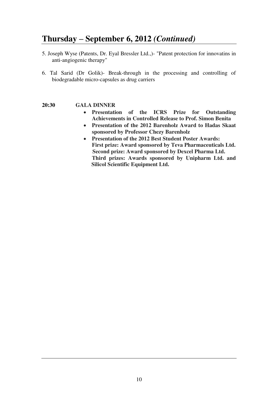# **Thursday – September 6, 2012** *(Continued)*

- 5. Joseph Wyse (Patents, Dr. Eyal Bressler Ltd.,)- "Patent protection for innovatins in anti-angiogenic therapy"
- 6. Tal Sarid (Dr Golik)- Break-through in the processing and controlling of biodegradable micro-capsules as drug carriers

- **20:30****GALA DINNER**
	- **Presentation of the ICRS Prize for Outstanding Achievements in Controlled Release to Prof. Simon Benita**
	- **Presentation of the 2012 Barenholz Award to Hadas Skaat sponsored by Professor Chezy Barenholz**
	- **Presentation of the 2012 Best Student Poster Awards: First prize: Award sponsored by Teva Pharmaceuticals Ltd. Second prize: Award sponsored by Dexcel Pharma Ltd. Third prizes: Awards sponsored by Unipharm Ltd. and Silicol Scientific Equipment Ltd.**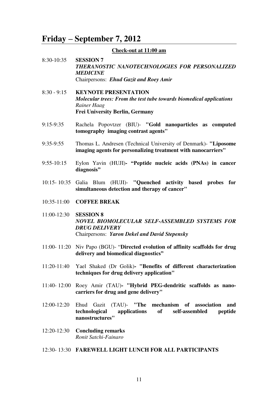# **Friday – September 7, 2012**

# **Check-out at 11:00 am**

- 8:30-10:35 **SESSION 7**  *THERANOSTIC NANOTECHNOLOGIES FOR PERSONALIZED MEDICINE*  Chairpersons:*Ehud Gazit and Roey Amir*
- 8:30 9:15 **KEYNOTE PRESENTATION**  *Molecular trees: From the test tube towards biomedical applications Rainer Haag*  **Frei University Berlin, Germany**
- 9:15-9:35 Rachela Popovtzer (BIU)- **"Gold nanoparticles as computed tomography imaging contrast agents"**
- 9:35-9:55 Thomas L. Andresen (Technical University of Denmark)- **"Liposome imaging agents for personalizing treatment with nanocarriers"**
- 9:55-10:15 Eylon Yavin (HUJI) **"Peptide nucleic acids (PNAs) in cancer diagnosis"**
- 10:15- 10:35 Galia Blum (HUJI)- **"Quenched activity based probes for simultaneous detection and therapy of cancer"**
- 10:35-11:00 **COFFEE BREAK**
- 11:00-12:30 **SESSION 8**  *NOVEL BIOMOLECULAR SELF-ASSEMBLED SYSTEMS FOR DRUG DELIVERY*  Chairpersons:*Yaron Dekel and David Stepensky*
- 11:00- 11:20 Niv Papo (BGU)- "**Directed evolution of affinity scaffolds for drug delivery and biomedical diagnostics"**
- 11:20-11:40 Yael Shaked (Dr Golik) **"Benefits of different characterization techniques for drug delivery application"**
- 11:40- 12:00 Roey Amir (TAU) **"Hybrid PEG-dendritic scaffolds as nanocarriers for drug and gene delivery"**
- 12:00-12:20 Ehud Gazit (TAU)- **"The mechanism of association and technological applications of self-assembled peptide nanostructures"**
- 12:20-12:30 **Concluding remarks**  *Ronit Satchi-Fainaro*

#### 12:30- 13:30 **FAREWELL LIGHT LUNCH FOR ALL PARTICIPANTS**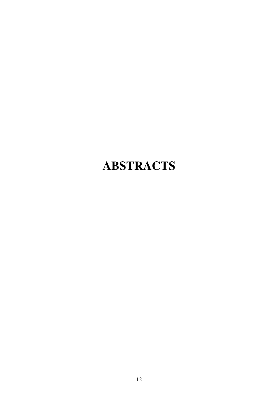# **ABSTRACTS**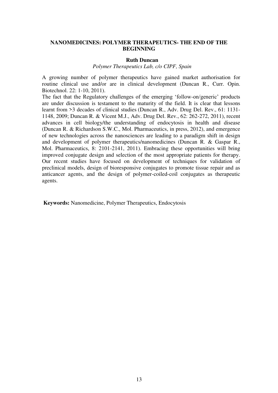## **NANOMEDICINES: POLYMER THERAPEUTICS- THE END OF THE BEGINNING**

#### **Ruth Duncan**

*Polymer Therapeutics Lab, c/o CIPF, Spain*

A growing number of polymer therapeutics have gained market authorisation for routine clinical use and/or are in clinical development (Duncan R., Curr. Opin. Biotechnol. 22: 1-10, 2011).

The fact that the Regulatory challenges of the emerging 'follow-on/generic' products are under discussion is testament to the maturity of the field. It is clear that lessons learnt from >3 decades of clinical studies (Duncan R., Adv. Drug Del. Rev., 61: 1131- 1148, 2009; Duncan R. & Vicent M.J., Adv. Drug Del. Rev., 62: 262-272, 2011), recent advances in cell biology/the understanding of endocytosis in health and disease (Duncan R. & Richardson S.W.C., Mol. Pharmaceutics, in press, 2012), and emergence of new technologies across the nanosciences are leading to a paradigm shift in design and development of polymer therapeutics/nanomedicines (Duncan R. & Gaspar R., Mol. Pharmaceutics, 8: 2101-2141, 2011). Embracing these opportunities will bring improved conjugate design and selection of the most appropriate patients for therapy. Our recent studies have focused on development of techniques for validation of preclinical models, design of bioresponsive conjugates to promote tissue repair and as anticancer agents, and the design of polymer-coiled-coil conjugates as therapeutic agents.

 **Keywords:** Nanomedicine, Polymer Therapeutics, Endocytosis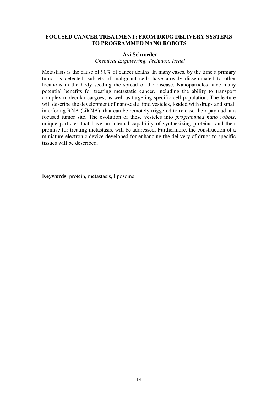### **FOCUSED CANCER TREATMENT: FROM DRUG DELIVERY SYSTEMS TO PROGRAMMED NANO ROBOTS**

#### **Avi Schroeder**

*Chemical Engineering, Technion, Israel*

Metastasis is the cause of 90% of cancer deaths. In many cases, by the time a primary tumor is detected, subsets of malignant cells have already disseminated to other locations in the body seeding the spread of the disease. Nanoparticles have many potential benefits for treating metastatic cancer, including the ability to transport complex molecular cargoes, as well as targeting specific cell population. The lecture will describe the development of nanoscale lipid vesicles, loaded with drugs and small interfering RNA (siRNA), that can be remotely triggered to release their payload at a focused tumor site. The evolution of these vesicles into *programmed nano robots*, unique particles that have an internal capability of synthesizing proteins, and their promise for treating metastasis, will be addressed. Furthermore, the construction of a miniature electronic device developed for enhancing the delivery of drugs to specific tissues will be described.

**Keywords**: protein, metastasis, liposome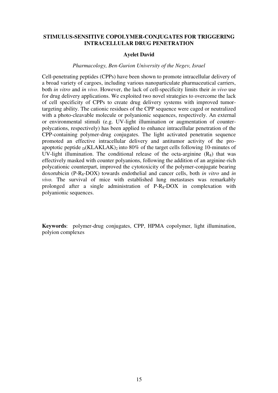### **STIMULUS-SENSITIVE COPOLYMER-CONJUGATES FOR TRIGGERING INTRACELLULAR DRUG PENETRATION**

#### **Ayelet David**

#### *Pharmacology, Ben-Gurion University of the Negev, Israel*

Cell-penetrating peptides (CPPs) have been shown to promote intracellular delivery of a broad variety of cargoes, including various nanoparticulate pharmaceutical carriers, both *in vitro* and *in vivo*. However, the lack of cell-specificity limits their *in vivo* use for drug delivery applications. We exploited two novel strategies to overcome the lack of cell specificity of CPPs to create drug delivery systems with improved tumortargeting ability. The cationic residues of the CPP sequence were caged or neutralized with a photo-cleavable molecule or polyanionic sequences, respectively. An external or environmental stimuli (e.g. UV-light illumination or augmentation of counterpolycations, respectively) has been applied to enhance intracellular penetration of the CPP-containing polymer-drug conjugates. The light activated penetratin sequence promoted an effective intracellular delivery and antitumor activity of the proapoptotic peptide  $D(KLAKLAK)$  into 80% of the target cells following 10-minutes of UV-light illumination. The conditional release of the octa-arginine  $(R_8)$  that was effectively masked with counter polyanions, following the addition of an arginine-rich polycationic counterpart, improved the cytotoxicity of the polymer-conjugate bearing doxorubicin (P-R8-DOX) towards endothelial and cancer cells, both *in vitro* and *in vivo.* The survival of mice with established lung metastases was remarkably prolonged after a single administration of  $P-R_8-DOX$  in complexation with polyanionic sequences.

**Keywords**: polymer-drug conjugates, CPP, HPMA copolymer, light illumination, polyion complexes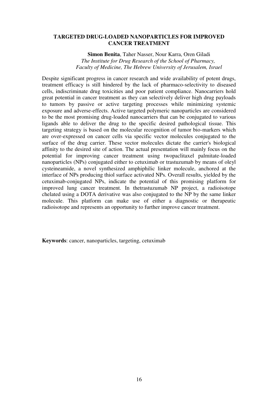#### **TARGETED DRUG-LOADED NANOPARTICLES FOR IMPROVED CANCER TREATMENT**

 **Simon Benita**, Taher Nasser, Nour Karra, Oren Giladi *The Institute for Drug Research of the School of Pharmacy, Faculty of Medicine, The Hebrew University of Jerusalem, Israel*

Despite significant progress in cancer research and wide availability of potent drugs, treatment efficacy is still hindered by the lack of pharmaco-selectivity to diseased cells, indiscriminate drug toxicities and poor patient compliance. Nanocarriers hold great potential in cancer treatment as they can selectively deliver high drug payloads to tumors by passive or active targeting processes while minimizing systemic exposure and adverse-effects. Active targeted polymeric nanoparticles are considered to be the most promising drug-loaded nanocarriers that can be conjugated to various ligands able to deliver the drug to the specific desired pathological tissue. This targeting strategy is based on the molecular recognition of tumor bio-markers which are over-expressed on cancer cells via specific vector molecules conjugated to the surface of the drug carrier. These vector molecules dictate the carrier's biological affinity to the desired site of action. The actual presentation will mainly focus on the potential for improving cancer treatment using twopaclitaxel palmitate-loaded nanoparticles (NPs) conjugated either to cetuximab or trastuzumab by means of oleyl cysteineamide, a novel synthesized amphiphilic linker molecule, anchored at the interface of NPs producing thiol surface activated NPs. Overall results, yielded by the cetuximab-conjugated NPs, indicate the potential of this promising platform for improved lung cancer treatment. In thetrastuzumab NP project, a radioisotope chelated using a DOTA derivative was also conjugated to the NP by the same linker molecule. This platform can make use of either a diagnostic or therapeutic radioisotope and represents an opportunity to further improve cancer treatment.

**Keywords**: cancer, nanoparticles, targeting, cetuximab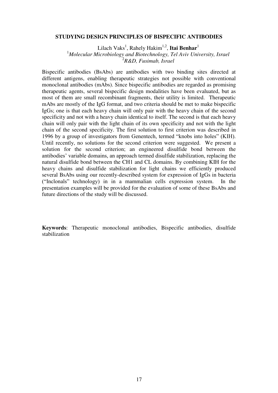#### **STUDYING DESIGN PRINCIPLES OF BISPECIFIC ANTIBODIES**

Lilach Vaks<sup>1</sup>, Rahely Hakim<sup>1,2</sup>, **Itai Benhar**<sup>1</sup> <sup>1</sup>*Molecular Microbiology and Biotechnology, Tel Aviv University, Israel* 2 *R&D, Fusimab, Israel*

Bispecific antibodies (BsAbs) are antibodies with two binding sites directed at different antigens, enabling therapeutic strategies not possible with conventional monoclonal antibodies (mAbs). Since bispecific antibodies are regarded as promising therapeutic agents, several bispecific design modalities have been evaluated, but as most of them are small recombinant fragments, their utility is limited. Therapeutic mAbs are mostly of the IgG format, and two criteria should be met to make bispecific IgGs; one is that each heavy chain will only pair with the heavy chain of the second specificity and not with a heavy chain identical to itself. The second is that each heavy chain will only pair with the light chain of its own specificity and not with the light chain of the second specificity. The first solution to first criterion was described in 1996 by a group of investigators from Genentech, termed "knobs into holes" (KIH). Until recently, no solutions for the second criterion were suggested. We present a solution for the second criterion; an engineered disulfide bond between the antibodies' variable domains, an approach termed disulfide stabilization, replacing the natural disulfide bond between the CH1 and CL domains. By combining KIH for the heavy chains and disulfide stabilization for light chains we efficiently produced several BsAbs using our recently-described system for expression of IgGs in bacteria ("Inclonals" technology) in in a mammalian cells expression system. In the presentation examples will be provided for the evaluation of some of these BsAbs and future directions of the study will be discussed.

**Keywords**: Therapeutic monoclonal antibodies, Bispecific antibodies, disulfide stabilization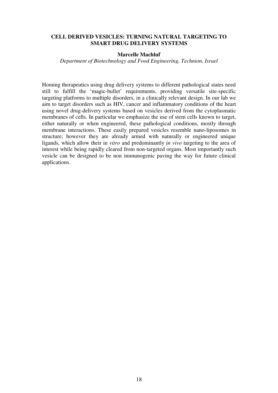## **CELL DERIVED VESICLES: TURNING NATURAL TARGETING TO SMART DRUG DELIVERY SYSTEMS**

## **Marcelle Machluf**

*Department of Biotechnology and Food Engineering, Technion, Israel*

Homing therapeutics using drug delivery systems to different pathological states need still to fulfill the 'magic-bullet' requirements, providing versatile site-specific targeting platforms to multiple disorders, in a clinically relevant design. In our lab we aim to target disorders such as HIV, cancer and inflammatory conditions of the heart using novel drug-delivery systems based on vesicles derived from the cytoplasmatic membranes of cells. In particular we emphasize the use of stem cells known to target, either naturally or when engineered, these pathological conditions, mostly through membrane interactions. These easily prepared vesicles resemble nano-liposomes in structure; however they are already armed with naturally or engineered unique ligands, which allow their in *vitro* and predominantly *in vivo* targeting to the area of interest while being rapidly cleared from non-targeted organs. Most importantly such vesicle can be designed to be non immunogenic paving the way for future clinical applications.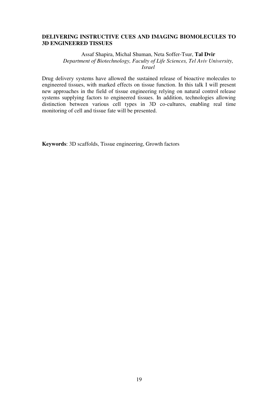# **DELIVERING INSTRUCTIVE CUES AND IMAGING BIOMOLECULES TO 3D ENGINEERED TISSUES**

Assaf Shapira, Michal Shuman, Neta Soffer-Tsur, **Tal Dvir** *Department of Biotechnology, Faculty of Life Sciences, Tel Aviv University, Israel*

Drug delivery systems have allowed the sustained release of bioactive molecules to engineered tissues, with marked effects on tissue function. In this talk I will present new approaches in the field of tissue engineering relying on natural control release systems supplying factors to engineered tissues. In addition, technologies allowing distinction between various cell types in 3D co-cultures, enabling real time monitoring of cell and tissue fate will be presented.

**Keywords**: 3D scaffolds, Tissue engineering, Growth factors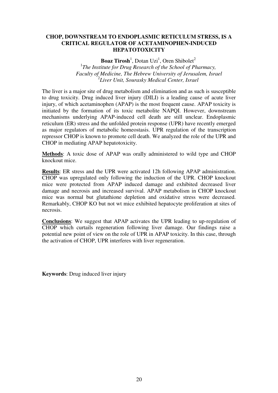# **CHOP, DOWNSTREAM TO ENDOPLASMIC RETICULUM STRESS, IS A CRITICAL REGULATOR OF ACETAMINOPHEN-INDUCED HEPATOTOXICITY**

**Boaz Tirosh**<sup>1</sup>, Dotan Uzi<sup>1</sup>, Oren Shibolet<sup>2</sup> <sup>1</sup>The Institute for Drug Research of the School of Pharmacy,  *Faculty of Medicine, The Hebrew University of Jerusalem, Israel* 2 *Liver Unit, Sourasky Medical Center, Israel*

The liver is a major site of drug metabolism and elimination and as such is susceptible to drug toxicity. Drug induced liver injury (DILI) is a leading cause of acute liver injury, of which acetaminophen (APAP) is the most frequent cause. APAP toxicity is initiated by the formation of its toxic metabolite NAPQI. However, downstream mechanisms underlying APAP-induced cell death are still unclear. Endoplasmic reticulum (ER) stress and the unfolded protein response (UPR) have recently emerged as major regulators of metabolic homeostasis. UPR regulation of the transcription repressor CHOP is known to promote cell death. We analyzed the role of the UPR and CHOP in mediating APAP hepatotoxicity.

**Methods**: A toxic dose of APAP was orally administered to wild type and CHOP knockout mice.

**Results**: ER stress and the UPR were activated 12h following APAP administration. CHOP was upregulated only following the induction of the UPR. CHOP knockout mice were protected from APAP induced damage and exhibited decreased liver damage and necrosis and increased survival. APAP metabolism in CHOP knockout mice was normal but glutathione depletion and oxidative stress were decreased. Remarkably, CHOP KO but not wt mice exhibited hepatocyte proliferation at sites of necrosis.

**Conclusions**: We suggest that APAP activates the UPR leading to up-regulation of CHOP which curtails regeneration following liver damage. Our findings raise a potential new point of view on the role of UPR in APAP toxicity. In this case, through the activation of CHOP, UPR interferes with liver regeneration.

**Keywords**: Drug induced liver injury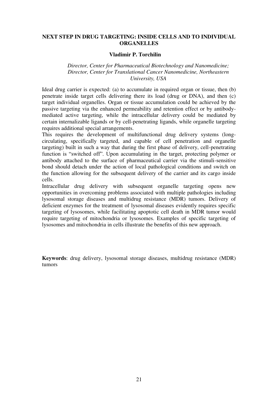## **NEXT STEP IN DRUG TARGETING: INSIDE CELLS AND TO INDIVIDUAL ORGANELLES**

#### **Vladimir P. Torchilin**

## *Director, Center for Pharmaceutical Biotechnology and Nanomedicine; Director, Center for Translational Cancer Nanomedicine, Northeastern University, USA*

Ideal drug carrier is expected: (a) to accumulate in required organ or tissue, then (b) penetrate inside target cells delivering there its load (drug or DNA), and then (c) target individual organelles. Organ or tissue accumulation could be achieved by the passive targeting via the enhanced permeability and retention effect or by antibodymediated active targeting, while the intracellular delivery could be mediated by certain internalizable ligands or by cell-penetrating ligands, while organelle targeting requires additional special arrangements.

This requires the development of multifunctional drug delivery systems (longcirculating, specifically targeted, and capable of cell penetration and organelle targeting) built in such a way that during the first phase of delivery, cell-penetrating function is "switched off". Upon accumulating in the target, protecting polymer or antibody attached to the surface of pharmaceutical carrier via the stimuli-sensitive bond should detach under the action of local pathological conditions and switch on the function allowing for the subsequent delivery of the carrier and its cargo inside cells.

Intracellular drug delivery with subsequent organelle targeting opens new opportunities in overcoming problems associated with multiple pathologies including lysosomal storage diseases and multidrug resistance (MDR) tumors. Delivery of deficient enzymes for the treatment of lysosomal diseases evidently requires specific targeting of lysosomes, while facilitating apoptotic cell death in MDR tumor would require targeting of mitochondria or lysosomes. Examples of specific targeting of lysosomes and mitochondria in cells illustrate the benefits of this new approach.

**Keywords**: drug delivery, lysosomal storage diseases, multidrug resistance (MDR) tumors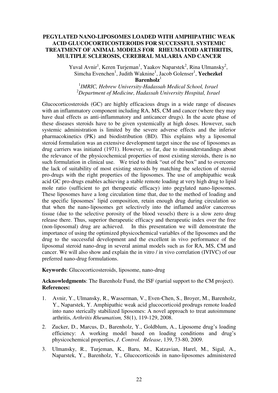## **PEGYLATED NANO-LIPOSOMES LOADED WITH AMPHIPATHIC WEAK ACID GLUCOCORTICOSTEROIDS FOR SUCCESSFUL SYSTEMIC TREATMENT OF ANIMAL MODELS FOR RHEUMATOID ARTHRITIS, MULTIPLE SCLEROSIS, CEREBRAL MALARIA AND CANCER**

Yuval Avnir<sup>1</sup>, Keren Turjeman<sup>1</sup>, Yaakov Naparstek<sup>2</sup>, Rina Ulmansky<sup>2</sup>, Simcha Evenchen<sup>1</sup>, Judith Waknine<sup>1</sup>, Jacob Golenser<sup>1</sup>, Yechezkel **Barenholz**<sup>1</sup>

1 *IMRIC, Hebrew University-Hadassah Medical School, Israel* <sup>2</sup>*Department of Medicine, Hadassah University Hospital, Israel*

Glucocorticosteroids (GC) are highly efficacious drugs in a wide range of diseases with an inflammatory component including RA, MS, CM and cancer (where they may have dual effects as anti-inflammatory and anticancer drugs). In the acute phase of these diseases steroids have to be given systemically at high doses. However, such systemic administration is limited by the severe adverse effects and the inferior pharmacokinetics (PK) and biodistribution (BD). This explains why a liposomal steroid formulation was an extensive development target since the use of liposomes as drug carriers was initiated (1971). However, so far, due to misunderstandings about the relevance of the physicochemical properties of most existing steroids, there is no such formulation in clinical use. We tried to think "out of the box" and to overcome the lack of suitability of most existing steroids by matching the selection of steroid pro-drugs with the right properties of the liposomes. The use of amphipathic weak acid GC pro-drugs enables achieving a stable remote loading at very high drug to lipid mole ratio (sufficient to get therapeutic efficacy) into pegylated nano-liposomes. These liposomes have a long circulation time that, due to the method of loading and the specific liposomes' lipid composition, retain enough drug during circulation so that when the nano-liposomes get selectively into the inflamed and/or cancerous tissue (due to the selective porosity of the blood vessels) there is a slow zero drug release there. Thus, superior therapeutic efficacy and therapeutic index over the free (non-liposomal) drug are achieved. In this presentation we will demonstrate the importance of using the optimized physicochemical variables of the liposomes and the drug to the successful development and the excellent in vivo performance of the liposomal steroid nano-drug in several animal models such as for RA, MS, CM and cancer. We will also show and explain the in vitro / in vivo correlation (IVIVC) of our preferred nano-drug formulations.

**Keywords**: Glucocorticosteroids, liposome, nano-drug

**Acknowledgments**: The Barenholz Fund, the ISF (partial support to the CM project). **References:** 

- 1. Avnir, Y., Ulmansky, R., Wasserman, V., Even-Chen, S., Broyer, M., Barenholz, Y., Naparstek, Y. Amphipathic weak acid glucocorticoid prodrugs remote loaded into nano sterically stabilized liposomes: A novel approach to treat autoimmune arthritis, *Arthritis Rheumatism,* 58(1), 119-129, 2008.
- 2. Zucker, D., Marcus, D., Barenholz, Y., Goldblum, A., Liposome drug's loading efficiency: A working model based on loading conditions and drug's physicochemical properties, *J. Control. Release*, 139, 73-80, 2009.
- 3. Ulmansky, R., Turjeman, K., Baru, M., Katzavian, Harel, M., Sigal, A., Naparstek, Y., Barenholz, Y., Glucocorticoids in nano-liposomes administered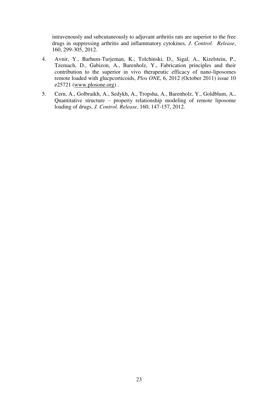intravenously and subcutaneously to adjuvant arthritis rats are superior to the free drugs in suppressing arthritis and inflammatory cytokines, *J. Control. Release*, 160, 299-305, 2012.

- 4. Avnir, Y., Barhum-Turjeman, K., Tolchinski, D., Sigal, A., Kizelstein, P., Tzemach, D., Gabizon, A., Barenholz, Y., Fabrication principles and their contribution to the superior in vivo therapeutic efficacy of nano-liposomes remote loaded with glucpcorticoids, *Plos ONE*, 6, 2012 (October 2011) issue 10 e25721 [\(www.plosone.org\)](http://www.plosone.org/) .
- 5. Cern, A., Golbraikh, A., Sedykh, A., Tropsha, A., Barenholz, Y., Goldblum, A., Quantitative structure – property relationship modeling of remote liposome loading of drugs, *J. Control. Release*, 160, 147-157, 2012.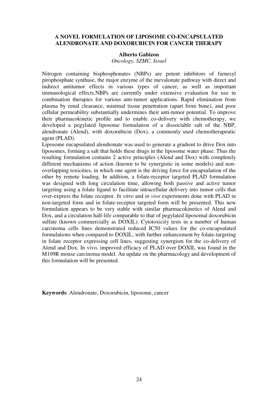## **A NOVEL FORMULATION OF LIPOSOME CO-ENCAPSULATED ALENDRONATE AND DOXORUBICIN FOR CANCER THERAPY**

#### **Alberto Gabizon**

*Oncology, SZMC, Israel* 

Nitrogen containing bisphosphonates (NBPs) are potent inhibitors of farnesyl pirophosphate synthase, the major enzyme of the mevalonate pathway with direct and indirect antitumor effects in various types of cancer, as well as important immunological effects.NBPs are currently under extensive evaluation for use in combination therapies for various anti-tumor applications. Rapid elimination from plasma by renal clearance, minimal tissue penetration (apart from bone), and poor cellular permeability substantially undermines their anti-tumor potential. To improve their pharmacokinetic profile and to enable co-delivery with chemotherapy, we developed a pegylated liposome formulation of a dissociable salt of the NBP, alendronate (Alend), with doxorubicin (Dox), a commonly used chemotherapeutic agent (PLAD).

Liposome encapsulated alendronate was used to generate a gradient to drive Dox into liposomes, forming a salt that holds these drugs in the liposome water phase. Thus the resulting formulation contains 2 active principles (Alend and Dox) with completely different mechanisms of action (known to be synergistic in some models) and nonoverlapping toxicities, in which one agent is the driving force for encapsulation of the other by remote loading. In addition, a folate-receptor targeted PLAD formulation was designed with long circulation time, allowing both passive and active tumor targeting using a folate ligand to facilitate intracellular delivery into tumor cells that over-express the folate receptor. *In vitro* and *in vivo* experiments done with PLAD in non-targeted form and in folate-receptor targeted form will be presented. This new formulation appears to be very stable with similar pharmacokinetics of Alend and Dox, and a circulation half-life comparable to that of pegylated liposomal doxorubicin sulfate (known commercially as DOXIL). Cytotoxicity tests in a number of human carcinoma cells lines demonstrated reduced IC50 values for the co-encapsulated formulations when compared to DOXIL, with further enhancement by folate-targeting in folate receptor expressing cell lines, suggesting synergism for the co-delivery of Alend and Dox. In vivo, improved efficacy of PLAD over DOXIL was found in the M109R mouse carcinoma model. An update on the pharmacology and development of this formulation will be presented.

**Keywords**: Alendronate, Doxorubicin, liposome, cancer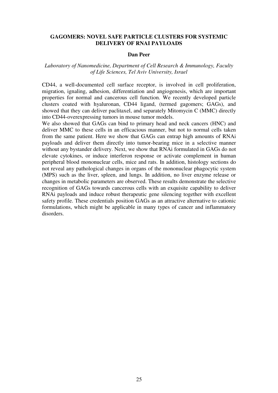## **GAGOMERS: NOVEL SAFE PARTICLE CLUSTERS FOR SYSTEMIC DELIVERY OF RNAI PAYLOADS**

#### **Dan Peer**

# *Laboratory of Nanomedicine, Department of Cell Research & Immunology, Faculty of Life Sciences, Tel Aviv University, Israel*

CD44, a well-documented cell surface receptor, is involved in cell proliferation, migration, ignaling, adhesion, differentiation and angiogenesis, which are important properties for normal and cancerous cell function. We recently developed particle clusters coated with hyaluronan, CD44 ligand, (termed gagomers; GAGs), and showed that they can deliver paclitaxel, and separately Mitomycin C (MMC) directly into CD44-overexpressing tumors in mouse tumor models.

We also showed that GAGs can bind to primary head and neck cancers (HNC) and deliver MMC to these cells in an efficacious manner, but not to normal cells taken from the same patient. Here we show that GAGs can entrap high amounts of RNAi payloads and deliver them directly into tumor-bearing mice in a selective manner without any bystander delivery. Next, we show that RNAi formulated in GAGs do not elevate cytokines, or induce interferon response or activate complement in human peripheral blood mononuclear cells, mice and rats. In addition, histology sections do not reveal any pathological changes in organs of the mononuclear phagocytic system (MPS) such as the liver, spleen, and lungs. In addition, no liver enzyme release or changes in metabolic parameters are observed. These results demonstrate the selective recognition of GAGs towards cancerous cells with an exquisite capability to deliver RNAi payloads and induce robust therapeutic gene silencing together with excellent safety profile. These credentials position GAGs as an attractive alternative to cationic formulations, which might be applicable in many types of cancer and inflammatory disorders.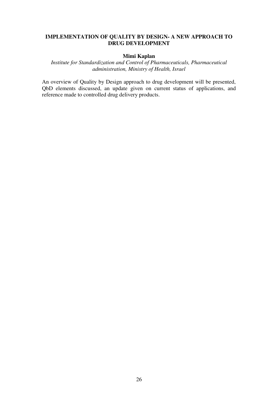# **IMPLEMENTATION OF QUALITY BY DESIGN- A NEW APPROACH TO DRUG DEVELOPMENT**

# **Mimi Kaplan**

*Institute for Standardization and Control of Pharmaceuticals, Pharmaceutical administration, Ministry of Health, Israel* 

An overview of Quality by Design approach to drug development will be presented, QbD elements discussed, an update given on current status of applications, and reference made to controlled drug delivery products.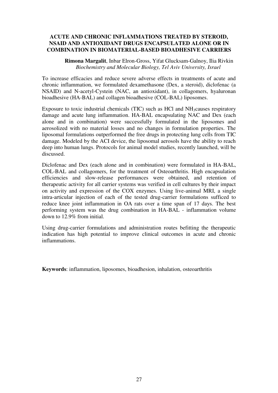# **ACUTE AND CHRONIC INFLAMMATIONS TREATED BY STEROID, NSAID AND ANTIOXIDANT DRUGS ENCAPSULATED ALONE OR IN COMBINATION IN BIOMATERIAL-BASED BIOADHESIVE CARRIERS**

 **Rimona Margalit**, Inbar Elron-Gross, Yifat Glucksam-Galnoy, Ilia Rivkin *Biochemistry and Molecular Biology, Tel Aviv University, Israel*

To increase efficacies and reduce severe adverse effects in treatments of acute and chronic inflammation, we formulated dexamethasone (Dex, a steroid), diclofenac (a NSAID) and N-acetyl-Cystein (NAC, an antioxidant), in collagomers, hyaluronan bioadhesive (HA-BAL) and collagen bioadhesive (COL-BAL) liposomes.

Exposure to toxic industrial chemicals (TIC) such as HCl and  $NH<sub>3</sub>$ causes respiratory damage and acute lung inflammation. HA-BAL encapsulating NAC and Dex (each alone and in combination) were successfully formulated in the liposomes and aerosolized with no material losses and no changes in formulation properties. The liposomal formulations outperformed the free drugs in protecting lung cells from TIC damage. Modeled by the ACI device, the liposomal aerosols have the ability to reach deep into human lungs. Protocols for animal model studies, recently launched, will be discussed.

Diclofenac and Dex (each alone and in combination) were formulated in HA-BAL, COL-BAL and collagomers, for the treatment of Osteoarthritis. High encapsulation efficiencies and slow-release performances were obtained, and retention of therapeutic activity for all carrier systems was verified in cell cultures by their impact on activity and expression of the COX enzymes. Using live-animal MRI, a single intra-articular injection of each of the tested drug-carrier formulations sufficed to reduce knee joint inflammation in OA rats over a time span of 17 days. The best performing system was the drug combination in HA-BAL - inflammation volume down to 12.9% from initial.

Using drug-carrier formulations and administration routes befitting the therapeutic indication has high potential to improve clinical outcomes in acute and chronic inflammations.

**Keywords**: inflammation, liposomes, bioadhesion, inhalation, osteoarthritis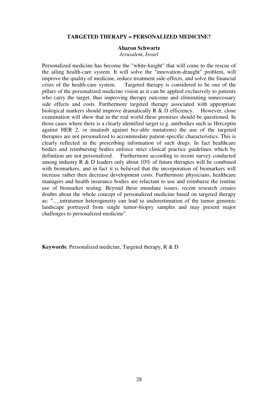### **TARGETED THERAPY = PERSONALIZED MEDICINE?**

#### **Aharon Schwartz**

*Jerusalem, Israel*

Personalized medicine has become the "white-knight" that will come to the rescue of the ailing health-care system. It will solve the "innovation-draught" problem, will improve the quality of medicine, reduce treatment side-effects, and solve the financial Targeted therapy is considered to be one of the pillars of the personalized medicine vision as it can be applied exclusively to patients who carry the target, thus improving therapy outcome and eliminating unnecessary side effects and costs. Furthermore targeted therapy associated with appropriate biological markers should improve dramatically  $R \& D$  efficiency. However, close examination will show that in the real world these premises should be questioned. In those cases where there is a clearly identified target (e.g. antibodies such as Herceptin against HER 2, or imatinib against bcr-able mutations) the use of the targeted therapies are not personalized to accommodate patient-specific characteristics. This is clearly reflected in the prescribing information of such drugs. In fact healthcare bodies and reimbursing bodies enforce strict clinical practice guidelines which by definition are not personalized. Furthermore according to recent survey conducted among industry R & D leaders only about 10% of future therapies will be combined with biomarkers, and in fact it is believed that the incorporation of biomarkers will increase rather then decrease development costs. Furthermore physicians, healthcare managers and health insurance bodies are reluctant to use and reimburse the routine use of biomarker testing. Beyond these mundane issues, recent research creates doubts about the whole concept of personalized medicine based on targeted therapy as: "….intratumor heterogeneity can lead to underestimation of the tumor genomic landscape portrayed from single tumor-biopsy samples and may present major challenges to personalized-medicine".

**Keywords**: Personalized medicine, Targeted therapy, R & D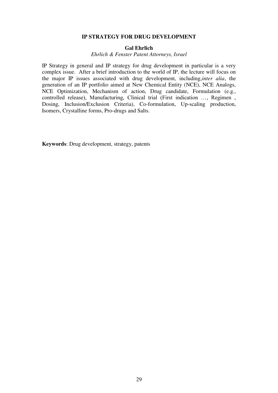#### **IP STRATEGY FOR DRUG DEVELOPMENT**

#### **Gal Ehrlich**

*Ehrlich & Fenster Patent Attorneys, Israel*

IP Strategy in general and IP strategy for drug development in particular is a very complex issue. After a brief introduction to the world of IP, the lecture will focus on the major IP issues associated with drug development, including,*inter alia*, the generation of an IP portfolio aimed at New Chemical Entity (NCE), NCE Analogs, NCE Optimization, Mechanism of action, Drug candidate, Formulation (e.g., controlled release), Manufacturing, Clinical trial (First indication …, Regimen , Dosing, Inclusion/Exclusion Criteria), Co-formulation, Up-scaling production, Isomers, Crystalline forms, Pro-drugs and Salts.

**Keywords**: Drug development, strategy, patents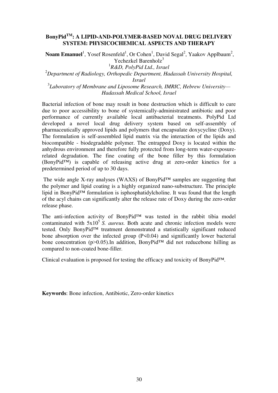# **BonyPidTM: A LIPID-AND-POLYMER-BASED NOVAL DRUG DELIVERY SYSTEM: PHYSICOCHEMICAL ASPECTS AND THERAPY**

Noam Emanuel<sup>1</sup>, Yosef Rosenfeld<sup>1</sup>, Or Cohen<sup>1</sup>, David Segal<sup>2</sup>, Yaakov Applbaum<sup>2</sup>, Yechezkel Barenholz $3$ 1 *R&D, PolyPid Ltd., Israel* <sup>2</sup>*Department of Radiology, Orthopedic Department, Hadassah University Hospital,* 

*Israel*

3 *Laboratory of Membrane and Liposome Research, IMRIC, Hebrew University— Hadassah Medical School, Israel*

Bacterial infection of bone may result in bone destruction which is difficult to cure due to poor accessibility to bone of systemically-administrated antibiotic and poor performance of currently available local antibacterial treatments. PolyPid Ltd developed a novel local drug delivery system based on self-assembly of pharmaceutically approved lipids and polymers that encapsulate doxycycline (Doxy). The formulation is self-assembled lipid matrix via the interaction of the lipids and biocompatible - biodegradable polymer. The entrapped Doxy is located within the anhydrous environment and therefore fully protected from long-term water-exposurerelated degradation. The fine coating of the bone filler by this formulation (BonyPid™) is capable of releasing active drug at zero-order kinetics for a predetermined period of up to 30 days.

 The wide angle X-ray analyses (WAXS) of BonyPid™ samples are suggesting that the polymer and lipid coating is a highly organized nano-substructure. The principle lipid in BonyPid™ formulation is isphosphatidylcholine. It was found that the length of the acyl chains can significantly alter the release rate of Doxy during the zero-order release phase.

The anti-infection activity of BonyPid™ was tested in the rabbit tibia model contaminated with  $5x10^5$  S. *aureus*. Both acute and chronic infection models were tested. Only BonyPid™ treatment demonstrated a statistically significant reduced bone absorption over the infected group (P<0.04) and significantly lower bacterial bone concentration (p>0.05).In addition, BonyPid<sup>TM</sup> did not reducebone hilling as compared to non-coated bone-filler.

Clinical evaluation is proposed for testing the efficacy and toxicity of BonyPid™.

**Keywords**: Bone infection, Antibiotic, Zero-order kinetics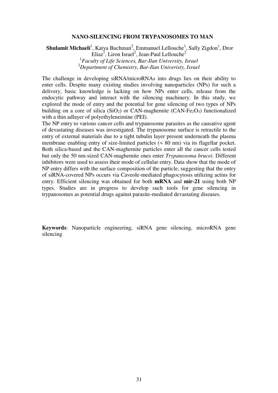#### **NANO-SILENCING FROM TRYPANOSOMES TO MAN**

**Shulamit Michaeli**<sup>1</sup>, Katya Buchman<sup>2</sup>, Emmanuel Lellouche<sup>1</sup>, Sally Zigdon<sup>1</sup>, Dror Eliaz<sup>1</sup>, Liron Israel<sup>2</sup>, Jean-Paul Lellouche<sup>2</sup> 1 *Faculty of Life Sciences, Bar-Ilan University, Israel* <sup>2</sup>*Department of Chemistry, Bar-Ilan Univeristy, Israel*

The challenge in developing siRNA/microRNAs into drugs lies on their ability to enter cells. Despite many existing studies involving nanoparticles (NPs) for such a delivery, basic knowledge is lacking on how NPs enter cells, release from the endocytic pathway and interact with the silencing machinery. In this study, we explored the mode of entry and the potential for gene silencing of two types of NPs building on a core of silica (SiO<sub>2</sub>) or CAN-maghemite (CAN-Fe<sub>2</sub>O<sub>3</sub>) functionalized with a thin adlayer of polyethyleneimine (PEI).

The NP entry to various cancer cells and trypanosome parasites as the causative agent of devastating diseases was investigated. The trypanosome surface is retractile to the entry of external materials due to a tight tubulin layer present underneath the plasma membrane enabling entry of size-limited particles (< 80 nm) via its flagellar pocket. Both silica-based and the CAN-maghemite particles enter all the cancer cells tested but only the 50 nm-sized CAN-maghemite ones enter *Trypanosoma brucei*. Different inhibitors were used to assess their mode of cellular entry. Data show that the mode of NP entry differs with the surface composition of the particle, suggesting that the entry of siRNA-covered NPs occurs via Caveole-mediated phagocytosis utilizing actins for entry. Efficient silencing was obtained for both **mRNA** and **mir-21** using both NP types. Studies are in progress to develop such tools for gene silencing in trypanosomes as potential drugs against parasite-mediated devastating diseases.

**Keywords**: Nanoparticle engineering, siRNA gene silencing, microRNA gene silencing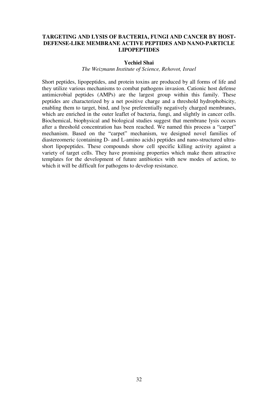# **TARGETING AND LYSIS OF BACTERIA, FUNGI AND CANCER BY HOST-DEFENSE-LIKE MEMBRANE ACTIVE PEPTIDES AND NANO-PARTICLE LIPOPEPTIDES**

## **Yechiel Shai**

# *The Weizmann Institute of Science, Rehovot, Israel*

Short peptides, lipopeptides, and protein toxins are produced by all forms of life and they utilize various mechanisms to combat pathogens invasion. Cationic host defense antimicrobial peptides (AMPs) are the largest group within this family. These peptides are characterized by a net positive charge and a threshold hydrophobicity, enabling them to target, bind, and lyse preferentially negatively charged membranes, which are enriched in the outer leaflet of bacteria, fungi, and slightly in cancer cells. Biochemical, biophysical and biological studies suggest that membrane lysis occurs after a threshold concentration has been reached. We named this process a "carpet" mechanism. Based on the "carpet" mechanism, we designed novel families of diastereomeric (containing D- and L-amino acids) peptides and nano-structured ultrashort lipopeptides. These compounds show cell specific killing activity against a variety of target cells. They have promising properties which make them attractive templates for the development of future antibiotics with new modes of action, to which it will be difficult for pathogens to develop resistance.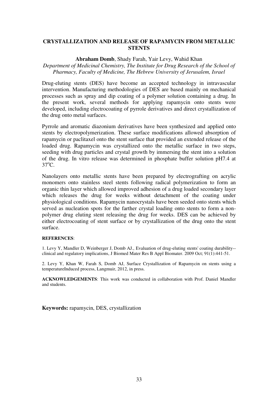# **CRYSTALLIZATION AND RELEASE OF RAPAMYCIN FROM METALLIC STENTS**

#### **Abraham Domb**, Shady Farah, Yair Levy, Wahid Khan

# *Department of Medicinal Chemistry, The Institute for Drug Research of the School of Pharmacy, Faculty of Medicine, The Hebrew University of Jerusalem, Israel*

Drug-eluting stents (DES) have become an accepted technology in intravascular intervention. Manufacturing methodologies of DES are based mainly on mechanical processes such as spray and dip coating of a polymer solution containing a drug. In the present work, several methods for applying rapamycin onto stents were developed, including electrocoating of pyrrole derivatives and direct crystallization of the drug onto metal surfaces.

Pyrrole and aromatic diazonium derivatives have been synthesized and applied onto stents by electropolymerization. These surface modifications allowed absorption of rapamycin or paclitaxel onto the stent surface that provided an extended release of the loaded drug. Rapamycin was crystallized onto the metallic surface in two steps, seeding with drug particles and crystal growth by immersing the stent into a solution of the drug. In vitro release was determined in phosphate buffer solution pH7.4 at  $37^{\circ}$ C.

Nanolayers onto metallic stents have been prepared by electrografting on acrylic monomers onto stainless steel stents following radical polymerization to form an organic thin layer which allowed improved adhesion of a drug loaded secondary layer which releases the drug for weeks without detachment of the coating under physiological conditions. Rapamycin nanocrystals have been seeded onto stents which served as nucleation spots for the farther crystal loading onto stents to form a nonpolymer drug eluting stent releasing the drug for weeks. DES can be achieved by either electrocoating of stent surface or by crystallization of the drug onto the stent surface.

#### **REFERENCES**:

1. Levy Y, Mandler D, Weinberger J, Domb AJ., Evaluation of drug-eluting stents' coating durability- clinical and regulatory implications, J Biomed Mater Res B Appl Biomater. 2009 Oct; 91(1):441-51.

2. Levy Y, Khan W, Farah S, Domb AJ, Surface Crystallization of Rapamycin on stents using a temperatureInduced process, Langmuir, 2012, in press.

**ACKNOWLEDGEMENTS**: This work was conducted in collaboration with Prof. Daniel Mandler and students.

**Keywords:** rapamycin, DES, crystallization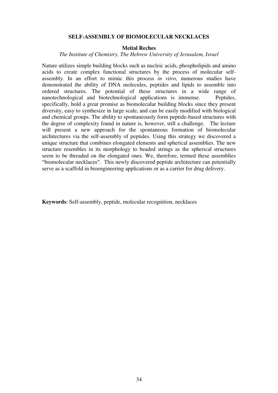#### **SELF-ASSEMBLY OF BIOMOLECULAR NECKLACES**

#### **Meital Reches**

## *The Institute of Chemistry, The Hebrew University of Jerusalem, Israel*

Nature utilizes simple building blocks such as nucleic acids, phospholipids and amino acids to create complex functional structures by the process of molecular selfassembly. In an effort to mimic this process *in vitro,* numerous studies have demonstrated the ability of DNA molecules, peptides and lipids to assemble into ordered structures. The potential of these structures in a wide range of nanotechnological and biotechnological applications is immense. Peptides, specifically, hold a great promise as biomolecular building blocks since they present diversity, easy to synthesize in large scale, and can be easily modified with biological and chemical groups. The ability to spontaneously form peptide-based structures with the degree of complexity found in nature is, however, still a challenge. The lecture will present a new approach for the spontaneous formation of biomolecular architectures via the self-assembly of peptides. Using this strategy we discovered a unique structure that combines elongated elements and spherical assemblies. The new structure resembles in its morphology to beaded strings as the spherical structures seem to be threaded on the elongated ones. We, therefore, termed these assemblies "biomolecular necklaces". This newly discovered peptide architecture can potentially serve as a scaffold in bioengineering applications or as a carrier for drug delivery.

**Keywords**: Self-assembly, peptide, molecular recognition, necklaces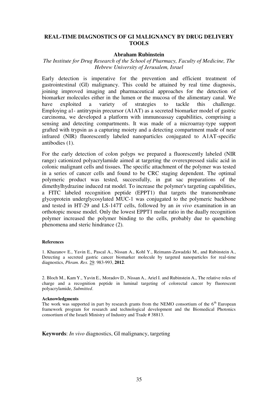## **REAL-TIME DIAGNOSTICS OF GI MALIGNANCY BY DRUG DELIVERY TOOLS**

#### **Abraham Rubinstein**

### *The Institute for Drug Research of the School of Pharmacy, Faculty of Medicine, The Hebrew University of Jerusalem, Israel*

Early detection is imperative for the prevention and efficient treatment of gastrointestinal (GI) malignancy. This could be attained by real time diagnosis, joining improved imaging and pharmaceutical approaches for the detection of biomarker molecules either in the lumen or the mucosa of the alimentary canal. We have exploited a variety of strategies to tackle this challenge. Employing a1- antitrypsin precursor (A1AT) as a secreted biomarker model of gastric carcinoma, we developed a platform with immunoassay capabilities, comprising a sensing and detecting compartments. It was made of a microarray-type support grafted with trypsin as a capturing moiety and a detecting compartment made of near infrared (NIR) fluorescently labeled nanoparticles conjugated to A1AT-specific antibodies (1).

For the early detection of colon polyps we prepared a fluorescently labeled (NIR range) cationized polyacrylamide aimed at targeting the overexpressed sialic acid in colonic malignant cells and tissues. The specific attachment of the polymer was tested in a series of cancer cells and found to be CRC staging dependent. The optimal polymeric product was tested, successfully, in gut sac preparations of the dimethylhydrazine induced rat model. To increase the polymer's targeting capabilities, a FITC labeled recognition peptide (EPPT1) that targets the transmembrane glycoprotein underglycosylated MUC-1 was conjugated to the polymeric backbone and tested in HT-29 and LS-147T cells, followed by an *in vivo* examination in an orthotopic mouse model. Only the lowest EPPT1 molar ratio in the dually recognition polymer increased the polymer binding to the cells, probably due to quenching phenomena and steric hindrance (2).

#### **References**

1. Khazanov E., Yavin E., Pascal A., Nissan A., Kohl Y., Reimann-Zawadzki M., and Rubinstein A., Detecting a secreted gastric cancer biomarker molecule by targeted nanoparticles for real-time diagnostics, *Phram. Res*. 29: 983-993, **2012**.

2. Bloch M., Kam Y., Yavin E., Moradov D., Nissan A., Ariel I. and Rubinstein A., The relative roles of charge and a recognition peptide in luminal targeting of colorectal cancer by fluorescent polyacrylamide, *Submitted*.

#### **Acknowledgments**

The work was supported in part by research grants from the NEMO consortium of the  $6<sup>th</sup>$  European framework program for research and technological development and the Biomedical Photonics consortium of the Israeli Ministry of Industry and Trade # 38813.

**Keywords**: *In vivo* diagnostics, GI malignancy, targeting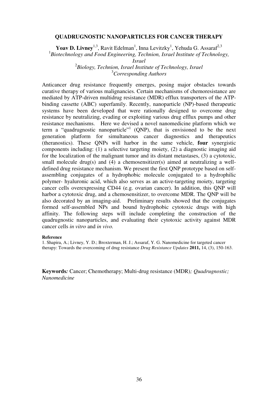#### **QUADRUGNOSTIC NANOPARTICLES FOR CANCER THERAPY**

**Yoav D. Livney**<sup>1,3</sup>, Ravit Edelman<sup>1</sup>, Inna Levitzky<sup>1</sup>, Yehuda G. Assaraf<sup>2,3</sup>

<sup>1</sup>Biotechnology and Food Engineering, Technion, Israel Institute of Technology,

*Israel*

2 *Biology, Technion, Israel Institute of Technology, Israel* <sup>3</sup>*Corresponding Authors*

Anticancer drug resistance frequently emerges, posing major obstacles towards curative therapy of various malignancies. Certain mechanisms of chemoresistance are mediated by ATP-driven multidrug resistance (MDR) efflux transporters of the ATPbinding cassette (ABC) superfamily. Recently, nanoparticle (NP)-based therapeutic systems have been developed that were rationally designed to overcome drug resistance by neutralizing, evading or exploiting various drug efflux pumps and other resistance mechanisms. Here we devised a novel nanomedicine platform which we term a "quadrugnostic nanoparticle"<sup>1</sup> (QNP), that is envisioned to be the next generation platform for simultaneous cancer diagnostics and therapeutics (theranostics). These QNPs will harbor in the same vehicle, **four** synergistic components including: (1) a selective targeting moiety, (2) a diagnostic imaging aid for the localization of the malignant tumor and its distant metastases, (3) a cytotoxic, small molecule drug(s) and (4) a chemosensitizer(s) aimed at neutralizing a welldefined drug resistance mechanism. We present the first QNP prototype based on selfassembling conjugates of a hydrophobic molecule conjugated to a hydrophilic polymer- hyaluronic acid, which also serves as an active-targeting moiety, targeting cancer cells overexpressing CD44 (e.g. ovarian cancer). In addition, this QNP will harbor a cytotoxic drug, and a chemosensitizer, to overcome MDR. The QNP will be also decorated by an imaging-aid. Preliminary results showed that the conjugates formed self-assembled NPs and bound hydrophobic cytotoxic drugs with high affinity. The following steps will include completing the construction of the quadrugnostic nanoparticles, and evaluating their cytotoxic activity against MDR cancer cells *in vitro* and *in vivo.*

#### **Reference**

1. Shapira, A.; Livney, Y. D.; Broxterman, H. J.; Assaraf, Y. G. Nanomedicine for targeted cancer therapy: Towards the overcoming of drug resistance *Drug Resistance Updates* **2011,** 14, (3), 150-163.

**Keywords***:* Cancer; Chemotherapy; Multi-drug resistance (MDR)*; Quadrugnostic; Nanomedicine*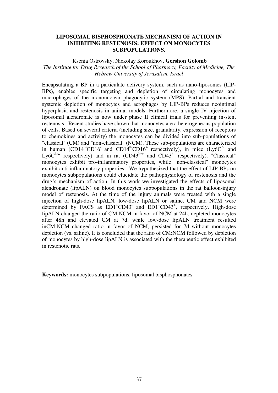#### **LIPOSOMAL BISPHOSPHONATE MECHANISM OF ACTION IN INHIBITING RESTENOSIS: EFFECT ON MONOCYTES SUBPOPULATIONS.**

Ksenia Ostrovsky, Nickolay Koroukhov, **Gershon Golomb** *The Institute for Drug Research of the School of Pharmacy, Faculty of Medicine, The Hebrew University of Jerusalem, Israel* 

Encapsulating a BP in a particulate delivery system, such as nano-liposomes (LIP-BPs), enables specific targeting and depletion of circulating monocytes and macrophages of the mononuclear phagocytic system (MPS). Partial and transient systemic depletion of monocytes and acrophages by LIP-BPs reduces neointimal hyperplasia and restenosis in animal models. Furthermore, a single IV injection of liposomal alendronate is now under phase II clinical trials for preventing in-stent restenosis. Recent studies have shown that monocytes are a heterogeneous population of cells. Based on several criteria (including size, granularity, expression of receptors to chemokines and activity) the monocytes can be divided into sub-populations of "classical" (CM) and "non-classical" (NCM). These sub-populations are characterized in human (CD14<sup>hi</sup>CD16<sup>-</sup> and CD14<sup>hi</sup>CD16<sup>+</sup> respectively), in mice (Ly6C<sup>hi</sup> and Ly6C<sup>low</sup> respectively) and in rat  $(CD43^{\text{low}}$  and  $CD43^{\text{hi}}$  respectively). "Classical" monocytes exhibit pro-inflammatory properties, while "non-classical" monocytes exhibit anti-inflammatory properties. We hypothesized that the effect of LIP-BPs on monocytes subpopulations could elucidate the pathophysiology of restenosis and the drug's mechanism of action. In this work we investigated the effects of liposomal alendronate (lipALN) on blood monocytes subpopulations in the rat balloon-injury model of restenosis. At the time of the injury animals were treated with a single injection of high-dose lipALN, low-dose lipALN or saline. CM and NCM were determined by FACS as ED1<sup>+</sup>CD43<sup>-</sup> and ED1<sup>+</sup>CD43<sup>+</sup>, respectively. High-dose lipALN changed the ratio of CM:NCM in favor of NCM at 24h, depleted monocytes after 48h and elevated CM at 7d, while low-dose lipALN treatment resulted inCM:NCM changed ratio in favor of NCM, persisted for 7d without monocytes depletion (vs. saline). It is concluded that the ratio of CM:NCM followed by depletion of monocytes by high-dose lipALN is associated with the therapeutic effect exhibited in restenotic rats.

**Keywords:** monocytes subpopulations, liposomal bisphosphonates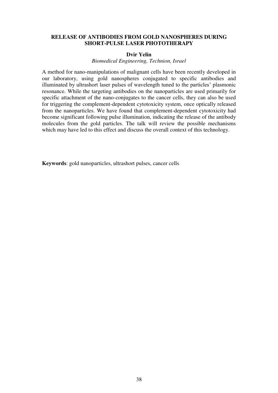#### **RELEASE OF ANTIBODIES FROM GOLD NANOSPHERES DURING SHORT-PULSE LASER PHOTOTHERAPY**

#### **Dvir Yelin**

*Biomedical Engineering, Technion, Israel*

A method for nano-manipulations of malignant cells have been recently developed in our laboratory, using gold nanospheres conjugated to specific antibodies and illuminated by ultrashort laser pulses of wavelength tuned to the particles' plasmonic resonance. While the targeting antibodies on the nanoparticles are used primarily for specific attachment of the nano-conjugates to the cancer cells, they can also be used for triggering the complement-dependent cytotoxicity system, once optically released from the nanoparticles. We have found that complement-dependent cytotoxicity had become significant following pulse illumination, indicating the release of the antibody molecules from the gold particles. The talk will review the possible mechanisms which may have led to this effect and discuss the overall context of this technology.

**Keywords**: gold nanoparticles, ultrashort pulses, cancer cells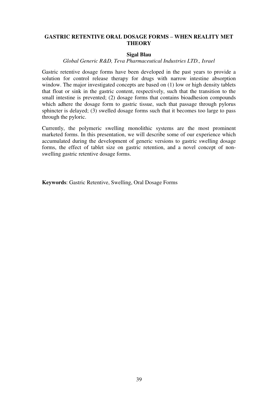# **GASTRIC RETENTIVE ORAL DOSAGE FORMS – WHEN REALITY MET THEORY**

# **Sigal Blau**

#### *Global Generic R&D, Teva Pharmaceutical Industries LTD., Israel*

Gastric retentive dosage forms have been developed in the past years to provide a solution for control release therapy for drugs with narrow intestine absorption window. The major investigated concepts are based on (1) low or high density tablets that float or sink in the gastric content, respectively, such that the transition to the small intestine is prevented; (2) dosage forms that contains bioadhesion compounds which adhere the dosage form to gastric tissue, such that passage through pylorus sphincter is delayed; (3) swelled dosage forms such that it becomes too large to pass through the pyloric.

Currently, the polymeric swelling monolithic systems are the most prominent marketed forms. In this presentation, we will describe some of our experience which accumulated during the development of generic versions to gastric swelling dosage forms, the effect of tablet size on gastric retention, and a novel concept of nonswelling gastric retentive dosage forms.

**Keywords**: Gastric Retentive, Swelling, Oral Dosage Forms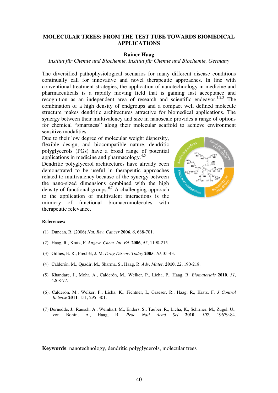#### **MOLECULAR TREES: FROM THE TEST TUBE TOWARDS BIOMEDICAL APPLICATIONS**

#### **Rainer Haag**

#### *Institut für Chemie und Biochemie, Institut für Chemie und Biochemie, Germany*

The diversified pathophysiological scenarios for many different disease conditions continually call for innovative and novel therapeutic approaches. In line with conventional treatment strategies, the application of nanotechnology in medicine and pharmaceuticals is a rapidly moving field that is gaining fast acceptance and recognition as an independent area of research and scientific endeavor.<sup>1,2,3</sup> The combination of a high density of endgroups and a compact well defined molecule structure makes dendritic architectures attractive for biomedical applications. The synergy between their multivalency and size in nanoscale provides a range of options for chemical "smartness" along their molecular scaffold to achieve environment sensitive modalities.

Due to their low degree of molecular weight dispersity, flexible design, and biocompatible nature, dendritic polyglycerols (PGs) have a broad range of potential applications in medicine and pharmacology.<sup>4,5</sup>

Dendritic polyglycerol architectures have already been demonstrated to be useful in therapeutic approaches related to multivalency because of the synergy between the nano-sized dimensions combined with the high density of functional groups.<sup>6,7</sup> A challenging approach to the application of multivalent interactions is the mimicry of functional biomacromolecules with therapeutic relevance.



#### **References:**

- (1) Duncan, R. (2006) *Nat. Rev. Cancer* **2006**, *6*, 688-701.
- (2) Haag, R., Kratz, F. *Angew. Chem. Int. Ed.* **2006**, *45*, 1198-215.
- (3) Gillies, E. R., Frechét, J. M. *Drug Discov. Today* **2005**, *10*, 35-43.
- (4) Calderón, M., Quadir, M., Sharma, S., Haag, R. *Adv. Mater.* **2010**, *22*, 190-218.
- (5) Khandare, J., Mohr, A., Calderón, M., Welker, P., Licha, P., Haag, R. *Biomaterials* **2010**, *31*, 4268-77.
- (6). Calderón, M., Welker, P., Licha, K., Fichtner, I., Graeser, R., Haag, R., Kratz, F. *J Control Release* **2011**, 151, 295–301.
- (7) Dernedde, J., Rausch, A., Weinhart, M., Enders, S., Tauber, R., Licha, K., Schirner, M., Zügel, U., von Bonin, A., Haag, R. *Proc Natl Acad Sci* **2010**, *107*, 19679-84.

**Keywords**: nanotechnology, dendritic polyglycerols, molecular trees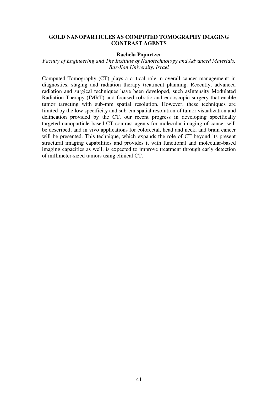#### **GOLD NANOPARTICLES AS COMPUTED TOMOGRAPHY IMAGING CONTRAST AGENTS**

#### **Rachela Popovtzer**

#### *Faculty of Engineering and The Institute of Nanotechnology and Advanced Materials, Bar-Ilan University, Israel*

Computed Tomography (CT) plays a critical role in overall cancer management: in diagnostics, staging and radiation therapy treatment planning. Recently, advanced radiation and surgical techniques have been developed, such asIntensity Modulated Radiation Therapy (IMRT) and focused robotic and endoscopic surgery that enable tumor targeting with sub-mm spatial resolution. However, these techniques are limited by the low specificity and sub-cm spatial resolution of tumor visualization and delineation provided by the CT. our recent progress in developing specifically targeted nanoparticle-based CT contrast agents for molecular imaging of cancer will be described, and in vivo applications for colorectal, head and neck, and brain cancer will be presented. This technique, which expands the role of CT beyond its present structural imaging capabilities and provides it with functional and molecular-based imaging capacities as well, is expected to improve treatment through early detection of millimeter-sized tumors using clinical CT.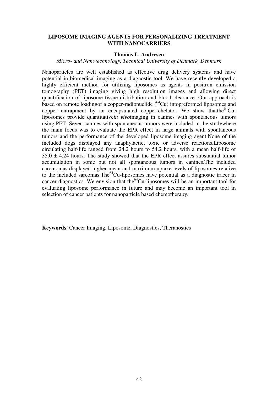#### **LIPOSOME IMAGING AGENTS FOR PERSONALIZING TREATMENT WITH NANOCARRIERS**

#### **Thomas L. Andresen**

*Micro- and Nanotechnology, Technical University of Denmark, Denmark*

Nanoparticles are well established as effective drug delivery systems and have potential in biomedical imaging as a diagnostic tool. We have recently developed a highly efficient method for utilizing liposomes as agents in positron emission tomography (PET) imaging giving high resolution images and allowing direct quantification of liposome tissue distribution and blood clearance. Our approach is based on remote loading f a copper-radionuclide  $(^{64}Cu)$  intopreformed liposomes and copper entrapment by an encapsulated copper-chelator. We show that the  $64$ Culiposomes provide quantitative*in vivo*imaging in canines with spontaneous tumors using PET. Seven canines with spontaneous tumors were included in the studywhere the main focus was to evaluate the EPR effect in large animals with spontaneous tumors and the performance of the developed liposome imaging agent.None of the included dogs displayed any anaphylactic, toxic or adverse reactions.Liposome circulating half-life ranged from 24.2 hours to 54.2 hours, with a mean half-life of  $35.0 \pm 4.24$  hours. The study showed that the EPR effect assures substantial tumor accumulation in some but not all spontaneous tumors in canines.The included carcinomas displayed higher mean and maximum uptake levels of liposomes relative to the included sarcomas. The<sup>64</sup>Cu-liposomes have potential as a diagnostic tracer in cancer diagnostics. We envision that the  $64$ Cu-liposomes will be an important tool for evaluating liposome performance in future and may become an important tool in selection of cancer patients for nanoparticle based chemotherapy.

**Keywords**: Cancer Imaging, Liposome, Diagnostics, Theranostics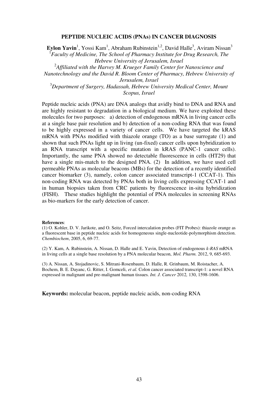#### **PEPTIDE NUCLEIC ACIDS (PNAs) IN CANCER DIAGNOSIS**

Eylon Yavin<sup>1</sup>, Yossi Kam<sup>1</sup>, Abraham Rubinstein<sup>1,2</sup>, David Halle<sup>3</sup>, Aviram Nissan<sup>3</sup> <sup>1</sup> Faculty of Medicine, The School of Pharmacy Institute for Drug Research, The *Hebrew University of Jerusalem, Israel*

2 *Affiliated with the Harvey M. Krueger Family Center for Nanoscience and Nanotechnology and the David R. Bloom Center of Pharmacy, Hebrew University of Jerusalem, Israel*

<sup>3</sup>*Department of Surgery, Hadassah, Hebrew University Medical Center, Mount Scopus, Israel*

Peptide nucleic acids (PNA) are DNA analogs that avidly bind to DNA and RNA and are highly resistant to degradation in a biological medium. We have exploited these molecules for two purposes: a) detection of endogenous mRNA in living cancer cells at a single base pair resolution and b) detection of a non-coding RNA that was found to be highly expressed in a variety of cancer cells. We have targeted the kRAS mRNA with PNAs modified with thiazole orange (TO) as a base surrogate (1) and shown that such PNAs light up in living (un-fixed) cancer cells upon hybridization to an RNA transcript with a specific mutation in kRAS (PANC-1 cancer cells). Importantly, the same PNA showed no detectable fluorescence in cells (HT29) that have a single mis-match to the designed PNA. (2) In addition, we have used cell permeable PNAs as molecular beacons (MBs) for the detection of a recently identified cancer biomarker (3), namely, colon cancer associated transcript-1 (CCAT-1). This non-coding RNA was detected by PNAs both in living cells expressing CCAT-1 and in human biopsies taken from CRC patients by fluorescence in-situ hybridization (FISH). These studies highlight the potential of PNA molecules in screening RNAs as bio-markers for the early detection of cancer.

#### **References**:

(1) O. Kohler, D. V. Jarikote, and O. Seitz, Forced intercalation probes (FIT Probes): thiazole orange as a fluorescent base in peptide nucleic acids for homogeneous single-nucleotide-polymorphism detection. *Chembiochem*, 2005, 6, 69-77.

(2) Y. Kam, A. Rubinstein, A. Nissan, D. Halle and E. Yavin, Detection of endogenous *k-RAS* mRNA in living cells at a single base resolution by a PNA molecular beacon, *Mol. Pharm.* 2012, 9, 685-693.

(3) A. Nissan, A. Stojadinovic, S. Mitrani-Rosenbaum, D. Halle, R. Grinbaum, M. Roistacher, A. Bochem, B. E. Dayanc, G. Ritter, I. Gomceli, *et al.* Colon cancer associated transcript-1: a novel RNA expressed in malignant and pre-malignant human tissues. *Int. J. Cancer* 2012*,* 130, 1598-1606.

**Keywords:** molecular beacon, peptide nucleic acids, non-coding RNA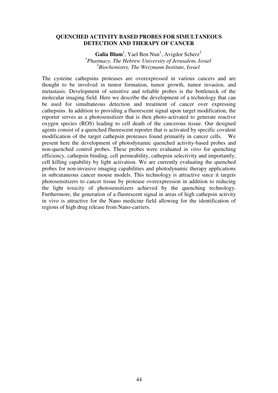#### **QUENCHED ACTIVITY BASED PROBES FOR SIMULTANEOUS DETECTION AND THERAPY OF CANCER**

Galia Blum<sup>1</sup>, Yael Ben Nun<sup>1</sup>, Avigdor Scherz<sup>2</sup> 1 *Pharmacy, The Hebrew University of Jerusalem, Israel* 2 *Biochemistry, The Weizmann Institute, Israel*

The cysteine cathepsins proteases are overexpressed in various cancers and are thought to be involved in tumor formation, tumor growth, tumor invasion, and metastasis. Development of sensitive and reliable probes is the bottleneck of the molecular imaging field. Here we describe the development of a technology that can be used for simultaneous detection and treatment of cancer over expressing cathepsins. In addition to providing a fluorescent signal upon target modification, the reporter serves as a photosensitizer that is then photo-activated to generate reactive oxygen species (ROS) leading to cell death of the cancerous tissue. Our designed agents consist of a quenched fluorescent reporter that is activated by specific covalent modification of the target cathepsin proteases found primarily in cancer cells. We present here the development of photodynamic quenched activity-based probes and non-quenched control probes. These probes were evaluated *in vitro* for quenching efficiency, cathepsin binding, cell permeability, cathepsin selectivity and importantly, cell killing capability by light activation. We are currently evaluating the quenched probes for non-invasive imaging capabilities and photodynamic therapy applications in subcutaneous cancer mouse models. This technology is attractive since it targets photosensitizers to cancer tissue by protease overexpression in addition to reducing the light toxicity of photosensitizers achieved by the quenching technology. Furthermore, the generation of a fluorescent signal in areas of high cathepsin activity in vivo is attractive for the Nano medicine field allowing for the identification of regions of high drug release from Nano-carriers.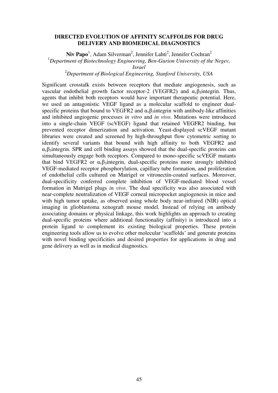#### **DIRECTED EVOLUTION OF AFFINITY SCAFFOLDS FOR DRUG DELIVERY AND BIOMEDICAL DIAGNOSTICS**

Niv Papo<sup>1</sup>, Adam Silverman<sup>2</sup>, Jennifer Lahti<sup>2</sup>, Jennifer Cochran<sup>2</sup> <sup>1</sup>*Department of Biotechnology Engineering, Ben-Gurion University of the Negev, Israel*

#### <sup>2</sup>*Department of Biological Engineering, Stanford University, USA*

Significant crosstalk exists between receptors that mediate angiogenesis, such as vascular endothelial growth factor receptor-2 (VEGFR2) and  $\alpha_{\nu} \beta_3$  integrin. Thus, agents that inhibit both receptors would have important therapeutic potential. Here, we used an antagonistic VEGF ligand as a molecular scaffold to engineer dualspecific proteins that bound to VEGFR2 and  $\alpha_{\nu} \beta_3$  integrin with antibody-like affinities and inhibited angiogenic processes *in vitro* and *in vivo*. Mutations were introduced into a single-chain VEGF (scVEGF) ligand that retained VEGFR2 binding, but prevented receptor dimerization and activation. Yeast-displayed scVEGF mutant libraries were created and screened by high-throughput flow cytometric sorting to identify several variants that bound with high affinity to both VEGFR2 and  $\alpha_{\rm v}$ β<sub>3</sub>integrin. SPR and cell binding assays showed that the dual-specific proteins can simultaneously engage both receptors. Compared to mono-specific scVEGF mutants that bind VEGFR2 or  $\alpha_{\nu} \beta_3$  integrin, dual-specific proteins more strongly inhibited VEGF-mediated receptor phosphorylation, capillary tube formation, and proliferation of endothelial cells cultured on Matrigel or vitronectin-coated surfaces. Moreover, dual-specificity conferred complete inhibition of VEGF-mediated blood vessel formation in Matrigel plugs *in vivo*. The dual specificity was also associated with near-complete neutralization of VEGF corneal micropocket angiogenesis in mice and with high tumor uptake, as observed using whole body near-infrared (NIR) optical imaging in glioblastoma xenograft mouse model. Instead of relying on antibody associating domains or physical linkage, this work highlights an approach to creating dual-specific proteins where additional functionality (affinity) is introduced into a protein ligand to complement its existing biological properties. These protein engineering tools allow us to evolve other molecular 'scaffolds' and generate proteins with novel binding specificities and desired properties for applications in drug and gene delivery as well as in medical diagnostics.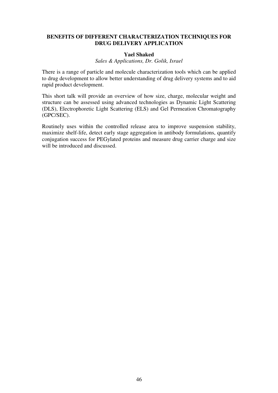# **BENEFITS OF DIFFERENT CHARACTERIZATION TECHNIQUES FOR DRUG DELIVERY APPLICATION**

# **Yael Shaked**

*Sales & Applications, Dr. Golik, Israel*

There is a range of particle and molecule characterization tools which can be applied to drug development to allow better understanding of drug delivery systems and to aid rapid product development.

This short talk will provide an overview of how size, charge, molecular weight and structure can be assessed using advanced technologies as Dynamic Light Scattering (DLS), Electrophoretic Light Scattering (ELS) and Gel Permeation Chromatography (GPC/SEC).

Routinely uses within the controlled release area to improve suspension stability, maximize shelf-life, detect early stage aggregation in antibody formulations, quantify conjugation success for PEGylated proteins and measure drug carrier charge and size will be introduced and discussed.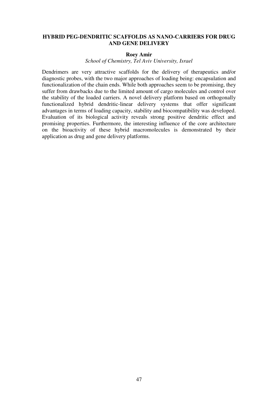#### **HYBRID PEG-DENDRITIC SCAFFOLDS AS NANO-CARRIERS FOR DRUG AND GENE DELIVERY**

#### **Roey Amir**

*School of Chemistry, Tel Aviv University, Israel*

Dendrimers are very attractive scaffolds for the delivery of therapeutics and/or diagnostic probes, with the two major approaches of loading being: encapsulation and functionalization of the chain ends. While both approaches seem to be promising, they suffer from drawbacks due to the limited amount of cargo molecules and control over the stability of the loaded carriers. A novel delivery platform based on orthogonally functionalized hybrid dendritic-linear delivery systems that offer significant advantages in terms of loading capacity, stability and biocompatibility was developed. Evaluation of its biological activity reveals strong positive dendritic effect and promising properties. Furthermore, the interesting influence of the core architecture on the bioactivity of these hybrid macromolecules is demonstrated by their application as drug and gene delivery platforms.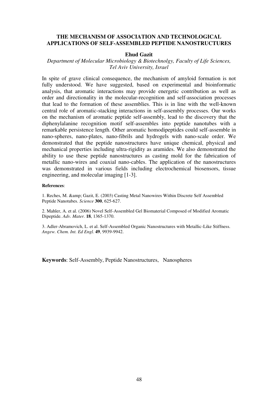#### **THE MECHANISM OF ASSOCIATION AND TECHNOLOGICAL APPLICATIONS OF SELF-ASSEMBLED PEPTIDE NANOSTRUCTURES**

#### **Ehud Gazit**

#### *Department of Molecular Microbiology & Biotechnolgy, Faculty of Life Sciences, Tel Aviv University, Israel*

In spite of grave clinical consequence, the mechanism of amyloid formation is not fully understood. We have suggested, based on experimental and bioinformatic analysis, that aromatic interactions may provide energetic contribution as well as order and directionality in the molecular-recognition and self-association processes that lead to the formation of these assemblies. This is in line with the well-known central role of aromatic-stacking interactions in self-assembly processes. Our works on the mechanism of aromatic peptide self-assembly, lead to the discovery that the diphenylalanine recognition motif self-assembles into peptide nanotubes with a remarkable persistence length. Other aromatic homodipeptides could self-assemble in nano-spheres, nano-plates, nano-fibrils and hydrogels with nano-scale order. We demonstrated that the peptide nanostructures have unique chemical, physical and mechanical properties including ultra-rigidity as aramides. We also demonstrated the ability to use these peptide nanostructures as casting mold for the fabrication of metallic nano-wires and coaxial nano-cables. The application of the nanostructures was demonstrated in various fields including electrochemical biosensors, tissue engineering, and molecular imaging [1-3].

#### **References**:

1. Reches, M. & Gazit, E. (2003) Casting Metal Nanowires Within Discrete Self Assembled Peptide Nanotubes. *Science* **300**, 625-627.

2. Mahler, A. et al. (2006) Novel Self-Assembled Gel Biomaterial Composed of Modified Aromatic Dipeptide. *Adv. Mater.* **18**, 1365-1370.

3. Adler-Abramovich, L. et al. Self-Assembled Organic Nanostructures with Metallic-Like Stiffness. *Angew. Chem. Int. Ed Engl.* **49**, 9939-9942.

**Keywords**: Self-Assembly, Peptide Nanostructures, Nanospheres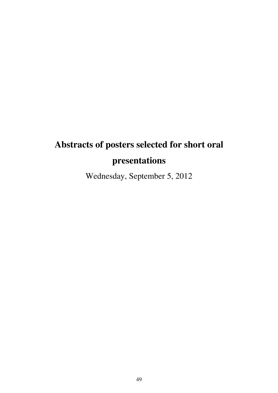# **Abstracts of posters selected for short oral presentations**

Wednesday, September 5, 2012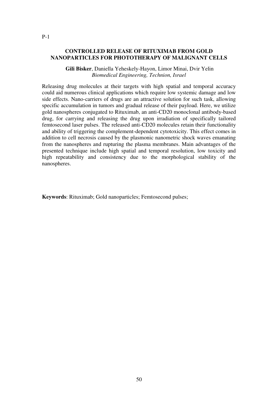#### **CONTROLLED RELEASE OF RITUXIMAB FROM GOLD NANOPARTICLES FOR PHOTOTHERAPY OF MALIGNANT CELLS**

 **Gili Bisker**, Daniella Yeheskely-Hayon, Limor Minai, Dvir Yelin *Biomedical Engineering, Technion, Israel*

Releasing drug molecules at their targets with high spatial and temporal accuracy could aid numerous clinical applications which require low systemic damage and low side effects. Nano-carriers of drugs are an attractive solution for such task, allowing specific accumulation in tumors and gradual release of their payload. Here, we utilize gold nanospheres conjugated to Rituximab, an anti-CD20 monoclonal antibody-based drug, for carrying and releasing the drug upon irradiation of specifically tailored femtosecond laser pulses. The released anti-CD20 molecules retain their functionality and ability of triggering the complement-dependent cytotoxicity. This effect comes in addition to cell necrosis caused by the plasmonic nanometric shock waves emanating from the nanospheres and rupturing the plasma membranes. Main advantages of the presented technique include high spatial and temporal resolution, low toxicity and high repeatability and consistency due to the morphological stability of the nanospheres.

**Keywords**: Rituximab; Gold nanoparticles; Femtosecond pulses;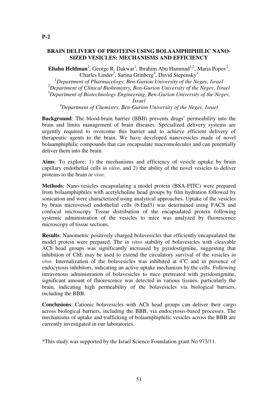#### **BRAIN DELIVERY OF PROTEINS USING BOLAAMPHIPHILIC NANO-SIZED VESICLES: MECHANISMS AND EFFICIENCY**

**Eliahu Heldman**<sup>2</sup>, George R. Dakwar<sup>1</sup>, Ibrahim Abu Hammad<sup>1,2</sup>, Maria Popov<sup>2</sup>, Charles Linder<sup>3</sup>, Sarina Grinberg<sup>4</sup>, David Stepensky<sup>1</sup>

*Department of Pharmacology, Ben-Gurion University of the Negev, Israel Department of Clinical Biohemistry, Ben-Gurion University of the Negev, Israel Department of Biotechnology Engineering, Ben-Gurion University of the Negev, Israel*

<sup>4</sup>*Department of Chemistry, Ben-Gurion University of the Negev, Israel*

**Background**: The blood-brain barrier (BBB) prevents drugs' permeability into the brain and limits management of brain diseases. Specialized delivery systems are urgently required to overcome this barrier and to achieve efficient delivery of therapeutic agents to the brain. We have developed nanovesicles made of novel bolaamphiphilic compounds that can encapsulate macromolecules and can potentially deliver them into the brain.

**Aims**: To explore: 1) the mechanisms and efficiency of vesicle uptake by brain capillary endothelial cells *in vitro*, and 2) the ability of the novel vesicles to deliver proteins to the brain *in vivo*.

**Methods**: Nano-vesicles encapsulating a model protein (BSA-FITC) were prepared from bolaamphiphiles with acetylcholine head groups by film hydration followed by sonication and were characterized using analytical approaches. Uptake of the vesicles by brain microvessel endothelial cells (b.End3) was determined using FACS and confocal microscopy Tissue distribution of the encapsulated protein following systemic administration of the vesicles to mice was analyzed by fluorescence microscopy of tissue sections.

**Results**: Nanometric positively charged bolavesicles that efficiently encapsulated the model protein were prepared. The *in vitro* stability of bolavesicles with cleavable ACh head groups was significantly increased by pyridostigmine, suggesting that inhibition of ChE may be used to extend the circulatory survival of the vesicles *in vivo*. Internalization of the bolavesicles was inhibited at  $4^{\circ}$ C and in presence of endocytosis inhibitors, indicating an active uptake mechanism by the cells. Following intravenous administration of bolavesicles to mice pretreated with pyridostigmine, significant amount of fluorescence was detected in various tissues, particularly the brain, indicating high permeability of the bolavesicles via biological barriers, including the BBB.

**Conclusions**: Cationic bolavesicles with ACh head groups can deliver their cargo across biological barriers, including the BBB, via endocytosis-based processes. The mechanisms of uptake and trafficking of bolaamphiphilic vesicles across the BBB are currently investigated in our laboratories.

\*This study was supported by the Israel Science Foundation grant No 973/11.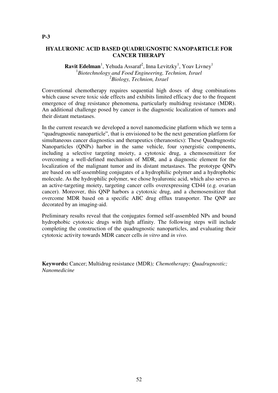# **HYALURONIC ACID BASED QUADRUGNOSTIC NANOPARTICLE FOR CANCER THERAPY**

# **Ravit Edelman**<sup>1</sup>, Yehuda Assaraf<sup>2</sup>, Inna Levitzky<sup>1</sup>, Yoav Livney<sup>1</sup> 1 *Biotechnology and Food Engineering, Technion, Israel* 2 *Biology, Technion, Israel*

Conventional chemotherapy requires sequential high doses of drug combinations which cause severe toxic side effects and exhibits limited efficacy due to the frequent emergence of drug resistance phenomena, particularly multidrug resistance (MDR). An additional challenge posed by cancer is the diagnostic localization of tumors and their distant metastases.

In the current research we developed a novel nanomedicine platform which we term a "quadrugnostic nanoparticle", that is envisioned to be the next generation platform for simultaneous cancer diagnostics and therapeutics (theranostics): These Quadrugnostic Nanoparticles (QNPs) harbor in the same vehicle, four synergistic components, including a selective targeting moiety, a cytotoxic drug, a chemosensitizer for overcoming a well-defined mechanism of MDR, and a diagnostic element for the localization of the malignant tumor and its distant metastases. The prototype QNPs are based on self-assembling conjugates of a hydrophilic polymer and a hydrophobic molecule. As the hydrophilic polymer, we chose hyaluronic acid, which also serves as an active-targeting moiety, targeting cancer cells overexpressing CD44 (e.g. ovarian cancer). Moreover, this QNP harbors a cytotoxic drug, and a chemosensitizer that overcome MDR based on a specific ABC drug efflux transporter. The QNP are decorated by an imaging-aid.

Preliminary results reveal that the conjugates formed self-assembled NPs and bound hydrophobic cytotoxic drugs with high affinity. The following steps will include completing the construction of the quadrugnostic nanoparticles, and evaluating their cytotoxic activity towards MDR cancer cells *in vitro* and *in vivo.*

**Keywords:** Cancer; Multidrug resistance (MDR)*; Chemotherapy; Quadrugnostic; Nanomedicine*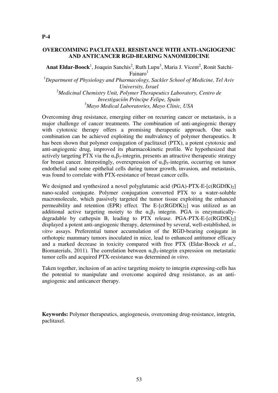#### **OVERCOMMING PACLITAXEL RESISTANCE WITH ANTI-ANGIOGENIC AND ANTICANCER RGD-BEARING NANOMEDICINE**

Anat Eldar-Boock<sup>1</sup>, Joaquin Sanchis<sup>2</sup>, Ruth Lupu<sup>3</sup>, Maria J. Vicent<sup>2</sup>, Ronit Satchi- $Fainaro<sup>1</sup>$ 

<sup>1</sup>*Department of Physiology and Pharmacology, Sackler School of Medicine, Tel Aviv University, Israel* <sup>2</sup>*Medicinal Chemistry Unit, Polymer Therapeutics Laboratory, Centro de Investigación Príncipe Felipe, Spain* <sup>3</sup>*Mayo Medical Laboratories, Mayo Clinic, USA*

Overcoming drug resistance, emerging either on recurring cancer or metastasis, is a major challenge of cancer treatments. The combination of anti-angiogenic therapy with cytotoxic therapy offers a promising therapeutic approach. One such combination can be achieved exploiting the multvalency of polymer therapeutics. It has been shown that polymer conjugation of paclitaxel (PTX), a potent cytotoxic and anti-angiogenic drug, improved its pharmacokinetic profile. We hypothesized that actively targeting PTX via the  $\alpha_{\nu} \beta_3$ -integrin, presents an attractive therapeutic strategy for breast cancer. Interestingly, overexpression of  $\alpha_{\nu}\beta_3$ -integrin, occurring on tumor endothelial and some epithelial cells during tumor growth, invasion, and metastasis, was found to correlate with PTX-resistance of breast cancer cells.

We designed and synthesized a novel polyglutamic acid (PGA)-PTX-E- $[c(RGDfK)_2]$ nano-scaled conjugate. Polymer conjugation converted PTX to a water-soluble macromolecule, which passively targeted the tumor tissue exploiting the enhanced permeability and retention (EPR) effect. The E- $[c(RGDfK)_2]$  was utilized as an additional active targeting moiety to the  $\alpha_v \beta_3$  integrin. PGA is enzymaticallydegradable by cathepsin B, leading to PTX release. PGA-PTX-E- $[c(RGDfK)_2]$ displayed a potent anti-angiogenic therapy, determined by several, well-established, *in vitro* assays. Preferential tumor accumulation of the RGD-bearing conjugate in orthotopic mammary tumors inoculated in mice, lead to enhanced antitumor efficacy and a marked decrease in toxicity compared with free PTX (Eldar-Boock *et al*., Biomaterials, 2011). The correlation between  $\alpha_{\nu}\beta_3$ -integrin expression on metastatic tumor cells and acquired PTX-resistance was determined *in vitro*.

Taken together, inclusion of an active targeting moiety to integrin expressing-cells has the potential to manipulate and overcome acquired drug resistance, as an antiangiogenic and anticancer therapy.

**Keywords:** Polymer therapeutics, angiogenesis, overcoming drug-resistance, integrin, paclitaxel.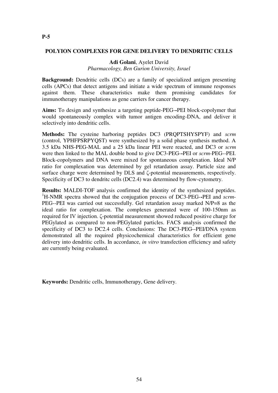#### **POLYION COMPLEXES FOR GENE DELIVERY TO DENDRITIC CELLS**

**Adi Golani**, Ayelet David *Pharmacology, Ben Gurion University, Israel*

**Background:** Dendritic cells (DCs) are a family of specialized antigen presenting cells (APCs) that detect antigens and initiate a wide spectrum of immune responses against them. These characteristics make them promising candidates for immunotherapy manipulations as gene carriers for cancer therapy.

**Aims:** To design and synthesize a targeting peptide-PEG-**-**PEI block-copolymer that would spontaneously complex with tumor antigen encoding-DNA, and deliver it selectively into dendritic cells.

**Methods:** The cysteine harboring peptides DC3 (PRQPTSHYSPYF) and *scrm* (control, YPHFPSRPYQST) were synthesized by a solid phase synthesis method. A 3.5 kDa NHS-PEG-MAL and a 25 kDa linear PEI were reacted, and DC3 or *scrm* were then linked to the MAL double bond to give DC3-PEG-**-**PEI or *scrm*-PEG--PEI. Block-copolymers and DNA were mixed for spontaneous complexation. Ideal N/P ratio for complexation was determined by gel retardation assay. Particle size and surface charge were determined by DLS and ζ-potential measurements, respectively. Specificity of DC3 to dendritc cells (DC2.4) was determined by flow-cytometry.

**Results:** MALDI-TOF analysis confirmed the identity of the synthesized peptides. <sup>1</sup>H-NMR spectra showed that the conjugation process of DC3-PEG-**-**PEI and *scrm*-PEG--PEI was carried out successfully. Gel retardation assay marked N/P=8 as the ideal ratio for complexation. The complexes generated were of 100-150nm as required for IV injection. ζ-potential measurement showed reduced positive charge for PEGylated as compared to non-PEGylated particles. FACS analysis confirmed the specificity of DC3 to DC2.4 cells. Conclusions: The DC3-PEG--PEI/DNA system demonstrated all the required physicochemical characteristics for efficient gene delivery into dendritic cells. In accordance, *in vitro* transfection efficiency and safety are currently being evaluated.

**Keywords:** Dendritic cells, Immunotherapy, Gene delivery.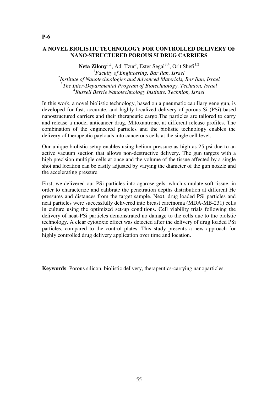# **A NOVEL BIOLISTIC TECHNOLOGY FOR CONTROLLED DELIVERY OF NANO-STRUCTURED POROUS SI DRUG CARRIERS**

Neta Zilony<sup>1,2</sup>, Adi Tzur<sup>3</sup>, Ester Segal<sup>3,4</sup>, Orit Shefi<sup>1,2</sup> *Faculty of Engineering, Bar Ilan, Israel Institute of Nanotechnologies and Advanced Materials, Bar Ilan, Israel The Inter-Departmental Program of Biotechnology, Technion, Israel Russell Berrie Nanotechnology Institute, Technion, Israel*

In this work, a novel biolistic technology, based on a pneumatic capillary gene gun, is developed for fast, accurate, and highly localized delivery of porous Si (PSi)-based nanostructured carriers and their therapeutic cargo.The particles are tailored to carry and release a model anticancer drug, Mitoxantrone, at different release profiles. The combination of the engineered particles and the biolistic technology enables the delivery of therapeutic payloads into cancerous cells at the single cell level.

Our unique biolistic setup enables using helium pressure as high as 25 psi due to an active vacuum suction that allows non-destructive delivery. The gun targets with a high precision multiple cells at once and the volume of the tissue affected by a single shot and location can be easily adjusted by varying the diameter of the gun nozzle and the accelerating pressure.

First, we delivered our PSi particles into agarose gels, which simulate soft tissue, in order to characterize and calibrate the penetration depths distribution at different He pressures and distances from the target sample. Next, drug loaded PSi particles and neat particles were successfully delivered into breast carcinoma (MDA-MB-231) cells in culture using the optimized set-up conditions. Cell viability trials following the delivery of neat-PSi particles demonstrated no damage to the cells due to the biolstic technology. A clear cytotoxic effect was detected after the delivery of drug loaded PSi particles, compared to the control plates. This study presents a new approach for highly controlled drug delivery application over time and location.

**Keywords**: Porous silicon, biolistic delivery, therapeutics-carrying nanoparticles.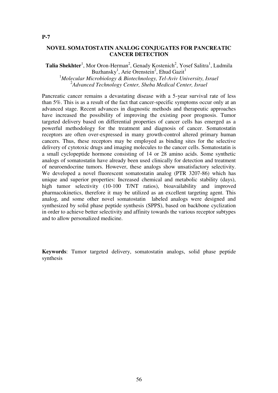#### **NOVEL SOMATOSTATIN ANALOG CONJUGATES FOR PANCREATIC CANCER DETECTION**

**Talia Shekhter**<sup>1</sup>, Mor Oron-Herman<sup>2</sup>, Genady Kostenich<sup>2</sup>, Yosef Salitra<sup>1</sup>, Ludmila Buzhansky<sup>1</sup>, Arie Orenstein<sup>2</sup>, Ehud Gazit<sup>1</sup> <sup>1</sup>*Molecular Microbiology & Biotechnology, Tel-Aviv University, Israel* 2 *Advanced Technology Center, Sheba Medical Center, Israel*

Pancreatic cancer remains a devastating disease with a 5-year survival rate of less than 5%. This is as a result of the fact that cancer-specific symptoms occur only at an advanced stage. Recent advances in diagnostic methods and therapeutic approaches have increased the possibility of improving the existing poor prognosis. Tumor targeted delivery based on differential properties of cancer cells has emerged as a powerful methodology for the treatment and diagnosis of cancer. Somatostatin receptors are often over-expressed in many growth-control altered primary human cancers. Thus, these receptors may be employed as binding sites for the selective delivery of cytotoxic drugs and imaging molecules to the cancer cells. Somatostatin is a small cyclopeptide hormone consisting of 14 or 28 amino acids. Some synthetic analogs of somatostatin have already been used clinically for detection and treatment of neuroendocrine tumors. However, these analogs show unsatisfactory selectivity. We developed a novel fluorescent somatostatin analog (PTR 3207-86) which has unique and superior properties: Increased chemical and metabolic stability (days), high tumor selectivity (10-100 T/NT ratios), bioavailability and improved pharmacokinetics, therefore it may be utilized as an excellent targeting agent. This analog, and some other novel somatostatin labeled analogs were designed and synthesized by solid phase peptide synthesis (SPPS), based on backbone cyclization in order to achieve better selectivity and affinity towards the various receptor subtypes and to allow personalized medicine.

**Keywords**: Tumor targeted delivery, somatostatin analogs, solid phase peptide synthesis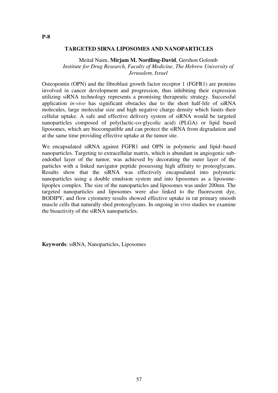#### **TARGETED SIRNA LIPOSOMES AND NANOPARTICLES**

#### Meital Naim, **Mirjam M. Nordling-David**, Gershon Golomb *Institute for Drug Research, Faculty of Medicine, The Hebrew University of Jerusalem, Israel*

Osteopontin (OPN) and the fibroblast growth factor receptor 1 (FGFR1) are proteins involved in cancer development and progression, thus inhibiting their expression utilizing siRNA technology represents a promising therapeutic strategy. Successful application *in-vivo* has significant obstacles due to the short half-life of siRNA molecules, large molecular size and high negative charge density which limits their cellular uptake. A safe and effective delivery system of siRNA would be targeted nanoparticles composed of poly(lactic-co-glycolic acid) (PLGA) or lipid based liposomes, which are biocompatible and can protect the siRNA from degradation and at the same time providing effective uptake at the tumor site.

We encapsulated siRNA against FGFR1 and OPN in polymeric and lipid–based nanoparticles. Targeting to extracellular matrix, which is abundant in angiogenic subendothel layer of the tumor, was achieved by decorating the outer layer of the particles with a linked navigator peptide possessing high affinity to proteoglycans. Results show that the siRNA was effectively encapsulated into polymeric nanoparticles using a double emulsion system and into liposomes as a liposomelipoplex complex. The size of the nanoparticles and liposomes was under 200nm. The targeted nanoparticles and liposomes were also linked to the fluorescent dye, BODIPY, and flow cytometry results showed effective uptake in rat primary smooth muscle cells that naturally shed proteoglycans. In ongoing in vivo studies we examine the bioactivity of the siRNA nanoparticles.

**Keywords**: siRNA, Nanoparticles, Liposomes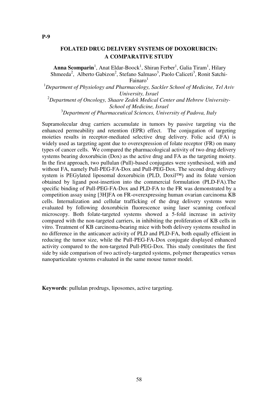# **FOLATED DRUG DELIVERY SYSTEMS OF DOXORUBICIN: A COMPARATIVE STUDY**

Anna Scomparin<sup>1</sup>, Anat Eldar-Boock<sup>1</sup>, Shiran Ferber<sup>1</sup>, Galia Tiram<sup>1</sup>, Hilary Shmeeda<sup>2</sup>, Alberto Gabizon<sup>2</sup>, Stefano Salmaso<sup>3</sup>, Paolo Caliceti<sup>3</sup>, Ronit Satchi- $Fainaro<sup>1</sup>$ 

<sup>1</sup>*Department of Physiology and Pharmacology, Sackler School of Medicine, Tel Aviv University, Israel*

<sup>2</sup>*Department of Oncology, Shaare Zedek Medical Center and Hebrew University-School of Medicine, Israel*

<sup>3</sup>*Department of Pharmaceutical Sciences, University of Padova, Italy*

Supramolecular drug carriers accumulate in tumors by passive targeting via the enhanced permeability and retention (EPR) effect. The conjugation of targeting moieties results in receptor-mediated selective drug delivery. Folic acid (FA) is widely used as targeting agent due to overexpression of folate receptor (FR) on many types of cancer cells. We compared the pharmacological activity of two drug delivery systems bearing doxorubicin (Dox) as the active drug and FA as the targeting moiety. In the first approach, two pullulan (Pull)-based conjugates were synthesised, with and without FA, namely Pull-PEG-FA-Dox and Pull-PEG-Dox. The second drug delivery system is PEGylated liposomal doxorubicin (PLD, Doxil™) and its folate version obtained by ligand post-insertion into the commercial formulation (PLD-FA).The specific binding of Pull-PEG-FA-Dox and PLD-FA to the FR was demonstrated by a competition assay using [3H]FA on FR-overexpressing human ovarian carcinoma KB cells. Internalization and cellular trafficking of the drug delivery systems were evaluated by following doxorubicin fluorescence using laser scanning confocal microscopy. Both folate-targeted systems showed a 5-fold increase in activity compared with the non-targeted carriers, in inhibiting the proliferation of KB cells in vitro. Treatment of KB carcinoma-bearing mice with both delivery systems resulted in no difference in the anticancer activity of PLD and PLD-FA, both equally efficient in reducing the tumor size, while the Pull-PEG-FA-Dox conjugate displayed enhanced activity compared to the non-targeted Pull-PEG-Dox. This study constitutes the first side by side comparison of two actively-targeted systems, polymer therapeutics versus nanoparticulate systems evaluated in the same mouse tumor model.

**Keywords**: pullulan prodrugs, liposomes, active targeting.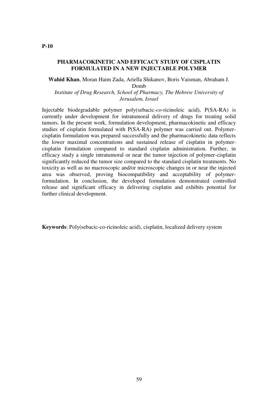#### **PHARMACOKINETIC AND EFFICACY STUDY OF CISPLATIN FORMULATED IN A NEW INJECTABLE POLYMER**

**Wahid Khan**, Moran Haim Zada, Ariella Shikanov, Boris Vaisman, Abraham J. Domb

*Institute of Drug Research, School of Pharmacy, The Hebrew University of Jerusalem, Israel*

Injectable biodegradable polymer poly(sebacic-*co*-ricinoleic acid), P(SA-RA) is currently under development for intratumoral delivery of drugs for treating solid tumors. In the present work, formulation development, pharmacokinetic and efficacy studies of cisplatin formulated with P(SA-RA) polymer was carried out. Polymercisplatin formulation was prepared successfully and the pharmacokinetic data reflects the lower maximal concentrations and sustained release of cisplatin in polymercisplatin formulation compared to standard cisplatin administration. Further, in efficacy study a single intratumoral or near the tumor injection of polymer-cisplatin significantly reduced the tumor size compared to the standard cisplatin treatments. No toxicity as well as no macroscopic and/or microscopic changes in or near the injected area was observed, proving biocompatibility and acceptability of polymerformulation. In conclusion, the developed formulation demonstrated controlled release and significant efficacy in delivering cisplatin and exhibits potential for further clinical development.

**Keywords**: Poly(sebacic-co-ricinoleic acid), cisplatin, localized delivery system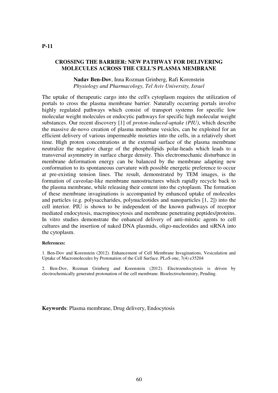#### **CROSSING THE BARRIER: NEW PATHWAY FOR DELIVERING MOLECULES ACROSS THE CELL'S PLASMA MEMBRANE**

**Nadav Ben-Dov**, Inna Rozman Grinberg, Rafi Korenstein *Physiology and Pharmacology, Tel Aviv University, Israel*

The uptake of therapeutic cargo into the cell's cytoplasm requires the utilization of portals to cross the plasma membrane barrier. Naturally occurring portals involve highly regulated pathways which consist of transport systems for specific low molecular weight molecules or endocytic pathways for specific high molecular weight substances. Our recent discovery [1] of *proton-induced-uptake (PIU)*, which describe the massive de-novo creation of plasma membrane vesicles, can be exploited for an efficient delivery of various impermeable moieties into the cells, in a relatively short time. High proton concentrations at the external surface of the plasma membrane neutralize the negative charge of the phospholipids polar-heads which leads to a transversal asymmetry in surface charge density. This electromechanic disturbance in membrane deformation energy can be balanced by the membrane adapting new conformation to its spontaneous curvature with possible energetic preference to occur at pre-existing tension lines. The result, demonstrated by TEM images, is the formation of caveolae-like membrane nanostructures which rapidly recycle back to the plasma membrane, while releasing their content into the cytoplasm. The formation of these membrane invaginations is accompanied by enhanced uptake of molecules and particles (e.g. polysaccharides, polynucleotides and nanoparticles [1, 2]) into the cell interior. PIU is shown to be independent of the known pathways of receptor mediated endocytosis, macropinocytosis and membrane penetrating peptides/proteins. In vitro studies demonstrate the enhanced delivery of anti-mitotic agents to cell cultures and the insertion of naked DNA plasmids, oligo-nucleotides and siRNA into the cytoplasm.

#### **References:**

1. Ben-Dov and Korenstein (2012). Enhancement of Cell Membrane Invaginations, Vesiculation and Uptake of Macromolecules by Protonation of the Cell Surface. PLoS one, 7(4) e35204

2. Ben-Dov, Rozman Grinberg and Korenstein (2012). Electroendocytosis is driven by electrochemically generated protonation of the cell membrane. Bioelectrochemistry, Pending.

**Keywords**: Plasma membrane, Drug delivery, Endocytosis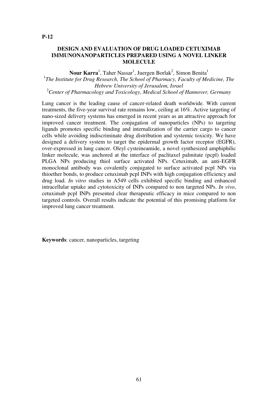# **DESIGN AND EVALUATION OF DRUG LOADED CETUXIMAB IMMUNONANOPARTICLES PREPARED USING A NOVEL LINKER MOLECULE**

 $\bf{Nour~Karra}^1$ , Taher Nassar<sup>1</sup>, Juergen Borlak<sup>2</sup>, Simon Benita<sup>1</sup> <sup>1</sup>The Institute for Drug Research, The School of Pharmacy, Faculty of Medicine, The *Hebrew University of Jerusalem, Israel* <sup>2</sup>*Center of Pharmacology and Toxicology, Medical School of Hannover, Germany*

Lung cancer is the leading cause of cancer-related death worldwide. With current treatments, the five-year survival rate remains low, ceiling at 16%. Active targeting of nano-sized delivery systems has emerged in recent years as an attractive approach for improved cancer treatment. The conjugation of nanoparticles (NPs) to targeting ligands promotes specific binding and internalization of the carrier cargo to cancer cells while avoiding indiscriminate drug distribution and systemic toxicity. We have designed a delivery system to target the epidermal growth factor receptor (EGFR), over-expressed in lung cancer. Oleyl cysteineamide, a novel synthesized amphiphilic linker molecule, was anchored at the interface of paclitaxel palmitate (pcpl) loaded PLGA NPs producing thiol surface activated NPs. Cetuximab, an anti-EGFR monoclonal antibody was covalently conjugated to surface activated pcpl NPs via thioether bonds, to produce cetuximab pcpl INPs with high conjugation efficiency and drug load. *In vitro* studies in A549 cells exhibited specific binding and enhanced intracellular uptake and cytotoxicity of INPs compared to non targeted NPs. *In vivo*, cetuximab pcpl INPs presented clear therapeutic efficacy in mice compared to non targeted controls. Overall results indicate the potential of this promising platform for improved lung cancer treatment.

**Keywords**: cancer, nanoparticles, targeting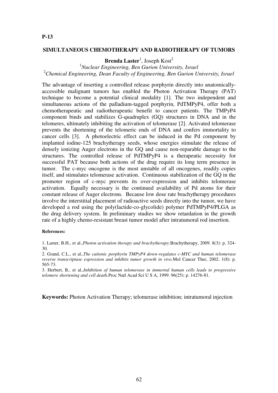#### **SIMULTANEOUS CHEMOTHERAPY AND RADIOTHERAPY OF TUMORS**

# **Brenda Laster**<sup>1</sup>, Joseph Kost<sup>2</sup>

# <sup>1</sup>*Nuclear Engineering, Ben Gurion University, Israel* <sup>2</sup>*Chemical Engineering, Dean Faculty of Engineering, Ben Gurion University, Israel*

The advantage of inserting a controlled release porphyrin directly into anatomicallyaccessible malignant tumors has enabled the Photon Activation Therapy (PAT) technique to become a potential clinical modality [1]. The two independent and simultaneous actions of the palladium-tagged porphyrin, PdTMPyP4, offer both a chemotherapeutic and radiotherapeutic benefit to cancer patients. The TMPyP4 component binds and stabilizes G-quadruplex (GQ) structures in DNA and in the telomeres, ultimately inhibiting the activation of telomerase [2]. Activated telomerase prevents the shortening of the telomeric ends of DNA and confers immortality to cancer cells [3]. A photoelectric effect can be induced in the Pd component by implanted iodine-125 brachytherapy seeds, whose energies stimulate the release of densely ionizing Auger electrons in the GQ and cause non-reparable damage to the structures. The controlled release of PdTMPyP4 is a therapeutic necessity for successful PAT because both actions of the drug require its long term presence in tumor. The c-myc oncogene is the most unstable of all oncogenes, readily copies itself, and stimulates telomerase activation. Continuous stabilization of the GQ in the promoter region of c-myc prevents its over-expression and inhibits telomerase activation. Equally necessary is the continued availability of Pd atoms for their constant release of Auger electrons. Because low dose rate brachytherapy procedures involve the interstitial placement of radioactive seeds directly into the tumor, we have developed a rod using the poly(lactide-co-glycolide) polymer PdTMPyP4/PLGA as the drug delivery system. In preliminary studies we show retardation in the growth rate of a highly chemo-resistant breast tumor model after intratumoral rod insertion.

#### **References:**

1. Laster, B.H., et al.,*Photon activation therapy and brachytherapy.*Brachytherapy, 2009. 8(3): p. 324- 30.

2. Grand, C.L., et al.,*The cationic porphyrin TMPyP4 down-regulates c-MYC and human telomerase reverse transcriptase expression and inhibits tumor growth in vivo.*Mol Cancer Ther, 2002. 1(8): p. 565-73.

3. Herbert, B., et al.,*Inhibition of human telomerase in immortal human cells leads to progressive telomere shortening and cell death.*Proc Natl Acad Sci U S A, 1999. 96(25): p. 14276-81.

**Keywords:** Photon Activation Therapy; telomerase inhibition; intratumoral injection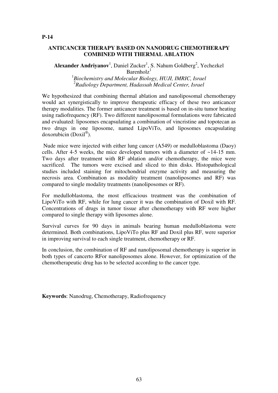Alexander Andriyanov<sup>1</sup>, Daniel Zucker<sup>1</sup>, S. Nahum Goldberg<sup>2</sup>, Yechezkel

Barenholz<sup>1</sup>

1 *Biochemistry and Molecular Biology, HUJI, IMRIC, Israel* 2 *Radiology Department, Hadassah Medical Center, Israel*

We hypothesized that combining thermal ablation and nanoliposomal chemotherapy would act synergistically to improve therapeutic efficacy of these two anticancer therapy modalities. The former anticancer treatment is based on in-situ tumor heating using radiofrequency (RF). Two different nanoliposomal formulations were fabricated and evaluated: liposomes encapsulating a combination of vincristine and topotecan as two drugs in one liposome, named LipoViTo, and liposomes encapsulating doxorubicin (Doxil® ).

 Nude mice were injected with either lung cancer (A549) or medulloblastoma (Daoy) cells. After 4-5 weeks, the mice developed tumors with a diameter of ~14-15 mm. Two days after treatment with RF ablation and/or chemotherapy, the mice were sacrificed. The tumors were excised and sliced to thin disks. Histopathological studies included staining for mitochondrial enzyme activity and measuring the necrosis area. Combination as modality treatment (nanoliposomes and RF) was compared to single modality treatments (nanoliposomes or RF).

For medulloblastoma, the most efficacious treatment was the combination of LipoViTo with RF, while for lung cancer it was the combination of Doxil with RF. Concentrations of drugs in tumor tissue after chemotherapy with RF were higher compared to single therapy with liposomes alone.

Survival curves for 90 days in animals bearing human medulloblastoma were determined. Both combinations, LipoViTo plus RF and Doxil plus RF, were superior in improving survival to each single treatment, chemotherapy or RF.

In conclusion, the combination of RF and nanoliposomal chemotherapy is superior in both types of cancerto RFor nanoliposomes alone. However, for optimization of the chemotherapeutic drug has to be selected according to the cancer type.

**Keywords**: Nanodrug, Chemotherapy, Radiofrequency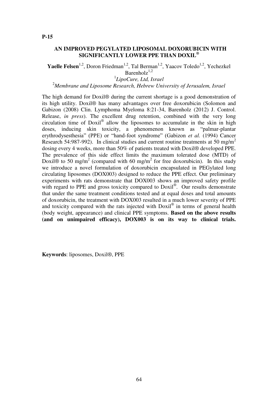# **AN IMPROVED PEGYLATED LIPOSOMAL DOXORUBICIN WITH SIGNIFICANTLY LOWER PPE THAN DOXIL®**

**Yaelle Felsen**<sup>1,2</sup>, Doron Friedman<sup>1,2</sup>, Tal Berman<sup>1,2</sup>, Yaacov Toledo<sup>1,2</sup>, Yechezkel

Barenhol $z^{1,2}$ 

1 *LipoCure, Ltd, Israel*

<sup>2</sup>*Membrane and Liposome Research, Hebrew University of Jerusalem, Israel*

The high demand for Doxil® during the current shortage is a good demonstration of its high utility. Doxil® has many advantages over free doxorubicin (Solomon and Gabizon (2008) Clin. Lymphoma Myeloma 8:21-34, Barenholz (2012) J. Control. Release, *in press*). The excellent drug retention, combined with the very long circulation time of Doxil® allow the liposomes to accumulate in the skin in high doses, inducing skin toxicity, a phenomenon known as "palmar-plantar erythrodysesthesia" (PPE) or "hand-foot syndrome" (Gabizon *et al.* (1994) Cancer Research 54:987-992). In clinical studies and current routine treatments at 50 mg/m<sup>2</sup> dosing every 4 weeks, more than 50% of patients treated with Doxil® developed PPE. The prevalence of this side effect limits the maximum tolerated dose (MTD) of Doxil® to 50 mg/m<sup>2</sup> (compared with 60 mg/m<sup>2</sup> for free doxorubicin). In this study we introduce a novel formulation of doxorubicin encapsulated in PEGylated long circulating liposomes (DOX003) designed to reduce the PPE effect. Our preliminary experiments with rats demonstrate that DOX003 shows an improved safety profile with regard to PPE and gross toxicity compared to Doxil®. Our results demonstrate that under the same treatment conditions tested and at equal doses and total amounts of doxorubicin, the treatment with DOX003 resulted in a much lower severity of PPE and toxicity compared with the rats injected with  $Doxil<sup>®</sup>$  in terms of general health (body weight, appearance) and clinical PPE symptoms. **Based on the above results (and on unimpaired efficacy), DOX003 is on its way to clinical trials.**

**Keywords**: liposomes, Doxil®, PPE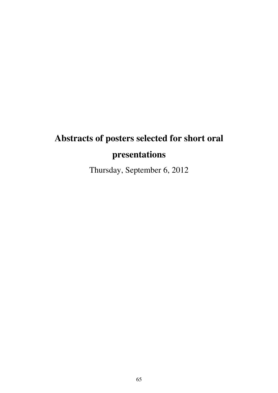# **Abstracts of posters selected for short oral presentations**

Thursday, September 6, 2012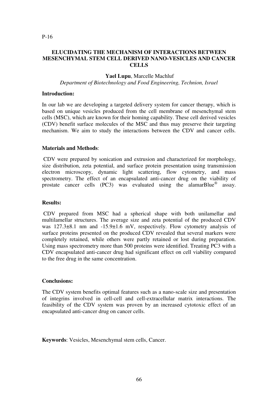# **ELUCIDATING THE MECHANISM OF INTERACTIONS BETWEEN MESENCHYMAL STEM CELL DERIVED NANO-VESICLES AND CANCER CELLS**

#### **Yael Lupu**, Marcelle Machluf

*Department of Biotechnology and Food Engineering, Technion, Israel*

#### **Introduction:**

In our lab we are developing a targeted delivery system for cancer therapy, which is based on unique vesicles produced from the cell membrane of mesenchymal stem cells (MSC), which are known for their homing capability. These cell derived vesicles (CDV) benefit surface molecules of the MSC and thus may preserve their targeting mechanism. We aim to study the interactions between the CDV and cancer cells.

#### **Materials and Methods**:

 CDV were prepared by sonication and extrusion and characterized for morphology, size distribution, zeta potential, and surface protein presentation using transmission electron microscopy, dynamic light scattering, flow cytometry, and mass spectrometry. The effect of an encapsulated anti-cancer drug on the viability of prostate cancer cells (PC3) was evaluated using the alamarBlue<sup>®</sup> assay.

#### **Results:**

 CDV prepared from MSC had a spherical shape with both unilamellar and multilamellar structures. The average size and zeta potential of the produced CDV was  $127.3\pm8.1$  nm and  $-15.9\pm1.6$  mV, respectively. Flow cytometry analysis of surface proteins presented on the produced CDV revealed that several markers were completely retained, while others were partly retained or lost during preparation. Using mass spectrometry more than 500 proteins were identified. Treating PC3 with a CDV encapsulated anti-cancer drug had significant effect on cell viability compared to the free drug in the same concentration.

# **Conclusions:**

The CDV system benefits optimal features such as a nano-scale size and presentation of integrins involved in cell-cell and cell-extracellular matrix interactions. The feasibility of the CDV system was proven by an increased cytotoxic effect of an encapsulated anti-cancer drug on cancer cells.

**Keywords**: Vesicles, Mesenchymal stem cells, Cancer.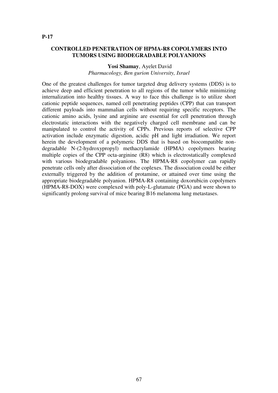# **CONTROLLED PENETRATION OF HPMA-R8 COPOLYMERS INTO TUMORS USING BIODEGRADABLE POLYANIONS**

#### **Yosi Shamay**, Ayelet David *Pharmacology, Ben gurion University, Israel*

One of the greatest challenges for tumor targeted drug delivery systems (DDS) is to achieve deep and efficient penetration to all regions of the tumor while minimizing internalization into healthy tissues. A way to face this challenge is to utilize short cationic peptide sequences, named cell penetrating peptides (CPP) that can transport different payloads into mammalian cells without requiring specific receptors. The cationic amino acids, lysine and arginine are essential for cell penetration through electrostatic interactions with the negatively charged cell membrane and can be manipulated to control the activity of CPPs. Previous reports of selective CPP activation include enzymatic digestion, acidic pH and light irradiation. We report herein the development of a polymeric DDS that is based on biocompatible nondegradable N-(2-hydroxypropyl) methacrylamide (HPMA) copolymers bearing multiple copies of the CPP octa-arginine (R8) which is electrostatically complexed with various biodegradable polyanions. The HPMA-R8 copolymer can rapidly penetrate cells only after dissociation of the coplexes. The dissociation could be either externally triggered by the addition of protamine, or attained over time using the appropriate biodegradable polyanion. HPMA-R8 containing doxorubicin copolymers (HPMA-R8-DOX) were complexed with poly-L-glutamate (PGA) and were shown to significantly prolong survival of mice bearing B16 melanoma lung metastases.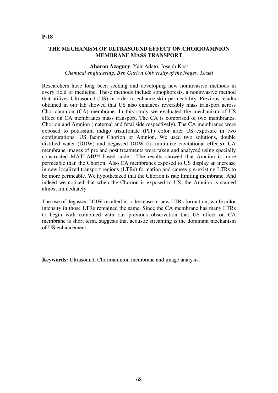# **THE MECHANISM OF ULTRASOUND EFFECT ON CHORIOAMNION MEMBRANE MASS TRANSPORT**

#### **Aharon Azagury**, Yair Adato, Joseph Kost *Chemical engineering, Ben Gurion University of the Negev, Israel*

Researchers have long been seeking and developing new noninvasive methods in every field of medicine. These methods include sonophoresis, a noninvasive method that utilizes Ultrasound (US) in order to enhance skin permeability. Previous results obtained in our lab showed that US also enhances reversibly mass transport across Chorioamnion (CA) membrane. In this study we evaluated the mechanism of US effect on CA membranes mass transport. The CA is comprised of two membranes, Chorion and Amnion (maternal and fetal side respectively). The CA membranes were exposed to potassium indigo trisulfonate (PIT) color after US exposure in two configurations: US facing Chorion or Amnion. We used two solutions, double distilled water (DDW) and degassed DDW (to minimize cavitational effects). CA membrane images of pre and post treatments were taken and analyzed using specially constructed MATLAB™ based code. The results showed that Amnion is more permeable than the Chorion. Also CA membranes exposed to US display an increase in new localized transport regions (LTRs) formation and causes pre-existing LTRs to be more permeable. We hypothesized that the Chorion is rate limiting membrane. And indeed we noticed that when the Chorion is exposed to US, the Amnion is stained almost immediately.

The use of degassed DDW resulted in a decrease in new LTRs formation, while color intensity in those LTRs remained the same. Since the CA membrane has many LTRs to begin with combined with our previous observation that US effect on CA membrane is short term, suggests that acoustic streaming is the dominant mechanism of US enhancement.

**Keywords:** Ultrasound, Chorioamnion membrane and image analysis.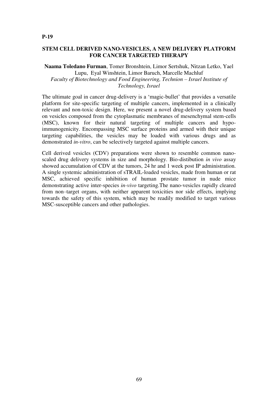# **STEM CELL DERIVED NANO-VESICLES, A NEW DELIVERY PLATFORM FOR CANCER TARGETED THERAPY**

#### **Naama Toledano Furman**, Tomer Bronshtein, Limor Sertshuk, Nitzan Letko, Yael Lupu, Eyal Winshtein, Limor Baruch, Marcelle Machluf *Faculty of Biotechnology and Food Engineering, Technion – Israel Institute of Technology, Israel*

The ultimate goal in cancer drug-delivery is a 'magic-bullet' that provides a versatile platform for site-specific targeting of multiple cancers, implemented in a clinically relevant and non-toxic design. Here, we present a novel drug-delivery system based on vesicles composed from the cytoplasmatic membranes of mesenchymal stem-cells (MSC), known for their natural targeting of multiple cancers and hypoimmunogenicity. Encompassing MSC surface proteins and armed with their unique targeting capabilities, the vesicles may be loaded with various drugs and as demonstrated *in-vitro*, can be selectively targeted against multiple cancers.

Cell derived vesicles (CDV) preparations were shown to resemble common nanoscaled drug delivery systems in size and morphology. Bio-distibution *in vivo* assay showed accumulation of CDV at the tumors, 24 hr and 1 week post IP administration. A single systemic administration of sTRAIL-loaded vesicles, made from human or rat MSC, achieved specific inhibition of human prostate tumor in nude mice demonstrating active inter-species *in-vivo* targeting.The nano-vesicles rapidly cleared from non–target organs, with neither apparent toxicities nor side effects, implying towards the safety of this system, which may be readily modified to target various MSC-susceptible cancers and other pathologies.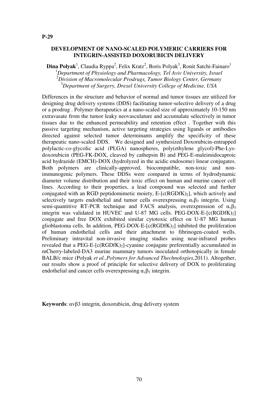#### **DEVELOPMENT OF NANO-SCALED POLYMERIC CARRIERS FOR INTEGRIN-ASSISTED DOXORUBICIN DELIVERY**

 $\mathbf{Dina}\ \mathbf{Polyak}^1, \mathbf{Cl}$ audia Ryppa $^2$ , Felix Kratz $^2$ , Boris Polyak $^3$ , Ronit Satchi-Fainaro $^1$ *Department of Physiology and Pharmacology, Tel Aviv University, Israel Division of Macromolecular Prodrugs, Tumor Biology Center, Germany Department of Surgery, Drexel University College of Medicine, USA*

Differences in the structure and behavior of normal and tumor tissues are utilized for designing drug delivery systems (DDS) facilitating tumor-selective delivery of a drug or a prodrug . Polymer therapeutics at a nano-scaled size of approximately 10-150 nm extravasate from the tumor leaky neovasculature and accumulate selectively in tumor tissues due to the enhanced permeability and retention effect . Together with this passive targeting mechanism, active targeting strategies using ligands or antibodies directed against selected tumor determinants amplify the specificity of these therapeutic nano-scaled DDS. We designed and synthesized Doxorubicin-entrapped polylactic-*co*-glycolic acid (PLGA) nanospheres, poly(ethylene glycol)-Phe-Lysdoxorubicin (PEG-FK-DOX, cleaved by cathepsin B) and PEG-E-maleimidocaproic acid hydrazide (EMCH)-DOX (hydrolyzed in the acidic endosome) linear conjugates. Both polymers are clinically-approved, biocompatible, non-toxic and nonimmunogenic polymers. These DDSs were compared in terms of hydrodynamic diameter volume distribution and their toxic effect on human and murine cancer cell lines. According to their properties, a lead compound was selected and further conjugated with an RGD peptidomimetic moiety,  $E$ -[c(RGDfK)<sub>2</sub>], which actively and selectively targets endothelial and tumor cells overexpressing  $\alpha_{\nu}\beta_3$  integrin. Using semi-quantitive RT-PCR technique and FACS analysis, overexpression of  $\alpha_{\nu}\beta_3$ integrin was validated in HUVEC and U-87 MG cells. PEG-DOX-E- $[c(RGDfK)_2]$ conjugate and free DOX exhibited similar cytotoxic effect on U-87 MG human glioblastoma cells. In addition,  $PEG-DOX-E-[c(RGDfK)_2]$  inhibited the proliferation of human endothelial cells and their attachment to fibrinogen-coated wells. Preliminary intravital non-invasive imaging studies using near-infrared probes revealed that a PEG-E- $[c(RGDfK)_2]$ -cyanine conjugate preferentially accumulated in mCherry-labeled-DA3 murine mammary tumors inoculated orthotopically in female BALB/c mice (Polyak *et al.,Polymers for Advanced Thechnologies,*2011). Altogether, our results show a proof of principle for selective delivery of DOX to proliferating endothelial and cancer cells overexpressing  $\alpha_{\nu}\beta_3$  integrin.

**Keywords**: αvβ3 integrin, doxorubicin, drug delivery system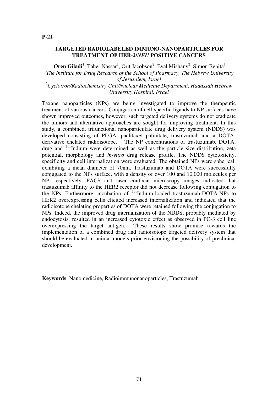#### **TARGETED RADIOLABELED IMMUNO-NANOPARTICLES FOR TREATMENT OF HER-2/***NEU* **POSITIVE CANCERS**

**Oren Giladi**<sup>1</sup>, Taher Nassar<sup>1</sup>, Orit Jacobson<sup>2</sup>, Eyal Mishany<sup>2</sup>, Simon Benita<sup>1</sup> <sup>1</sup>The Institute for Drug Research of the School of Pharmacy, The Hebrew University *of Jerusalem, Israel* <sup>2</sup>*Cyclotron/Radiochemistry Unit/Nuclear Medicine Department, Hadassah Hebrew University Hospital, Israel*

Taxane nanoparticles (NPs) are being investigated to improve the therapeutic treatment of various cancers. Conjugation of cell-specific ligands to NP surfaces have shown improved outcomes, however, such targeted delivery systems do not eradicate the tumors and alternative approaches are sought for improving treatment. In this study, a combined, trifunctional nanoparticulate drug delivery system (NDDS) was developed consisting of PLGA, paclitaxel palmitate, trastuzumab and a DOTAderivative chelated radioisotope. The NP concentrations of trastuzumab, DOTA, drug and <sup>111</sup>Indium were determined as well as the particle size distribution, zeta potential, morphology and *in-vitro* drug release profile. The NDDS cytotoxicity, specificity and cell internalization were evaluated. The obtained NPs were spherical, exhibiting a mean diameter of 70nm. Trastuzumab and DOTA were successfully conjugated to the NPs surface, with a density of over 100 and 10,000 molecules per NP, respectively. FACS and laser confocal microscopy images indicated that trastuzumab affinity to the HER2 receptor did not decrease following conjugation to the NPs. Furthermore, incubation of <sup>111</sup>Indium-loaded trastuzumab-DOTA-NPs to HER2 overexpressing cells elicited increased internalization and indicated that the radioisotope chelating properties of DOTA were retained following the conjugation to NPs. Indeed, the improved drug internalization of the NDDS, probably mediated by endocytosis, resulted in an increased cytotoxic effect as observed in PC-3 cell line overexpressing the target antigen. These results show promise towards the implementation of a combined drug and radioisotope targeted delivery system that should be evaluated in animal models prior envisioning the possibility of preclinical development.

**Keywords**: Nanomedicine, Radioimmunonanoparticles, Trastuzumab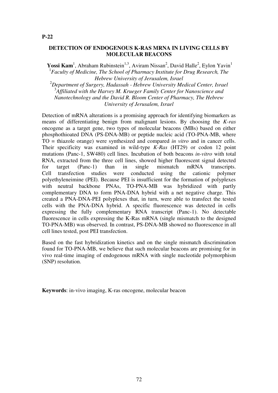#### **DETECTION OF ENDOGENOUS K-RAS MRNA IN LIVING CELLS BY MOLECULAR BEACONS**

Yossi Kam<sup>1</sup>, Abraham Rubinstein<sup>1,3</sup>, Aviram Nissan<sup>2</sup>, David Halle<sup>2</sup>, Eylon Yavin<sup>1</sup> <sup>1</sup> Faculty of Medicine, The School of Pharmacy Institute for Drug Research, The *Hebrew University of Jerusalem, Israel*

<sup>2</sup>*Department of Surgery, Hadassah - Hebrew University Medical Center, Israel* 3 *Affiliated with the Harvey M. Krueger Family Center for Nanoscience and Nanotechnology and the David R. Bloom Center of Pharmacy, The Hebrew University of Jerusalem, Israel*

Detection of mRNA alterations is a promising approach for identifying biomarkers as means of differentiating benign from malignant lesions. By choosing the *K-ras* oncogene as a target gene, two types of molecular beacons (MBs) based on either phosphothioated DNA (PS-DNA-MB) or peptide nucleic acid (TO-PNA-MB, where TO = thiazole orange) were synthesized and compared *in vitro* and in cancer cells. Their specificity was examined in wild-type *K-Ras* (HT29) or codon 12 point mutations (Panc-1, SW480) cell lines. Incubation of both beacons *in-vitro* with total RNA, extracted from the three cell lines, showed higher fluorescent signal detected for target (Panc-1) than in single mismatch mRNA transcripts. Cell transfection studies were conducted using the cationic polymer polyethyleneimine (PEI). Because PEI is insufficient for the formation of polyplexes with neutral backbone PNAs, TO-PNA-MB was hybridized with partly complementary DNA to form PNA-DNA hybrid with a net negative charge. This created a PNA-DNA-PEI polyplexes that, in turn, were able to transfect the tested cells with the PNA-DNA hybrid. A specific fluorescence was detected in cells expressing the fully complementary RNA transcript (Panc-1). No detectable fluorescence in cells expressing the K-Ras mRNA (single mismatch to the designed TO-PNA-MB) was observed. In contrast, PS-DNA-MB showed no fluorescence in all cell lines tested, post PEI transfection.

Based on the fast hybridization kinetics and on the single mismatch discrimination found for TO-PNA-MB, we believe that such molecular beacons are promising for in vivo real-time imaging of endogenous mRNA with single nucleotide polymorphism (SNP) resolution.

**Keywords**: in-vivo imaging, K-ras oncogene, molecular beacon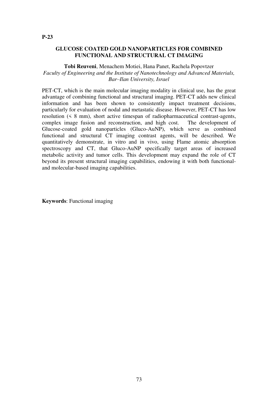# **GLUCOSE COATED GOLD NANOPARTICLES FOR COMBINED FUNCTIONAL AND STRUCTURAL CT IMAGING**

**Tobi Reuveni**, Menachem Motiei, Hana Panet, Rachela Popovtzer *Faculty of Engineering and the Institute of Nanotechnology and Advanced Materials, Bar–Ilan University, Israel*

PET-CT, which is the main molecular imaging modality in clinical use, has the great advantage of combining functional and structural imaging. PET-CT adds new clinical information and has been shown to consistently impact treatment decisions, particularly for evaluation of nodal and metastatic disease. However, PET-CT has low resolution (< 8 mm), short active timespan of radiopharmaceutical contrast-agents, complex image fusion and reconstruction, and high cost. The development of Glucose-coated gold nanoparticles (Gluco-AuNP), which serve as combined functional and structural CT imaging contrast agents, will be described. We quantitatively demonstrate, in vitro and in vivo, using Flame atomic absorption spectroscopy and CT, that Gluco-AuNP specifically target areas of increased metabolic activity and tumor cells. This development may expand the role of CT beyond its present structural imaging capabilities, endowing it with both functionaland molecular-based imaging capabilities.

**Keywords**: Functional imaging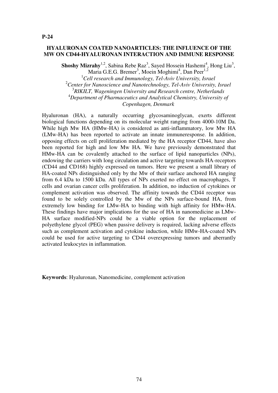#### **HYALURONAN COATED NANOARTICLES: THE INFLUENCE OF THE MW ON CD44-HYALURONAN INTERACTION AND IMMUNE RESPONSE**

**Shoshy Mizrahy**<sup>1,2</sup>, Sabina Rebe Raz<sup>3</sup>, Sayed Hossein Hashemi<sup>4</sup>, Hong Liu<sup>3</sup>, Maria G.E.G. Bremer<sup>3</sup>, Moein Moghimi<sup>4</sup>, Dan Peer<sup>1,2</sup>

*Cell research and Immunology, Tel-Aviv University, Israel Center for Nanoscience and Nanotechnology, Tel-Aviv University, Israel RIKILT, Wageningen University and Research centre, Netherlands Department of Pharmaceutics and Analytical Chemistry, University of Copenhagen, Denmark*

Hyaluronan (HA), a naturally occurring glycosaminoglycan, exerts different biological functions depending on its molecular weight ranging from 4000-10M Da. While high Mw HA (HMw-HA) is considered as anti-inflammatory, low Mw HA (LMw-HA) has been reported to activate an innate immuneresponse. In addition, opposing effects on cell proliferation mediated by the HA receptor CD44, have also been reported for high and low Mw HA. We have previously demonstrated that HMw-HA can be covalently attached to the surface of lipid nanoparticles (NPs), endowing the carriers with long circulation and active targeting towards HA-receptors (CD44 and CD168) highly expressed on tumors. Here we present a small library of HA-coated NPs distinguished only by the Mw of their surface anchored HA ranging from 6.4 kDa to 1500 kDa. All types of NPs exerted no effect on macrophages, T cells and ovarian cancer cells proliferation. In addition, no induction of cytokines or complement activation was observed. The affinity towards the CD44 receptor was found to be solely controlled by the Mw of the NPs surface-bound HA, from extremely low binding for LMw-HA to binding with high affinity for HMw-HA. These findings have major implications for the use of HA in nanomedicine as LMw-HA surface modified-NPs could be a viable option for the replacement of polyethylene glycol (PEG) when passive delivery is required, lacking adverse effects such as complement activation and cytokine induction, while HMw-HA-coated NPs could be used for active targeting to CD44 overexpressing tumors and aberrantly activated leukocytes in inflammation.

**Keywords**: Hyaluronan, Nanomedicine, complement activation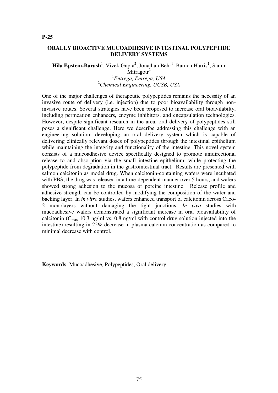### **ORALLY BIOACTIVE MUCOADHESIVE INTESTINAL POLYPEPTIDE DELIVERY SYSTEMS**

Hila Epstein-Barash<sup>1</sup>, Vivek Gupta<sup>2</sup>, Jonathan Behr<sup>1</sup>, Baruch Harris<sup>1</sup>, Samir

Mitragotr<sup>2</sup> 1 *Entrega, Entrega, USA* <sup>2</sup>*Chemical Engineering, UCSB, USA*

One of the major challenges of therapeutic polypeptides remains the necessity of an invasive route of delivery (i.e. injection) due to poor bioavailability through noninvasive routes. Several strategies have been proposed to increase oral bioavilabilty, including permeation enhancers, enzyme inhibitors, and encapsulation technologies. However, despite significant research in the area, oral delivery of polypeptides still poses a significant challenge. Here we describe addressing this challenge with an engineering solution: developing an oral delivery system which is capable of delivering clinically relevant doses of polypeptides through the intestinal epithelium while maintaining the integrity and functionality of the intestine. This novel system consists of a mucoadhesive device specifically designed to promote unidirectional release to and absorption via the small intestine epithelium, while protecting the polypeptide from degradation in the gastrointestinal tract. Results are presented with salmon calcitonin as model drug. When calcitonin-containing wafers were incubated with PBS, the drug was released in a time-dependent manner over 5 hours, and wafers showed strong adhesion to the mucosa of porcine intestine. Release profile and adhesive strength can be controlled by modifying the composition of the wafer and backing layer. In *in vitro* studies, wafers enhanced transport of calcitonin across Caco-2 monolayers without damaging the tight junctions. *In vivo* studies with mucoadhesive wafers demonstrated a significant increase in oral bioavailability of calcitonin ( $C_{\text{max}}$  10.3 ng/ml vs. 0.8 ng/ml with control drug solution injected into the intestine) resulting in 22% decrease in plasma calcium concentration as compared to minimal decrease with control.

**Keywords**: Mucoadhesive, Polypeptides, Oral delivery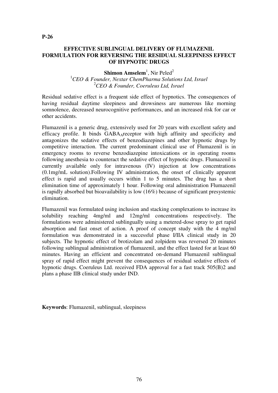# **EFFECTIVE SUBLINGUAL DELIVERY OF FLUMAZENIL FORMULATION FOR REVERSING THE RESIDUAL SLEEPINESS EFFECT OF HYPNOTIC DRUGS**

**Shimon Amselem<sup>1</sup>, Nir Peled<sup>2</sup>** 

<sup>1</sup>*CEO & Founder, Nextar ChemPharma Solutions Ltd, Israel* <sup>2</sup>*CEO & Founder, Coeruleus Ltd, Israel*

Residual sedative effect is a frequent side effect of hypnotics. The consequences of having residual daytime sleepiness and drowsiness are numerous like morning somnolence, decreased neurocognitive performances, and an increased risk for car or other accidents.

Flumazenil is a generic drug, extensively used for 20 years with excellent safety and efficacy profile. It binds GABA<sub>A</sub>receptor with high affinity and specificity and antagonizes the sedative effects of benzodiazepines and other hypnotic drugs by competitive interaction. The current predominant clinical use of Flumazenil is in emergency rooms to reverse benzodiazepine intoxications or in operating rooms following anesthesia to counteract the sedative effect of hypnotic drugs. Flumazenil is currently available only for intravenous (IV) injection at low concentrations (0.1mg/mL solution).Following IV administration, the onset of clinically apparent effect is rapid and usually occurs within 1 to 5 minutes. The drug has a short elimination time of approximately 1 hour. Following oral administration Flumazenil is rapidly absorbed but bioavailability is low (16%) because of significant presystemic elimination.

Flumazenil was formulated using inclusion and stacking complexations to increase its solubility reaching 4mg/ml and 12mg/ml concentrations respectively. The formulations were administered sublingually using a metered-dose spray to get rapid absorption and fast onset of action. A proof of concept study with the 4 mg/ml formulation was demonstrated in a successful phase I/IIA clinical study in 20 subjects. The hypnotic effect of brotizolam and zolpidem was reversed 20 minutes following sublingual administration of flumazenil, and the effect lasted for at least 60 minutes. Having an efficient and concentrated on-demand Flumazenil sublingual spray of rapid effect might prevent the consequences of residual sedative effects of hypnotic drugs. Coeruleus Ltd. received FDA approval for a fast track 505(B)2 and plans a phase IIB clinical study under IND.

**Keywords**: Flumazenil, sublingual, sleepiness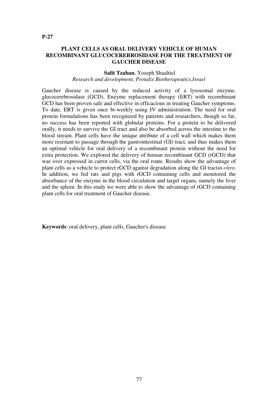# **PLANT CELLS AS ORAL DELIVERY VEHICLE OF HUMAN RECOMBINANT GLUCOCEREBROSIDASE FOR THE TREATMENT OF GAUCHER DISEASE**

#### **Salit Tzaban**, Yoseph Shaaltiel *Research and development, Protalix Biotherapeutics,Israel*

Gaucher disease is caused by the reduced activity of a lysosomal enzyme, glucocerebrosidase (GCD). Enzyme replacement therapy (ERT) with recombinant GCD has been proven safe and effective in efficacious in treating Gaucher symptoms. To date, ERT is given once bi-weekly using IV administration. The need for oral protein formulations has been recognized by patients and researchers, though so far, no success has been reported with globular proteins. For a protein to be delivered orally, it needs to survive the GI tract and also be absorbed across the intestine to the blood stream. Plant cells have the unique attribute of a cell wall which makes them more resistant to passage through the gastrointestinal (GI) tract, and thus makes them an optimal vehicle for oral delivery of a recombinant protein without the need for extra protection. We explored the delivery of human recombinant GCD (rGCD) that was over expressed in carrot cells, via the oral route. Results show the advantage of plant cells as a vehicle to protect rGCD against degradation along the GI tract*in-vitro*. In addition, we fed rats and pigs with rGCD containing cells and monitored the absorbance of the enzyme in the blood circulation and target organs, namely the liver and the spleen. In this study we were able to show the advantage of rGCD containing plant cells for oral treatment of Gaucher disease.

**Keywords**: oral delivery, plant cells, Gaucher's disease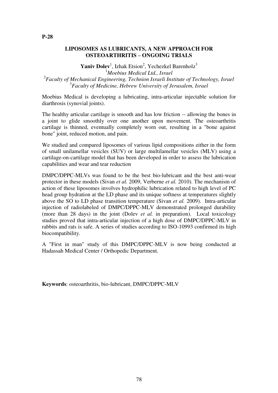Yaniv Dolev<sup>1</sup>, Izhak Etsion<sup>2</sup>, Yechezkel Barenholz<sup>3</sup>

<sup>1</sup>*Moebius Medical Ltd., Israel*

2 *Faculty of Mechanical Engineering, Technion Israeli Institute of Technology, Israel* 3 *Faculty of Medicine, Hebrew University of Jerusalem, Israel*

Moebius Medical is developing a lubricating, intra-articular injectable solution for diarthrosis (synovial joints).

The healthy articular cartilage is smooth and has low friction -- allowing the bones in a joint to glide smoothly over one another upon movement. The osteoarthritis cartilage is thinned, eventually completely worn out, resulting in a "bone against bone" joint, reduced motion, and pain.

We studied and compared liposomes of various lipid compositions either in the form of small unilamellar vesicles (SUV) or large multilamellar vesicles (MLV) using a cartilage-on-cartilage model that has been developed in order to assess the lubrication capabilities and wear and tear reduction

DMPC/DPPC-MLVs was found to be the best bio-lubricant and the best anti-wear protector in these models (Sivan *et al.* 2009, Verberne *et al.* 2010). The mechanism of action of these liposomes involves hydrophilic lubrication related to high level of PC head group hydration at the LD phase and its unique softness at temperatures slightly above the SO to LD phase transition temperature (Sivan *et al.* 2009). Intra-articular injection of radiolabeled of DMPC/DPPC-MLV demonstrated prolonged durability (more than 28 days) in the joint (Dolev *et al.* in preparation). Local toxicology studies proved that intra-articular injection of a high dose of DMPC/DPPC-MLV in rabbits and rats is safe. A series of studies according to ISO-10993 confirmed its high biocompatibility.

A "First in man" study of this DMPC/DPPC-MLV is now being conducted at Hadassah Medical Center / Orthopedic Department.

**Keywords**: osteoarthritis, bio-lubricant, DMPC/DPPC-MLV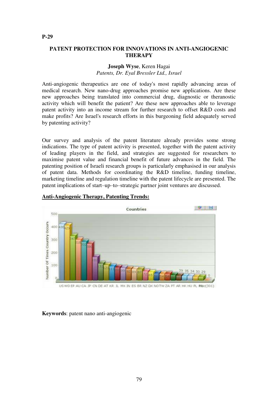# **PATENT PROTECTION FOR INNOVATIONS IN ANTI-ANGIOGENIC THERAPY**

## **Joseph Wyse**, Keren Hagai *Patents, Dr. Eyal Bressler Ltd., Israel*

Anti-angiogenic therapeutics are one of today's most rapidly advancing areas of medical research. New nano-drug approaches promise new applications. Are these new approaches being translated into commercial drug, diagnostic or theranostic activity which will benefit the patient? Are these new approaches able to leverage patent activity into an income stream for further research to offset R&D costs and make profits? Are Israel's research efforts in this burgeoning field adequately served by patenting activity?

Our survey and analysis of the patent literature already provides some strong indications. The type of patent activity is presented, together with the patent activity of leading players in the field, and strategies are suggested for researchers to maximise patent value and financial benefit of future advances in the field. The patenting position of Israeli research groups is particularly emphasised in our analysis of patent data. Methods for coordinating the R&D timeline, funding timeline, marketing timeline and regulation timeline with the patent lifecycle are presented. The patent implications of start–up–to–strategic partner joint ventures are discussed.



# **Anti-Angiogenic Therapy, Patenting Trends:**

**Keywords**: patent nano anti-angiogenic

#### **P-29**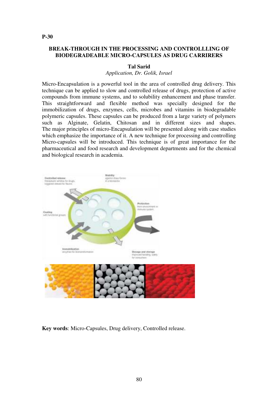# **BREAK-THROUGH IN THE PROCESSING AND CONTROLLLING OF BIODEGRADEABLE MICRO-CAPSULES AS DRUG CARRIRERS**

#### **Tal Sarid**

*Application, Dr. Golik, Israel*

Micro-Encapsulation is a powerful tool in the area of controlled drug delivery. This technique can be applied to slow and controlled release of drugs, protection of active compounds from immune systems, and to solubility enhancement and phase transfer. This straightforward and flexible method was specially designed for the immobilization of drugs, enzymes, cells, microbes and vitamins in biodegradable polymeric capsules. These capsules can be produced from a large variety of polymers such as Alginate, Gelatin, Chitosan and in different sizes and shapes. The major principles of micro-Encapsulation will be presented along with case studies which emphasize the importance of it. A new technique for processing and controlling Micro-capsules will be introduced. This technique is of great importance for the pharmaceutical and food research and development departments and for the chemical and biological research in academia.



**Key words**: Micro-Capsules, Drug delivery, Controlled release.

#### **P-30**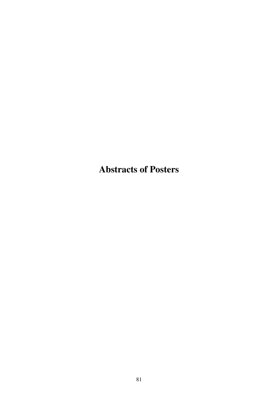**Abstracts of Posters**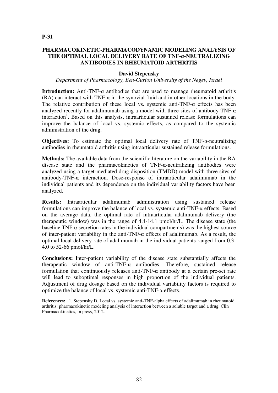## **PHARMACOKINETIC-PHARMACODYNAMIC MODELING ANALYSIS OF THE OPTIMAL LOCAL DELIVERY RATE OF TNF-α-NEUTRALIZING ANTIBODIES IN RHEUMATOID ARTHRITIS**

#### **David Stepensky**

#### *Department of Pharmacology, Ben-Gurion University of the Negev, Israel*

**Introduction:** Anti-TNF-α antibodies that are used to manage rheumatoid arthritis (RA) can interact with  $TNF-\alpha$  in the synovial fluid and in other locations in the body. The relative contribution of these local vs. systemic anti-TNF- $\alpha$  effects has been analyzed recently for adalimumab using a model with three sites of antibody-TNF- $\alpha$ interaction<sup>1</sup>. Based on this analysis, intraarticular sustained release formulations can improve the balance of local vs. systemic effects, as compared to the systemic administration of the drug.

**Objectives:** To estimate the optimal local delivery rate of TNF-α-neutralizing antibodies in rheumatoid arthritis using intraarticular sustained release formulations.

**Methods:** The available data from the scientific literature on the variability in the RA disease state and the pharmacokinetics of TNF-α-neutralizing antibodies were analyzed using a target-mediated drug disposition (TMDD) model with three sites of antibody-TNF- $\alpha$  interaction. Dose-response of intraarticular adalimumab in the individual patients and its dependence on the individual variability factors have been analyzed.

**Results:** Intraarticular adalimumab administration using sustained release formulations can improve the balance of local vs. systemic anti-TNF-α effects. Based on the average data, the optimal rate of intraarticular adalimumab delivery (the therapeutic window) was in the range of 4.4-14.1 pmol/hr/L. The disease state (the baseline TNF- $\alpha$  secretion rates in the individual compartments) was the highest source of inter-patient variability in the anti-TNF-α effects of adalimumab. As a result, the optimal local delivery rate of adalimumab in the individual patients ranged from 0.3- 4.0 to 52-66 pmol/hr/L.

**Conclusions:** Inter-patient variability of the disease state substantially affects the therapeutic window of anti-TNF-α antibodies. Therefore, sustained release formulation that continuously releases anti-TNF-α antibody at a certain pre-set rate will lead to suboptimal responses in high proportion of the individual patients. Adjustment of drug dosage based on the individual variability factors is required to optimize the balance of local vs. systemic anti-TNF-α effects.

**References:** 1. Stepensky D. Local vs. systemic anti-TNF-alpha effects of adalimumab in rheumatoid arthritis: pharmacokinetic modeling analysis of interaction between a soluble target and a drug. Clin Pharmacokinetics, in press, 2012.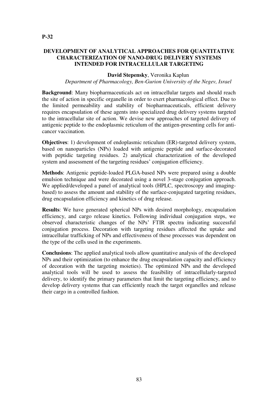# **DEVELOPMENT OF ANALYTICAL APPROACHES FOR QUANTITATIVE CHARACTERIZATION OF NANO-DRUG DELIVERY SYSTEMS INTENDED FOR INTRACELLULAR TARGETING**

#### **David Stepensky**, Veronika Kaplun

*Department of Pharmacology, Ben-Gurion University of the Negev, Israel*

**Background**: Many biopharmaceuticals act on intracellular targets and should reach the site of action in specific organelle in order to exert pharmacological effect. Due to the limited permeability and stability of biopharmaceuticals, efficient delivery requires encapsulation of these agents into specialized drug delivery systems targeted to the intracellular site of action. We devise new approaches of targeted delivery of antigenic peptide to the endoplasmic reticulum of the antigen-presenting cells for anticancer vaccination.

**Objectives**: 1) development of endoplasmic reticulum (ER)-targeted delivery system, based on nanoparticles (NPs) loaded with antigenic peptide and surface-decorated with peptidic targeting residues. 2) analytical characterization of the developed system and assessment of the targeting residues' conjugation efficiency.

**Methods**: Antigenic peptide-loaded PLGA-based NPs were prepared using a double emulsion technique and were decorated using a novel 3-stage conjugation approach. We applied/developed a panel of analytical tools (HPLC, spectroscopy and imagingbased) to assess the amount and stability of the surface-conjugated targeting residues, drug encapsulation efficiency and kinetics of drug release.

**Results**: We have generated spherical NPs with desired morphology, encapsulation efficiency, and cargo release kinetics. Following individual conjugation steps, we observed characteristic changes of the NPs' FTIR spectra indicating successful conjugation process. Decoration with targeting residues affected the uptake and intracellular trafficking of NPs and effectiveness of these processes was dependent on the type of the cells used in the experiments.

**Conclusions**: The applied analytical tools allow quantitative analysis of the developed NPs and their optimization (to enhance the drug encapsulation capacity and efficiency of decoration with the targeting moieties). The optimized NPs and the developed analytical tools will be used to assess the feasibility of intracellularly-targeted delivery, to identify the primary parameters that limit the targeting efficiency, and to develop delivery systems that can efficiently reach the target organelles and release their cargo in a controlled fashion.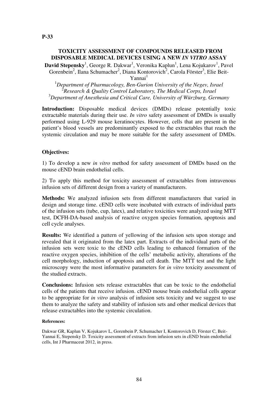#### **TOXICITY ASSESSMENT OF COMPOUNDS RELEASED FROM DISPOSABLE MEDICAL DEVICES USING A NEW** *IN VITRO* **ASSAY**

**David Stepensky<sup>1</sup>, George R. Dakwar<sup>1</sup>, Veronika Kaplun<sup>1</sup>, Lena Kojukarov<sup>1</sup>, Pavel** Gorenbein<sup>2</sup>, Ilana Schumacher<sup>2</sup>, Diana Kontorovich<sup>2</sup>, Carola Förster<sup>3</sup>, Elie Beit-

Yannai<sup>1</sup>

<sup>1</sup>*Department of Pharmacology, Ben-Gurion University of the Negev, Israel* 2 *Research & Quality Control Laboratory, The Medical Corps, Israel* <sup>3</sup>*Department of Anesthesia and Critical Care, University of Würzburg, Germany*

**Introduction:** Disposable medical devices (DMDs) release potentially toxic extractable materials during their use. *In vitro* safety assessment of DMDs is usually performed using L-929 mouse keratinocytes. However, cells that are present in the patient's blood vessels are predominantly exposed to the extractables that reach the systemic circulation and may be more suitable for the safety assessment of DMDs.

#### **Objectives:**

1) To develop a new *in vitro* method for safety assessment of DMDs based on the mouse cEND brain endothelial cells.

2) To apply this method for toxicity assessment of extractables from intravenous infusion sets of different design from a variety of manufacturers.

**Methods:** We analyzed infusion sets from different manufacturers that varied in design and storage time. cEND cells were incubated with extracts of individual parts of the infusion sets (tube, cup, latex), and relative toxicities were analyzed using MTT test, DCFH-DA-based analysis of reactive oxygen species formation, apoptosis and cell cycle analyses.

**Results:** We identified a pattern of yellowing of the infusion sets upon storage and revealed that it originated from the latex part. Extracts of the individual parts of the infusion sets were toxic to the cEND cells leading to enhanced formation of the reactive oxygen species, inhibition of the cells' metabolic activity, alterations of the cell morphology, induction of apoptosis and cell death. The MTT test and the light microscopy were the most informative parameters for *in vitro* toxicity assessment of the studied extracts.

**Conclusions:** Infusion sets release extractables that can be toxic to the endothelial cells of the patients that receive infusion. cEND mouse brain endothelial cells appear to be appropriate for *in vitro* analysis of infusion sets toxicity and we suggest to use them to analyze the safety and stability of infusion sets and other medical devices that release extractables into the systemic circulation.

#### **References:**

Dakwar GR, Kaplun V, Kojukarov L, Gorenbein P, Schumacher I, Kontorovich D, Förster C, Beit-Yannai E, Stepensky D. Toxicity assessment of extracts from infusion sets in cEND brain endothelial cells, Int J Pharmaceut 2012, in press.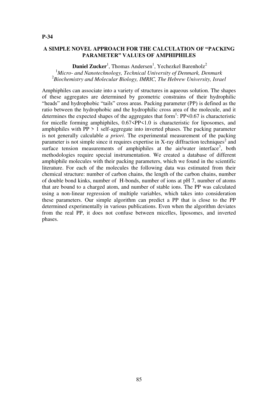## **A SIMPLE NOVEL APPROACH FOR THE CALCULATION OF "PACKING PARAMETER" VALUES OF AMPHIPHILES**

Daniel Zucker<sup>1</sup>, Thomas Andersen<sup>1</sup>, Yechezkel Barenholz<sup>2</sup> <sup>1</sup>*Micro- and Nanotechnology, Technical University of Denmark, Denmark* 2 *Biochemistry and Molecular Biology, IMRIC, The Hebrew University, Israel*

Amphiphiles can associate into a variety of structures in aqueous solution. The shapes of these aggregates are determined by geometric constrains of their hydrophilic "heads" and hydrophobic "tails" cross areas. Packing parameter (PP) is defined as the ratio between the hydrophobic and the hydrophilic cross area of the molecule, and it determines the expected shapes of the aggregates that form<sup>1</sup>: PP<0.67 is characteristic for micelle forming amphiphiles,  $0.67 < P$ P $\le 1.0$  is characteristic for liposomes, and amphiphiles with  $PP > 1$  self-aggregate into inverted phases. The packing parameter is not generally calculable *a priori*. The experimental measurement of the packing parameter is not simple since it requires expertise in X-ray diffraction techniques<sup>2</sup> and surface tension measurements of amphiphiles at the air/water interface<sup>3</sup>, both methodologies require special instrumentation. We created a database of different amphiphile molecules with their packing parameters, which we found in the scientific literature. For each of the molecules the following data was estimated from their chemical structure: number of carbon chains, the length of the carbon chains, number of double bond kinks, number of H-bonds, number of ions at pH 7, number of atoms that are bound to a charged atom, and number of stable ions. The PP was calculated using a non-linear regression of multiple variables, which takes into consideration these parameters. Our simple algorithm can predict a PP that is close to the PP determined experimentally in various publications. Even when the algorithm deviates from the real PP, it does not confuse between micelles, liposomes, and inverted phases.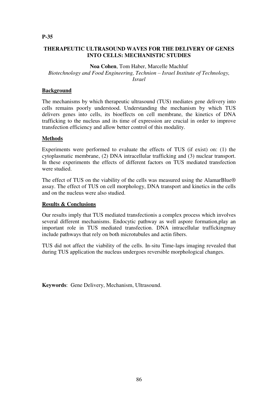# **THERAPEUTIC ULTRASOUND WAVES FOR THE DELIVERY OF GENES INTO CELLS: MECHANISTIC STUDIES**

**Noa Cohen**, Tom Haber, Marcelle Machluf *Biotechnology and Food Engineering, Technion – Israel Institute of Technology, Israel*

# **Background**

The mechanisms by which therapeutic ultrasound (TUS) mediates gene delivery into cells remains poorly understood. Understanding the mechanism by which TUS delivers genes into cells, its bioeffects on cell membrane, the kinetics of DNA trafficking to the nucleus and its time of expression are crucial in order to improve transfection efficiency and allow better control of this modality.

## **Methods**

Experiments were performed to evaluate the effects of TUS (if exist) on: (1) the cytoplasmatic membrane, (2) DNA intracellular trafficking and (3) nuclear transport. In these experiments the effects of different factors on TUS mediated transfection were studied.

The effect of TUS on the viability of the cells was measured using the AlamarBlue® assay. The effect of TUS on cell morphology, DNA transport and kinetics in the cells and on the nucleus were also studied.

## **Results & Conclusions**

Our results imply that TUS mediated transfectionis a complex process which involves several different mechanisms. Endocytic pathway as well aspore formation,play an important role in TUS mediated transfection. DNA intracellular traffickingmay include pathways that rely on both microtubules and actin fibers.

TUS did not affect the viability of the cells. In-situ Time-laps imaging revealed that during TUS application the nucleus undergoes reversible morphological changes.

**Keywords**: Gene Delivery, Mechanism, Ultrasound.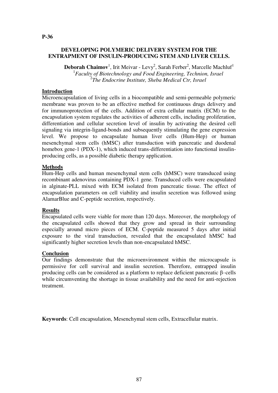# **DEVELOPING POLYMERIC DELIVERY SYSTEM FOR THE ENTRAPMENT OF INSULIN-PRODUCING STEM AND LIVER CELLS.**

**Deborah Chaimov**<sup>1</sup>, Irit Meivar - Levy<sup>2</sup>, Sarah Ferber<sup>2</sup>, Marcelle Machluf<sup>1</sup> 1 *Faculty of Biotechnology and Food Engineering, Technion, Israel* 2 *The Endocrine Institute, Sheba Medical Ctr, Israel*

# **Introduction**

Microencapsulation of living cells in a biocompatible and semi-permeable polymeric membrane was proven to be an effective method for continuous drugs delivery and for immunoprotection of the cells. Addition of extra cellular matrix (ECM) to the encapsulation system regulates the activities of adherent cells, including proliferation, differentiation and cellular secretion level of insulin by activating the desired cell signaling via integrin-ligand-bonds and subsequently stimulating the gene expression level. We propose to encapsulate human liver cells (Hum-Hep) or human mesenchymal stem cells (hMSC) after transduction with pancreatic and duodenal homebox gene-1 (PDX-1), which induced trans-differentiation into functional insulinproducing cells, as a possible diabetic therapy application.

# **Methods**

Hum-Hep cells and human mesenchymal stem cells (hMSC) were transduced using recombinant adenovirus containing PDX-1 gene. Transduced cells were encapsulated in alginate-PLL mixed with ECM isolated from pancreatic tissue. The effect of encapsulation parameters on cell viability and insulin secretion was followed using AlamarBlue and C-peptide secretion, respectively.

## **Results**

Encapsulated cells were viable for more than 120 days. Moreover, the morphology of the encapsulated cells showed that they grow and spread in their surrounding especially around micro pieces of ECM. C-peptide measured 5 days after initial exposure to the viral transduction, revealed that the encapsulated hMSC had significantly higher secretion levels than non-encapsulated hMSC.

## **Conclusion**

Our findings demonstrate that the microenvironment within the microcapsule is permissive for cell survival and insulin secretion. Therefore, entrapped insulin producing cells can be considered as a platform to replace deficient pancreatic β–cells while circumventing the shortage in tissue availability and the need for anti-rejection treatment.

**Keywords**: Cell encapsulation, Mesenchymal stem cells, Extracellular matrix.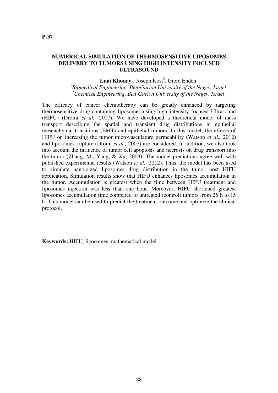#### **NUMERICAL SIMULATION OF THERMOSENSITIVE LIPOSOMES DELIVERY TO TUMORS USING HIGH INTENSITY FOCUSED ULTRASOUND**

# **Luai Khoury**<sup>1</sup>, Joseph Kost<sup>2</sup>, Giora Enden<sup>1</sup>

1 *Biomedical Engineering, Ben*‐*Gurion University of the Negev, Israel* <sup>2</sup>*Chemical Engineering, Ben*‐*Gurion University of the Negev, Israel*

The efficacy of cancer chemotherapy can be greatly enhanced by targeting thermosensitive drug-containing liposomes using high intensity focused Ultrasound (HIFU) (Dromi *et al.,* 2007). We have developed a theoretical model of mass transport describing the spatial and transient drug distributions in epithelial mesenchymal transitions (EMT) and epithelial tumors. In this model, the effects of HIFU on increasing the tumor microvasculature permeability (Watson *et al.,* 2012) and liposomes' rupture (Dromi *et al.,* 2007) are considered. In addition, we also took into account the influence of tumor cell apoptosis and necrosis on drug transport into the tumor (Zhang, Mi, Yang, & Xu, 2009). The model predictions agree well with published experimental results (Watson *et al.,* 2012). Thus, the model has been used to simulate nano-sized liposomes drug distribution in the tumor post HIFU application. Simulation results show that HIFU enhances liposomes accumulation in the tumor. Accumulation is greatest when the time between HIFU treatment and liposomes injection was less than one hour. Moreover, HIFU shortened greatest liposomes accumulation time compared to untreated (control) tumors from 26 h to 15 h. This model can be used to predict the treatment outcome and optimize the clinical protocol.

**Keywords:** HIFU, liposomes, mathematical model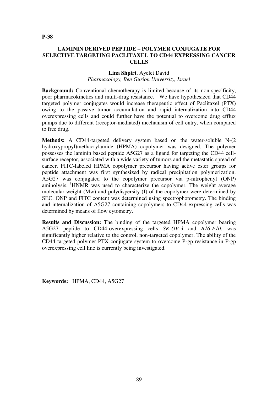**P-38** 

# **LAMININ DERIVED PEPTIDE – POLYMER CONJUGATE FOR SELECTIVE TARGETING PACLITAXEL TO CD44 EXPRESSING CANCER CELLS**

#### **Lina Shpirt**, Ayelet David *Pharmacology, Ben Gurion University, Israel*

**Background:** Conventional chemotherapy is limited because of its non-specificity, poor pharmacokinetics and multi-drug resistance. We have hypothesized that CD44 targeted polymer conjugates would increase therapeutic effect of Paclitaxel (PTX) owing to the passive tumor accumulation and rapid internalization into CD44 overexpressing cells and could further have the potential to overcome drug efflux pumps due to different (receptor-mediated) mechanism of cell entry, when compared to free drug.

**Methods:** A CD44-targeted delivery system based on the water-soluble N-(2 hydroxypropyl)methacrylamide (HPMA) copolymer was designed. The polymer possesses the laminin based peptide A5G27 as a ligand for targeting the CD44 cellsurface receptor, associated with a wide variety of tumors and the metastatic spread of cancer. FITC-labeled HPMA copolymer precursor having active ester groups for peptide attachment was first synthesized by radical precipitation polymerization. A5G27 was conjugated to the copolymer precursor via p-nitrophenyl (ONP) aminolysis. <sup>1</sup>HNMR was used to characterize the copolymer. The weight average molecular weight (Mw) and polydispersity (I) of the copolymer were determined by SEC. ONP and FITC content was determined using spectrophotometry. The binding and internalization of A5G27 containing copolymers to CD44-expressing cells was determined by means of flow cytometry.

**Results and Discussion:** The binding of the targeted HPMA copolymer bearing A5G27 peptide to CD44-overexpressing cells *SK-OV-3* and *B16-F10*, was significantly higher relative to the control, non-targeted copolymer. The ability of the CD44 targeted polymer PTX conjugate system to overcome P-gp resistance in P-gp overexpressing cell line is currently being investigated.

**Keywords:** HPMA, CD44, A5G27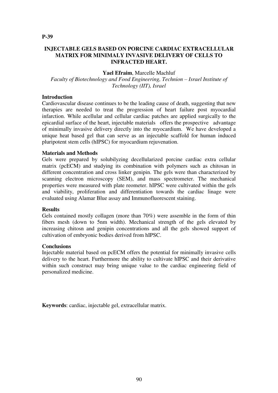# **INJECTABLE GELS BASED ON PORCINE CARDIAC EXTRACELLULAR MATRIX FOR MINIMALY INVASIVE DELIVERY OF CELLS TO INFRACTED HEART.**

#### **Yael Efraim**, Marcelle Machluf

*Faculty of Biotechnology and Food Engineering, Technion – Israel Institute of Technology (IIT), Israel*

# **Introduction**

Cardiovascular disease continues to be the leading cause of death, suggesting that new therapies are needed to treat the progression of heart failure post myocardial infarction. While acellular and cellular cardiac patches are applied surgically to the epicardial surface of the heart, injectable materials offers the prospective advantage of minimally invasive delivery directly into the myocardium. We have developed a unique heat based gel that can serve as an injectable scaffold for human induced pluripotent stem cells (hIPSC) for myocardium rejuvenation.

## **Materials and Methods**

Gels were prepared by solubilyzing decellularized porcine cardiac extra cellular matrix (pcECM) and studying its combination with polymers such as chitosan in different concentration and cross linker genipin. The gels were than characterized by scanning electron microscopy (SEM), and mass spectrometer. The mechanical properties were measured with plate reometer. hIPSC were cultivated within the gels and viability, proliferation and differentiation towards the cardiac linage were evaluated using Alamar Blue assay and Immunofluorescent staining.

## **Results**

Gels contained mostly collagen (more than 70%) were assemble in the form of thin fibers mesh (down to 5nm width). Mechanical strength of the gels elevated by increasing chitosn and genipin concentrations and all the gels showed support of cultivation of embryonic bodies derived from hIPSC.

## **Conclusions**

Injectable material based on pcECM offers the potential for minimally invasive cells delivery to the heart. Furthermore the ability to cultivate hIPSC and their derivative within such construct may bring unique value to the cardiac engineering field of personalized medicine.

**Keywords**: cardiac, injectable gel, extracellular matrix.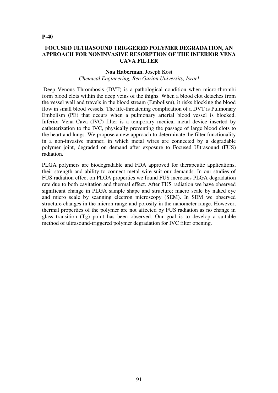#### **P-40**

#### **FOCUSED ULTRASOUND TRIGGERED POLYMER DEGRADATION, AN APPROACH FOR NONINVASIVE RESORPTION OF THE INFERIOR VENA CAVA FILTER**

#### **Noa Haberman**, Joseph Kost

#### *Chemical Engineering, Ben Gurion University, Israel*

 Deep Venous Thrombosis (DVT) is a pathological condition when micro-thrombi form blood clots within the deep veins of the thighs. When a blood clot detaches from the vessel wall and travels in the blood stream (Embolism), it risks blocking the blood flow in small blood vessels. The life-threatening complication of a DVT is Pulmonary Embolism (PE) that occurs when a pulmonary arterial blood vessel is blocked. Inferior Vena Cava (IVC) filter is a temporary medical metal device inserted by catheterization to the IVC, physically preventing the passage of large blood clots to the heart and lungs. We propose a new approach to determinate the filter functionality in a non-invasive manner, in which metal wires are connected by a degradable polymer joint, degraded on demand after exposure to Focused Ultrasound (FUS) radiation.

PLGA polymers are biodegradable and FDA approved for therapeutic applications, their strength and ability to connect metal wire suit our demands. In our studies of FUS radiation effect on PLGA properties we found FUS increases PLGA degradation rate due to both cavitation and thermal effect. After FUS radiation we have observed significant change in PLGA sample shape and structure; macro scale by naked eye and micro scale by scanning electron microscopy (SEM). In SEM we observed structure changes in the micron range and porosity in the nanometer range. However, thermal properties of the polymer are not affected by FUS radiation as no change in glass transition (Tg) point has been observed. Our goal is to develop a suitable method of ultrasound-triggered polymer degradation for IVC filter opening.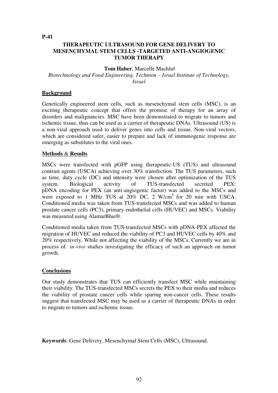**P-41** 

# **THERAPEUTIC ULTRASOUND FOR GENE DELIVERY TO MESENCHYMAL STEM CELLS -TARGETED ANTI-ANGIOGENIC TUMOR THERAPY**

# **Tom Haber**, Marcelle Machluf

*Biotechnology and Food Engineering, Technion – Israel Institute of Technology, Israel*

# **Background**

Genetically engineered stem cells, such as mesenchymal stem cells (MSC), is an exciting therapeutic concept that offers the promise of therapy for an array of disorders and malignancies. MSC have been demonstrated to migrate to tumors and ischemic tissue, thus can be used as a carrier of therapeutic DNAs. Ultrasound (US) is a non-viral approach used to deliver genes into cells and tissue. Non-viral vectors, which are considered safer, easier to prepare and lack of immunogenic response are emerging as substitutes to the viral ones.

## **Methods** & **Results**

MSCs were transfected with pGFP using therapeutic-US (TUS) and ultrasound contrast agents (USCA) achieving over 30% transfection. The TUS parameters, such as time, duty cycle (DC) and intensity were chosen after optimization of the TUS system. Biological activity of TUS-transfected secreted PEX: pDNA encoding for PEX (an anti-angiogenic factor) was added to the MSCs and were exposed to 1 MHz TUS at  $20\%$  DC, 2 W/cm<sup>2</sup> for 20 min with USCA. Conditioned media was taken from TUS-transfected MSCs and was added to human prostate cancer cells (PC3), primary endothelial cells (HUVEC) and MSCs. Viability was measured using AlamarBlue®.

Conditioned media taken from TUS-transfected MSCs with pDNA-PEX affected the migration of HUVEC and reduced the viability of PC3 and HUVEC cells by 40% and 20% respectively, While not affecting the viability of the MSCs. Currently we are in process of *in-vivo* studies investigating the efficacy of such an approach on tumor growth.

# **Conclusions**

Our study demonstrates that TUS can efficiently transfect MSC while maintaining their viability. The TUS-transfected MSCs secrets the PEX to their media and reduces the viability of prostate cancer cells while sparing non-cancer cells. These results suggest that transfected MSC may be used as a carrier of therapeutic DNAs in order to migrate to tumors and ischemic tissue.

**Keywords**: Gene Delivery, Mesenchymal Stem Cells (MSC), Ultrasound.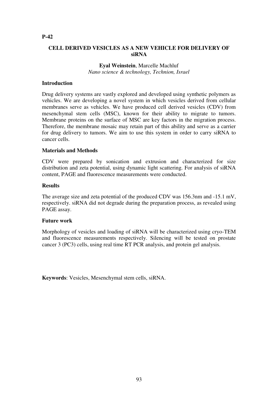# **CELL DERIVED VESICLES AS A NEW VEHICLE FOR DELIVERY OF siRNA**

# **Eyal Weinstein**, Marcelle Machluf *Nano science & technology, Technion, Israel*

#### **Introduction**

Drug delivery systems are vastly explored and developed using synthetic polymers as vehicles. We are developing a novel system in which vesicles derived from cellular membranes serve as vehicles. We have produced cell derived vesicles (CDV) from mesenchymal stem cells (MSC), known for their ability to migrate to tumors. Membrane proteins on the surface of MSC are key factors in the migration process. Therefore, the membrane mosaic may retain part of this ability and serve as a carrier for drug delivery to tumors. We aim to use this system in order to carry siRNA to cancer cells.

#### **Materials and Methods**

CDV were prepared by sonication and extrusion and characterized for size distribution and zeta potential, using dynamic light scattering. For analysis of siRNA content, PAGE and fluorescence measurements were conducted.

#### **Results**

The average size and zeta potential of the produced CDV was 156.3nm and -15.1 mV, respectively. siRNA did not degrade during the preparation process, as revealed using PAGE assay.

#### **Future work**

Morphology of vesicles and loading of siRNA will be characterized using cryo-TEM and fluorescence measurements respectively. Silencing will be tested on prostate cancer 3 (PC3) cells, using real time RT PCR analysis, and protein gel analysis.

**Keywords**: Vesicles, Mesenchymal stem cells, siRNA.

#### **P-42**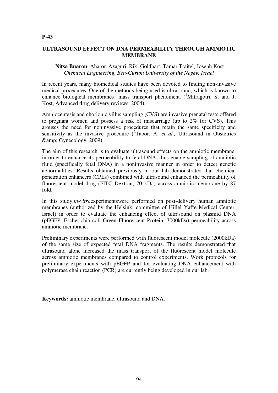# **ULTRASOUND EFFECT ON DNA PERMEABILITY THROUGH AMNIOTIC MEMBRANE**

## **Nitsa Buaron**, Aharon Azaguri, Riki Goldbart, Tamar Traitel, Joseph Kost *Chemical Engineering, Ben-Gurion University of the Negev, Israel*

In recent years, many biomedical studies have been devoted to finding non-invasive medical procedures. One of the methods being used is ultrasound, which is known to enhance biological membranes' mass transport phenomena  $($ <sup>1</sup>Mitragotri, S. and J. Kost, Advanced drug delivery reviews, 2004).

Amniocentesis and chorionic villus sampling (CVS) are invasive prenatal tests offered to pregnant women and possess a risk of miscarriage (up to 2% for CVS). This arouses the need for noninvasive procedures that retain the same specificity and sensitivity as the invasive procedure  $(^{2}$ Tabor, A. *et al.*, Ultrasound in Obstetrics & Gynecology, 2009).

The aim of this research is to evaluate ultrasound effects on the amniotic membrane, in order to enhance its permeability to fetal DNA, thus enable sampling of amniotic fluid (specifically fetal DNA) in a noninvasive manner in order to detect genetic abnormalities. Results obtained previously in our lab demonstrated that chemical penetration enhancers (CPEs) combined with ultrasound enhanced the permeability of fluorescent model drug (FITC Dextran, 70 kDa) across amniotic membrane by 87 fold.

In this study,*in-vitro*experimentswere performed on post-delivery human amniotic membranes (authorized by the Helsinki committee of Hillel Yaffe Medical Center, Israel) in order to evaluate the enhancing effect of ultrasound on plasmid DNA (pEGFP, Escherichia coli Green Fluorescent Protein, 3000kDa) permeability across amniotic membrane.

Preliminary experiments were performed with fluorescent model molecule (2000kDa) of the same size of expected fetal DNA fragments. The results demonstrated that ultrasound alone increased the mass transport of the fluorescent model molecule across amniotic membranes compared to control experiments. Work protocols for preliminary experiments with pEGFP and for evaluating DNA enhancement with polymerase chain reaction (PCR) are currently being developed in our lab.

**Keywords:** amniotic membrane, ultrasound and DNA.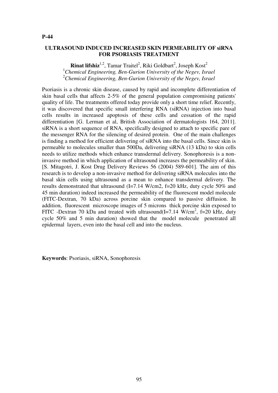#### **ULTRASOUND INDUCED INCREASED SKIN PERMEABILITY OF siRNA FOR PSORIASIS TREATMENT**

**Rinat lifshiz**<sup>1,2</sup>, Tamar Traitel<sup>2</sup>, Riki Goldbart<sup>2</sup>, Joseph Kost<sup>2</sup> <sup>1</sup>*Chemical Engineering, Ben-Gurion University of the Negev, Israel* <sup>2</sup>*Chemical Engineering, Ben-Gurion University of the Negev, Israel*

Psoriasis is a chronic skin disease, caused by rapid and incomplete differentiation of skin basal cells that affects 2-5% of the general population compromising patients' quality of life. The treatments offered today provide only a short time relief. Recently, it was discovered that specific small interfering RNA (siRNA) injection into basal cells results in increased apoptosis of these cells and cessation of the rapid differentiation [G. Lerman et al, British Association of dermatologists 164, 2011]. siRNA is a short sequence of RNA, specifically designed to attach to specific pare of the messenger RNA for the silencing of desired protein. One of the main challenges is finding a method for efficient delivering of siRNA into the basal cells. Since skin is permeable to molecules smaller than 500Da, delivering siRNA (13 kDa) to skin cells needs to utilize methods which enhance transdermal delivery. Sonophoresis is a noninvasive method in which application of ultrasound increases the permeability of skin. [S. Mitagotri, J. Kost Drug Delivery Reviews 56 (2004) 589-601]. The aim of this research is to develop a non-invasive method for delivering siRNA molecules into the basal skin cells using ultrasound as a mean to enhance transdermal delivery. The results demonstrated that ultrasound (I=7.14 W/cm2, f=20 kHz, duty cycle 50% and 45 min duration) indeed increased the permeability of the fluorescent model molecule (FITC-Dextran, 70 kDa) across porcine skin compared to passive diffusion. In addition, fluorescent microscope images of 5 microns thick porcine skin exposed to FITC -Dextran 70 kDa and treated with ultrasound(I=7.14  $\text{W/cm}^2$ , f=20 kHz, duty cycle 50% and 5 min duration) showed that the model molecule penetrated all epidermal layers, even into the basal cell and into the nucleus.

**Keywords**: Psoriasis, siRNA, Sonophoresis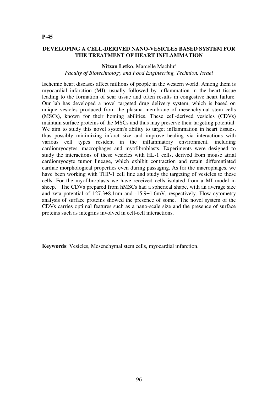# **DEVELOPING A CELL-DERIVED NANO-VESICLES BASED SYSTEM FOR**

#### **Nitzan Letko**, Marcelle Machluf

**THE TREATMENT OF HEART INFLAMMATION** 

*Faculty of Biotechnology and Food Engineering, Technion, Israel*

Ischemic heart diseases affect millions of people in the western world. Among them is myocardial infarction (MI), usually followed by inflammation in the heart tissue leading to the formation of scar tissue and often results in congestive heart failure. Our lab has developed a novel targeted drug delivery system, which is based on unique vesicles produced from the plasma membrane of mesenchymal stem cells (MSCs), known for their homing abilities. These cell-derived vesicles (CDVs) maintain surface proteins of the MSCs and thus may preserve their targeting potential. We aim to study this novel system's ability to target inflammation in heart tissues, thus possibly minimizing infarct size and improve healing via interactions with various cell types resident in the inflammatory environment, including cardiomyocytes, macrophages and myofibroblasts. Experiments were designed to study the interactions of these vesicles with HL-1 cells, derived from mouse atrial cardiomyocyte tumor lineage, which exhibit contraction and retain differentiated cardiac morphological properties even during passaging. As for the macrophages, we have been working with THP-1 cell line and study the targeting of vesicles to these cells. For the myofibroblasts we have received cells isolated from a MI model in sheep. The CDVs prepared from hMSCs had a spherical shape, with an average size and zeta potential of 127.3±8.1nm and -15.9±1.6mV, respectively. Flow cytometry analysis of surface proteins showed the presence of some. The novel system of the CDVs carries optimal features such as a nano-scale size and the presence of surface proteins such as integrins involved in cell-cell interactions.

**Keywords**: Vesicles, Mesenchymal stem cells, myocardial infarction.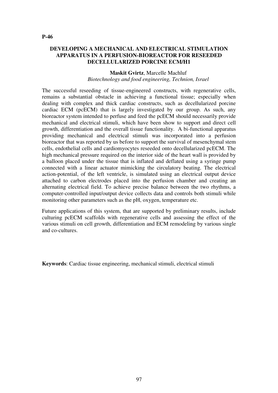# **DEVELOPING A MECHANICAL AND ELECTRICAL STIMULATION APPARATUS IN A PERFUSION-BIOREACTOR FOR RESEEDED DECELLULARIZED PORCINE ECM/H1**

#### **Maskit Gvirtz**, Marcelle Machluf *Biotechnology and food engineering, Technion, Israel*

The successful reseeding of tissue-engineered constructs, with regenerative cells, remains a substantial obstacle in achieving a functional tissue; especially when dealing with complex and thick cardiac constructs, such as decellularized porcine cardiac ECM (pcECM) that is largely investigated by our group. As such, any bioreactor system intended to perfuse and feed the pcECM should necessarily provide mechanical and electrical stimuli, which have been show to support and direct cell growth, differentiation and the overall tissue functionality. A bi-functional apparatus providing mechanical and electrical stimuli was incorporated into a perfusion bioreactor that was reported by us before to support the survival of mesenchymal stem cells, endothelial cells and cardiomyocytes reseeded onto decellularized pcECM. The high mechanical pressure required on the interior side of the heart wall is provided by a balloon placed under the tissue that is inflated and deflated using a syringe pump connected with a linear actuator mimicking the circulatory beating. The electrical action-potential, of the left ventricle, is simulated using an electrical output device attached to carbon electrodes placed into the perfusion chamber and creating an alternating electrical field. To achieve precise balance between the two rhythms, a computer-controlled input/output device collects data and controls both stimuli while monitoring other parameters such as the pH, oxygen, temperature etc.

Future applications of this system, that are supported by preliminary results, include culturing pcECM scaffolds with regenerative cells and assessing the effect of the various stimuli on cell growth, differentiation and ECM remodeling by various single and co-cultures.

**Keywords**: Cardiac tissue engineering, mechanical stimuli, electrical stimuli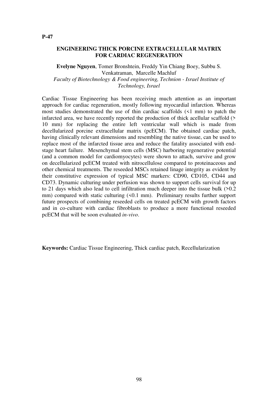#### **ENGINEERING THICK PORCINE EXTRACELLULAR MATRIX FOR CARDIAC REGENERATION**

**Evelyne Nguyen**, Tomer Bronshtein, Freddy Yin Chiang Boey, Subbu S. Venkatraman, Marcelle Machluf *Faculty of Biotechnology & Food engineering, Technion - Israel Institute of Technology, Israel*

Cardiac Tissue Engineering has been receiving much attention as an important approach for cardiac regeneration, mostly following myocardial infarction. Whereas most studies demonstrated the use of thin cardiac scaffolds (<1 mm) to patch the infarcted area, we have recently reported the production of thick acellular scaffold (> 10 mm) for replacing the entire left ventricular wall which is made from decellularized porcine extracellular matrix (pcECM). The obtained cardiac patch, having clinically relevant dimensions and resembling the native tissue, can be used to replace most of the infarcted tissue area and reduce the fatality associated with endstage heart failure. Mesenchymal stem cells (MSC) harboring regenerative potential (and a common model for cardiomyocytes) were shown to attach, survive and grow on decellularized pcECM treated with nitrocellulose compared to proteinaceous and other chemical treatments. The reseeded MSCs retained linage integrity as evident by their constitutive expression of typical MSC markers: CD90, CD105, CD44 and CD73. Dynamic culturing under perfusion was shown to support cells survival for up to 21 days which also lead to cell infiltration much deeper into the tissue bulk (>0.2 mm) compared with static culturing  $(50.1 \text{ mm})$ . Preliminary results further support future prospects of combining reseeded cells on treated pcECM with growth factors and in co-culture with cardiac fibroblasts to produce a more functional reseeded pcECM that will be soon evaluated *in-vivo*.

**Keywords:** Cardiac Tissue Engineering, Thick cardiac patch, Recellularization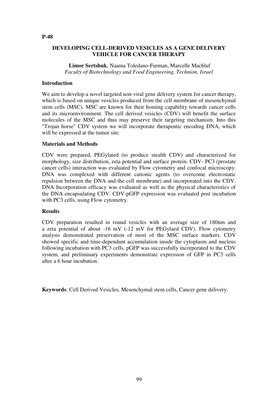#### **DEVELOPING CELL-DERIVED VESICLES AS A GENE DELIVERY VEHICLE FOR CANCER THERAPY**

 **Limor Sertshuk**, Naama Toledano-Furman, Marcelle Machluf *Faculty of Biotechnology and Food Engineering, Technion, Israel*

#### **Introduction**

We aim to develop a novel targeted non-viral gene delivery system for cancer therapy, which is based on unique vesicles produced from the cell membrane of mesenchymal stem cells (MSC). MSC are known for their homing capability towards cancer cells and its microenvironment. The cell derived vesicles (CDV) will benefit the surface molecules of the MSC and thus may preserve their targeting mechanism. Into this "Trojan horse" CDV system we will incorporate therapeutic encoding DNA, which will be expressed at the tumor site.

#### **Materials and Methods**

CDV were prepared, PEGylated (to produce stealth CDV) and characterized for morphology, size distribution, zeta potential and surface protein. CDV- PC3 (prostate cancer cells) interaction was evaluated by Flow cytometry and confocal microscopy. DNA was complexed with different cationic agents (to overcome electrostatic repulsion between the DNA and the cell membrane) and incorporated into the CDV. DNA Incorporation efficacy was evaluated as well as the physical characteristics of the DNA encapsulating CDV. CDV-pGFP expression was evaluated post incubation with PC3 cells, using Flow cytometry.

#### **Results**

CDV preparation resulted in round vesicles with an average size of 180nm and a zeta potential of about -16 mV (-12 mV for PEGylaed CDV). Flow cytometry analysis demonstrated preservation of most of the MSC surface markers. CDV showed specific and time-dependant accumulation inside the cytoplasm and nucleus following incubation with PC3 cells. pGFP was successfully incorporated to the CDV system, and preliminary experiments demonstrate expression of GFP in PC3 cells after a 6 hour incubation.

**Keywords**: Cell Derived Vesicles, Mesenchymal stem cells, Cancer gene delivery.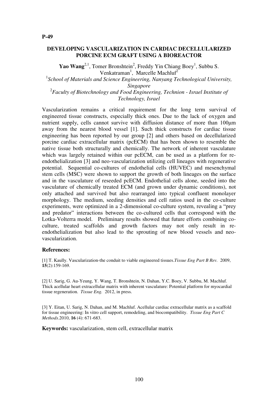#### **DEVELOPING VASCULARIZATION IN CARDIAC DECELLULARIZED PORCINE ECM GRAFT USING A BIOREACTOR**

**Yao Wang**<sup>2,1</sup>, Tomer Bronshtein<sup>2</sup>, Freddy Yin Chiang Boey<sup>1</sup>, Subbu S. Venkatraman<sup>1</sup>, Marcelle Machluf<sup>2</sup>

<sup>1</sup> School of Materials and Science Engineering, Nanyang Technological University, *Singapore* <sup>2</sup> Faculty of Biotechnology and Food Engineering, Technion - Israel Institute of

*Technology, Israel*

Vascularization remains a critical requirement for the long term survival of engineered tissue constructs, especially thick ones. Due to the lack of oxygen and nutrient supply, cells cannot survive with diffusion distance of more than 100μm away from the nearest blood vessel [1]. Such thick constructs for cardiac tissue engineering has been reported by our group [2] and others based on decellularized porcine cardiac extracellular matrix (pcECM) that has been shown to resemble the native tissue both structurally and chemically. The network of inherent vasculature which was largely retained within our pcECM, can be used as a platform for reendothelialization [3] and neo-vascularization utilizing cell lineages with regenerative potential. Sequential co-cultures of endothelial cells (HUVEC) and mesenchymal stem cells (MSC) were shown to support the growth of both lineages on the surface and in the vasculature of reseeded pcECM. Endothelial cells alone, seeded into the vasculature of chemically treated ECM (and grown under dynamic conditions), not only attached and survived but also rearranged into typical confluent monolayer morphology. The medium, seeding densities and cell ratios used in the co-culture experiments, were optimized in a 2-dimensional co-culture system, revealing a "prey and predator" interactions between the co-cultured cells that correspond with the Lotka-Volterra model. Preliminary results showed that future efforts combining coculture, treated scaffolds and growth factors may not only result in reendothelialization but also lead to the sprouting of new blood vessels and neovascularization.

#### **References:**

[1] T. Kaully. Vascularization-the conduit to viable engineered tissues.*Tissue Eng Part B Rev.* 2009, **15**(2):159-169.

[2] U. Sarig, G. Au-Yeung, Y. Wang, T. Bronshtein, N. Dahan, Y.C. Boey, V. Subbu, M. Machluf. Thick acellular heart extracellular matrix with inherent vasculature: Potential platform for myocardial tissue regeneration. *Tissue Eng.* 2012, in press.

[3] Y. Eitan, U. Sarig, N. Dahan, and M. Machluf. Acellular cardiac extracellular matrix as a scaffold for tissue engineering: In vitro cell support, remodeling, and biocompatibility. *Tissue Eng Part C Methods*.2010, **16** (4): 671-683.

**Keywords:** vascularization, stem cell, extracellular matrix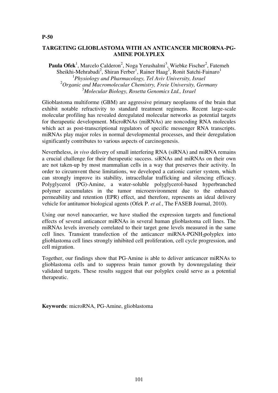#### **TARGETING GLIOBLASTOMA WITH AN ANTICANCER MICRORNA-PG-AMINE POLYPLEX**

Paula Ofek<sup>1</sup>, Marcelo Calderon<sup>2</sup>, Noga Yerushalmi<sup>3</sup>, Wiebke Fischer<sup>2</sup>, Fatemeh Sheikhi-Mehrabadi<sup>2</sup>, Shiran Ferber<sup>1</sup>, Rainer Haag<sup>2</sup>, Ronit Satchi-Fainaro<sup>1</sup> 1 *Physiology and Pharmacology, Tel Aviv University, Israel* <sup>2</sup>*Organic and Macromolecular Chemistry, Freie University, Germany* <sup>3</sup>*Molecular Biology, Rosetta Genomics Ltd., Israel*

Glioblastoma multiforme (GBM) are aggressive primary neoplasms of the brain that exhibit notable refractivity to standard treatment regimens. Recent large-scale molecular profiling has revealed deregulated molecular networks as potential targets for therapeutic development. MicroRNAs (miRNAs) are noncoding RNA molecules which act as post-transcriptional regulators of specific messenger RNA transcripts. miRNAs play major roles in normal developmental processes, and their deregulation significantly contributes to various aspects of carcinogenesis.

Nevertheless, *in vivo* delivery of small interfering RNA (siRNA) and miRNA remains a crucial challenge for their therapeutic success. siRNAs and miRNAs on their own are not taken-up by most mammalian cells in a way that preserves their activity. In order to circumvent these limitations, we developed a cationic carrier system, which can strongly improve its stability, intracellular trafficking and silencing efficacy. Polyglycerol (PG)-Amine, a water-soluble polyglycerol-based hyperbranched polymer accumulates in the tumor microenvironment due to the enhanced permeability and retention (EPR) effect, and therefore, represents an ideal delivery vehicle for antitumor biological agents (Ofek P. *et al.*, The FASEB Journal, 2010).

Using our novel nanocarrier, we have studied the expression targets and functional effects of several anticancer miRNAs in several human glioblastoma cell lines. The miRNAs levels inversely correlated to their target gene levels measured in the same cell lines. Transient transfection of the anticancer miRNA-PGNH<sub>2</sub>polyplex into glioblastoma cell lines strongly inhibited cell proliferation, cell cycle progression, and cell migration.

Together, our findings show that PG-Amine is able to deliver anticancer miRNAs to glioblastoma cells and to suppress brain tumor growth by downregulating their validated targets. These results suggest that our polyplex could serve as a potential therapeutic.

**Keywords**: microRNA, PG-Amine, glioblastoma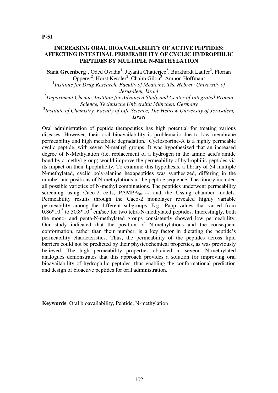#### **INCREASING ORAL BIOAVAILABILITY OF ACTIVE PEPTIDES: AFFECTING INTESTINAL PERMEABILITY OF CYCLIC HYDROPHILIC PEPTIDES BY MULTIPLE N-METHYLATION**

Sarit Greenberg<sup>1</sup>, Oded Ovadia<sup>1</sup>, Jayanta Chatterjee<sup>2</sup>, Burkhardt Laufer<sup>2</sup>, Florian Opperer<sup>2</sup>, Horst Kessler<sup>2</sup>, Chaim Gilon<sup>3</sup>, Amnon Hoffman<sup>1</sup>

<sup>1</sup> Institute for Drug Research, Faculty of Medicine, The Hebrew University of *Jerusalem, Israel*

<sup>2</sup>*Department Chemie, Institute for Advanced Study and Center of Integrated Protein Science, Technische Universität München, Germany*

3 *Institute of Chemistry, Faculty of Life Science, The Hebrew University of Jerusalem, Israel*

Oral administration of peptide therapeutics has high potential for treating various diseases. However, their oral bioavailability is problematic due to low membrane permeability and high metabolic degradation. Cyclosporine-A is a highly permeable cyclic peptide, with seven N-methyl groups. It was hypothesized that an increased degree of N-Methylation (i.e. replacement of a hydrogen in the amino acid's amide bond by a methyl group) would improve the permeability of hydrophilic peptides via its impact on their lipophilicity. To examine this hypothesis, a library of 54 multiple N-methylated, cyclic poly-alanine hexapeptides was synthesized, differing in the number and positions of N-methylations in the peptide sequence. The library included all possible varieties of N-methyl combinations. The peptides underwent permeability screening using Caco-2 cells, PAMPA<sub>lecithin</sub> and the Ussing chamber models. Permeability results through the Caco-2 monolayer revealed highly variable permeability among the different subgroups. E.g., Papp values that varied from  $0.86*10^{-6}$  to 30.8 $*10^{-6}$  cm/sec for two tetra-N-methylated peptides. Interestingly, both the mono- and penta-N-methylated groups consistently showed low permeability. Our study indicated that the position of N-methylations and the consequent conformation, rather than their number, is a key factor in dictating the peptide's permeability characteristics. Thus, the permeability of the peptides across lipid barriers could not be predicted by their physicochemical properties, as was previously believed. The high permeability properties obtained in several N-methylated analogues demonstrates that this approach provides a solution for improving oral bioavailability of hydrophilic peptides, thus enabling the conformational prediction and design of bioactive peptides for oral administration.

**Keywords**: Oral bioavailability, Peptide, N-methylation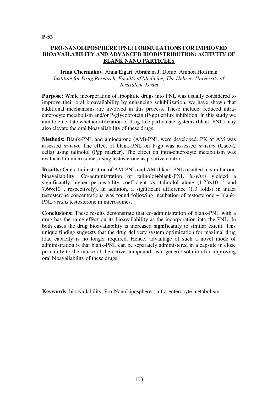# **PRO-NANOLIPOSPHERE (PNL) FORMULATIONS FOR IMPROVED BIOAVAILABILITY AND ADVANCED BIODISTRIBUTION: ACTIVITY OF BLANK NANO PARTICLES**

#### **Irina Cherniakov**, Anna Elgart, Abraham J. Domb, Amnon Hoffman *Institute for Drug Research, Faculty of Medicine, The Hebrew University of Jerusalem, Israel*

**Purpose:** While incorporation of lipophilic drugs into PNL was usually considered to improve their oral bioavailability by enhancing solubilization, we have shown that additional mechanisms are involved in this process. These include: reduced intraenterocyte metabolism and/or P-glycoprotein (P-gp) efflux inhibition. In this study we aim to elucidate whether utilization of drug free particulate systems (blank-PNL) may also elevate the oral bioavailability of these drugs.

**Methods:** Blank-PNL and amiodarone (AM)-PNL were developed. PK of AM was assessed *in-vivo*. The effect of blank-PNL on P-gp was assessed *in-vitro* (Caco-2 cells) using talinolol (Pgp marker). The effect on intra-enterocyte metabolism was evaluated in microsomes using testosterone as positive control.

**Results:** Oral administration of AM-PNL and AM+blank-PNL resulted in similar oral bioavailability. Co-administration of talinolol+blank-PNL *in-vitro* yielded a significantly higher permeability coefficient vs. talinolol alone  $(1.73\times10^{-6}$  and 7.66 $\times$ 10<sup>-7</sup>, respectively). In addition, a significant difference (1.3 folds) in intact testosterone concentrations was found following incubation of testosterone + blank-PNL *versus* testosterone in microsomes.

**Conclusions:** These results demonstrate that co-administration of blank-PNL with a drug has the same effect on its bioavailability as the incorporation into the PNL. In both cases the drug bioavailability is increased significantly to similar extent. This unique finding suggests that the drug delivery system optimization for maximal drug load capacity is no longer required. Hence, advantage of such a novel mode of administration is that blank-PNL can be separately administered in a capsule in close proximity to the intake of the active compound, as a generic solution for improving oral bioavailability of these drugs.

**Keywords**: bioavailability, Pro-NanoLipospheres, intra-enterocyte metabolism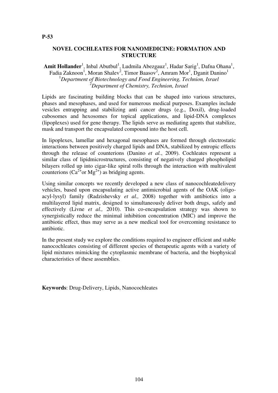# **NOVEL COCHLEATES FOR NANOMEDICINE: FORMATION AND STRUCTURE**

Amit Hollander<sup>1</sup>, Inbal Abutbul<sup>1</sup>, Ludmila Abezgauz<sup>1</sup>, Hadar Sarig<sup>1</sup>, Dafna Ohana<sup>1</sup>, Fadia Zaknoon<sup>1</sup>, Moran Shalev<sup>2</sup>, Timor Baasov<sup>2</sup>, Amram Mor<sup>1</sup>, Dganit Danino<sup>1</sup> <sup>1</sup>*Department of Biotechnology and Food Engineering, Technion, Israel* <sup>2</sup>*Department of Chemistry, Technion, Israel*

Lipids are fascinating building blocks that can be shaped into various structures, phases and mesophases, and used for numerous medical purposes. Examples include vesicles entrapping and stabilizing anti cancer drugs (e.g., Doxil), drug-loaded cubosomes and hexosomes for topical applications, and lipid-DNA complexes (lipoplexes) used for gene therapy. The lipids serve as mediating agents that stabilize, mask and transport the encapsulated compound into the host cell.

In lipoplexes, lamellar and hexagonal mesophases are formed through electrostatic interactions between positively charged lipids and DNA, stabilized by entropic effects through the release of counterions (Danino *et al.*, 2009). Cochleates represent a similar class of lipidmicrostructures, consisting of negatively charged phospholipid bilayers rolled up into cigar-like spiral rolls through the interaction with multivalent counterions  $(Ca^{2+}$ or Mg<sup>2+</sup>) as bridging agents.

Using similar concepts we recently developed a new class of nanocochleatedelivery vehicles, based upon encapsulating active antimicrobial agents of the OAK (oligoacyl-lysyl) family (Radzishevsky *et al.,* 2008) together with antibiotics into a multilayered lipid matrix, designed to simultaneously deliver both drugs, safely and effectively (Livne *et al.,* 2010). This co-encapsulation strategy was shown to synergistically reduce the minimal inhibition concentration (MIC) and improve the antibiotic effect, thus may serve as a new medical tool for overcoming resistance to antibiotic.

In the present study we explore the conditions required to engineer efficient and stable nanocochleates consisting of different species of therapeutic agents with a variety of lipid mixtures mimicking the cytoplasmic membrane of bacteria, and the biophysical characteristics of these assemblies.

**Keywords**: Drug-Delivery, Lipids, Nanocochleates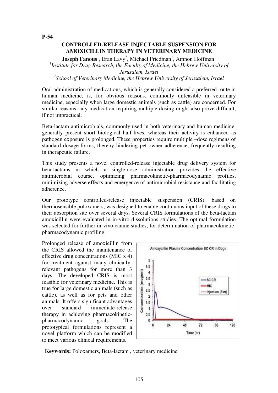# **CONTROLLED-RELEASE INJECTABLE SUSPENSION FOR AMOXICILLIN THERAPY IN VETERINARY MEDICINE**

**Joseph Fanous**<sup>1</sup>, Eran Lavy<sup>2</sup>, Michael Friedman<sup>1</sup>, Amnon Hoffman<sup>1</sup> <sup>1</sup>Institute for Drug Research, the Faculty of Medicine, the Hebrew University of *Jerusalem, Israel* 2 *School of Veterinary Medicine, the Hebrew University of Jerusalem, Israel*

Oral administration of medications, which is generally considered a preferred route in human medicine, is, for obvious reasons, commonly unfeasible in veterinary medicine, especially when large domestic animals (such as cattle) are concerned. For similar reasons, any medication requiring multiple dosing might also prove difficult, if not impractical.

Beta-lactam antimicrobials, commonly used in both veterinary and human medicine, generally present short biological half-lives, whereas their activity is enhanced as pathogen exposure is prolonged. These properties require multiple –dose regimens of standard dosage-forms, thereby hindering pet-owner adherence, frequently resulting in therapeutic failure.

This study presents a novel controlled-release injectable drug delivery system for beta-lactams in which a single-dose administration provides the effective antimicrobial course, optimizing pharmacokinetic-pharmacodynamic profiles, minimizing adverse effects and emergence of antimicrobial resistance and facilitating adherence.

Our prototype controlled-release injectable suspension (CRIS), based on thermosensible poloxamers, was designed to enable continuous input of these drugs to their absorption site over several days. Several CRIS formulations of the beta-lactam amoxicillin were evaluated in in-vitro dissolutions studies. The optimal formulation was selected for further in-vivo canine studies, for determination of pharmacokineticpharmacodynamic profiling.

Prolonged release of amoxicillin from the CRIS allowed the maintenance of effective drug concentrations (MIC x 4) for treatment against many clinicallyrelevant pathogens for more than 3 days. The developed CRIS is most feasible for veterinary medicine. This is true for large domestic animals (such as cattle), as well as for pets and other animals. It offers significant advantages over standard immediate-release therapy in achieving pharmacokineticpharmacodynamic goals. The prototypical formulations represent a novel platform which can be modified to meet various clinical requirements.



**Keywords:** Poloxamers, Beta-lactam , veterinary medicine

**P-54**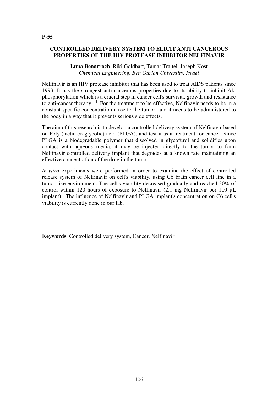# **CONTROLLED DELIVERY SYSTEM TO ELICIT ANTI CANCEROUS PROPERTIES OF THE HIV PROTEASE INHIBITOR NELFINAVIR**

**Luna Benarroch**, Riki Goldbart, Tamar Traitel, Joseph Kost *Chemical Engineering, Ben Gurion University, Israel*

Nelfinavir is an HIV protease inhibitor that has been used to treat AIDS patients since 1993. It has the strongest anti-cancerous properties due to its ability to inhibit Akt phosphorylation which is a crucial step in cancer cell's survival, growth and resistance to anti-cancer therapy [1]. For the treatment to be effective, Nelfinavir needs to be in a constant specific concentration close to the tumor, and it needs to be administered to the body in a way that it prevents serious side effects.

The aim of this research is to develop a controlled delivery system of Nelfinavir based on Poly (lactic-co-glycolic) acid (PLGA), and test it as a treatment for cancer. Since PLGA is a biodegradable polymer that dissolved in glycofurol and solidifies upon contact with aqueous media, it may be injected directly to the tumor to form Nelfinavir controlled delivery implant that degrades at a known rate maintaining an effective concentration of the drug in the tumor.

*In-vitro* experiments were performed in order to examine the effect of controlled release system of Nelfinavir on cell's viability, using C6 brain cancer cell line in a tumor-like environment. The cell's viability decreased gradually and reached 30% of control within 120 hours of exposure to Nelfinavir (2.1 mg Nelfinavir per 100 μL implant). The influence of Nelfinavir and PLGA implant's concentration on C6 cell's viability is currently done in our lab.

**Keywords**: Controlled delivery system, Cancer, Nelfinavir.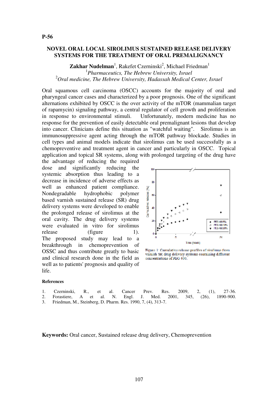## **NOVEL ORAL LOCAL SIROLIMUS SUSTAINED RELEASE DELIVERY SYSTEMS FOR THE TREATMENT OF ORAL PREMALIGNANCY**

Zakhar Nudelman<sup>1</sup>, Rakefet Czerninski<sup>2</sup>, Michael Friedman<sup>1</sup> 1 *Pharmaceutics, The Hebrew University, Israel* <sup>2</sup>*Oral medicine, The Hebrew University, Hadassah Medical Center, Israel*

Oral squamous cell carcinoma (OSCC) accounts for the majority of oral and pharyngeal cancer cases and characterized by a poor prognosis. One of the significant alternations exhibited by OSCC is the over activity of the mTOR (mammalian target of rapamycin) signaling pathway, a central regulator of cell growth and proliferation in response to environmental stimuli. Unfortunately, modern medicine has no response for the prevention of easily detectable oral premalignant lesions that develop into cancer. Clinicians define this situation as "watchful waiting". Sirolimus is an immunosuppressive agent acting through the mTOR pathway blockade. Studies in cell types and animal models indicate that sirolimus can be used successfully as a chemopreventive and treatment agent in cancer and particularly in OSCC. Topical application and topical SR systems, along with prolonged targeting of the drug have

the advantage of reducing the required dose and significantly reducing the systemic absorption thus leading to a decrease in incidence of adverse effects as well as enhanced patient compliance. Nondegradable hydrophobic polymer based varnish sustained release (SR) drug delivery systems were developed to enable the prolonged release of sirolimus at the oral cavity. The drug delivery systems were evaluated in vitro for sirolimus release (figure 1). The proposed study may lead to a breakthrough in chemoprevention of OSSC and thus contribute greatly to basic and clinical research done in the field as well as to patients' prognosis and quality of life.



Figure 1: Cumulative release profiles of sirolinus from varnish SR drug delivery systems containing different concentrations of PEG 400.

#### **References**

- 1. Czerninski, R., et al. Cancer Prev. Res. 2009, 2, (1), 27-36.
- 2. Forastiere, A et al. N. Engl. J. Med. 2001, 345, (26), 1890-900.
- 3. Friedman, M., Steinberg, D. Pharm. Res. 1990, 7, (4), 313-7.

**Keywords:** Oral cancer, Sustained release drug delivery, Chemoprevention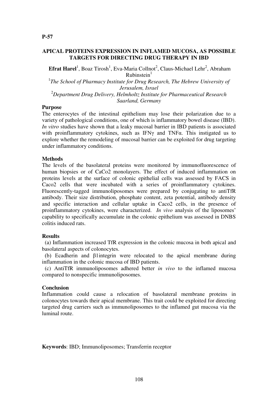# **APICAL PROTEINS EXPRESSION IN INFLAMED MUCOSA, AS POSSIBLE TARGETS FOR DIRECTING DRUG THERAPY IN IBD**

**Efrat Harel**<sup>1</sup>, Boaz Tirosh<sup>1</sup>, Eva-Maria Collnot<sup>2</sup>, Claus-Michael Lehr<sup>2</sup>, Abraham  $R$ ubinstein $<sup>1</sup>$ </sup>

<sup>1</sup>The School of Pharmacy Institute for Drug Research, The Hebrew University of *Jerusalem, Israel* <sup>2</sup>*Department Drug Delivery, Helmholtz Institute for Pharmaceutical Research* 

# *Saarland, Germany*

#### **Purpose**

The enterocytes of the intestinal epithelium may lose their polarization due to a variety of pathological conditions, one of which is inflammatory bowel disease (IBD). *In vitro* studies have shown that a leaky mucosal barrier in IBD patients is associated with proinflammatory cytokines, such as IFN $\gamma$  and TNF $\alpha$ . This instigated us to explore whether the remodeling of mucosal barrier can be exploited for drug targeting under inflammatory conditions.

#### **Methods**

The levels of the basolateral proteins were monitored by immunofluorescence of human biopsies or of CaCo2 monolayers. The effect of induced inflammation on proteins levels at the surface of colonic epithelial cells was assessed by FACS in Caco2 cells that were incubated with a series of proinflammatory cytokines. Fluorescently-tagged immunoliposomes were prepared by conjugating to antiTfR antibody. Their size distribution, phosphate content, zeta potential, antibody density and specific interaction and cellular uptake in Caco2 cells, in the presence of proinflammatory cytokines, were characterized. *In vivo* analysis of the liposomes' capability to specifically accumulate in the colonic epithelium was assessed in DNBS colitis induced rats.

#### **Results**

 (a) Inflammation increased TfR expression in the colonic mucosa in both apical and basolateral aspects of colonocytes.

 (b) Ecadherin and β1integrin were relocated to the apical membrane during inflammation in the colonic mucosa of IBD patients.

 (c) AntiTfR immunoliposomes adhered better *in vivo* to the inflamed mucosa compared to nonspecific immunoliposomes.

#### **Conclusion**

Inflammation could cause a relocation of basolateral membrane proteins in colonocytes towards their apical membrane. This trait could be exploited for directing targeted drug carriers such as immunoliposomes to the inflamed gut mucosa via the luminal route.

**Keywords**: IBD; Immunoliposomes; Transferrin receptor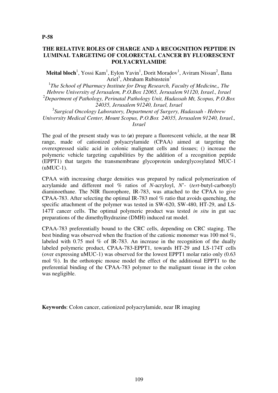# **THE RELATIVE ROLES OF CHARGE AND A RECOGNITION PEPTIDE IN LUMINAL TARGETING OF COLORECTAL CANCER BY FLUORESCENT POLYACRYLAMIDE**

Meital bloch<sup>1</sup>, Yossi Kam<sup>1</sup>, Eylon Yavin<sup>1</sup>, Dorit Moradov<sup>1</sup>, Aviram Nissan<sup>2</sup>, Ilana Ariel<sup>3</sup>, Abraham Rubinstein<sup>1</sup>

<sup>1</sup>The School of Pharmacy Institute for Drug Research, Faculty of Medicine,, The *Hebrew University of Jerusalem, P.O.Box 12065, Jerusalem 91120, Israel., Israel* <sup>2</sup>*Department of Pathology, Perinatal Pathology Unit, Hadassah Mt, Scopus, P.O.Box 24035, Jerusalem 91240, Israel, Israel* 3 *Surgical Oncology Laboratory, Department of Surgery, Hadassah - Hebrew* 

*University Medical Center, Mount Scopus, P.O.Box 24035, Jerusalem 91240, Israel., Israel*

The goal of the present study was to (*a*) prepare a fluorescent vehicle, at the near IR range, made of cationized polyacrylamide (CPAA) aimed at targeting the overexpressed sialic acid in colonic malignant cells and tissues; () increase the polymeric vehicle targeting capabilities by the addition of a recognition peptide (EPPT1) that targets the transmembrane glycoprotein underglycosylated MUC-1 (uMUC-1).

CPAA with increasing charge densities was prepared by radical polymerization of acrylamide and different mol % ratios of *N*-acryloyl, *N*'- (*tert*-butyl-carbonyl) diaminoethane. The NIR fluorophore, IR-783, was attached to the CPAA to give CPAA-783. After selecting the optimal IR-783 mol % ratio that avoids quenching, the specific attachment of the polymer was tested in SW-620, SW-480, HT-29, and LS-147T cancer cells. The optimal polymeric product was tested *in situ* in gut sac preparations of the dimethylhydrazine (DMH) induced rat model.

CPAA-783 preferentially bound to the CRC cells, depending on CRC staging. The best binding was observed when the fraction of the cationic monomer was 100 mol %, labeled with 0.75 mol % of IR-783. An increase in the recognition of the dually labeled polymeric product, CPAA-783-EPPT1, towards HT-29 and LS-174T cells (over expressing uMUC-1) was observed for the lowest EPPT1 molar ratio only (0.63 mol %). In the orthotopic mouse model the effect of the additional EPPT1 to the preferential binding of the CPAA-783 polymer to the malignant tissue in the colon was negligible.

**Keywords**: Colon cancer, cationized polyacrylamide, near IR imaging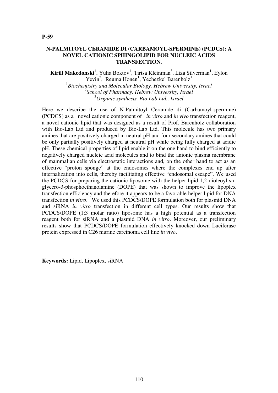# **N-PALMITOYL CERAMIDE DI (CARBAMOYL-SPERMINE) (PCDCS): A NOVEL CATIONIC SPHINGOLIPID FOR NUCLEIC ACIDS TRANSFECTION.**

Kirill Makedonski<sup>1</sup>, Yulia Boktov<sup>1</sup>, Tirtsa Kleinman<sup>3</sup>, Liza Silverman<sup>1</sup>, Eylon Yevin<sup>2</sup>, Reuma Honen<sup>1</sup>, Yechezkel Barenholz<sup>1</sup> 1 *Biochemistry and Molecular Biology, Hebrew University, Israel* 2 *School of Pharmacy, Hebrew University, Israel* <sup>3</sup>*Organic synthesis, Bio Lab Ltd., Israel*

Here we describe the use of N-Palmitoyl Ceramide di (Carbamoyl-spermine) (PCDCS) as a novel cationic component of *in vitro* and *in vivo* transfection reagent, a novel cationic lipid that was designed as a result of Prof. Barenholz collaboration with Bio-Lab Ltd and produced by Bio-Lab Ltd. This molecule has two primary amines that are positively charged in neutral pH and four secondary amines that could be only partially positively charged at neutral pH while being fully charged at acidic pH. These chemical properties of lipid enable it on the one hand to bind efficiently to negatively charged nucleic acid molecules and to bind the anionic plasma membrane of mammalian cells via electrostatic interactions and, on the other hand to act as an effective "proton sponge" at the endosomes where the complexes end up after internalization into cells, thereby facilitating effective "endosomal escape". We used the PCDCS for preparing the cationic liposome with the helper lipid 1,2-dioleoyl-snglycero-3-phosphoethanolamine (DOPE) that was shown to improve the lipoplex transfection efficiency and therefore it appears to be a favorable helper lipid for DNA transfection *in vitro*. We used this PCDCS/DOPE formulation both for plasmid DNA and siRNA *in vitro* transfection in different cell types. Our results show that PCDCS/DOPE (1:3 molar ratio) liposome has a high potential as a transfection reagent both for siRNA and a plasmid DNA *in vitro*. Moreover, our preliminary results show that PCDCS/DOPE formulation effectively knocked down Luciferase protein expressed in C26 murine carcinoma cell line *in vivo*.

**Keywords:** Lipid, Lipoplex, siRNA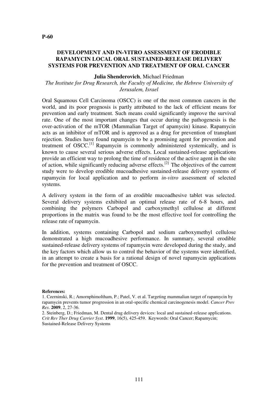#### **DEVELOPMENT AND IN-VITRO ASSESSMENT OF ERODIBLE RAPAMYCIN LOCAL ORAL SUSTAINED-RELEASE DELIVERY SYSTEMS FOR PREVENTION AND TREATMENT OF ORAL CANCER**

#### **Julia Shenderovich**, Michael Friedman

#### *The Institute for Drug Research, the Faculty of Medicine, the Hebrew University of Jerusalem, Israel*

Oral Squamous Cell Carcinoma (OSCC) is one of the most common cancers in the world, and its poor prognosis is partly attributed to the lack of efficient means for prevention and early treatment. Such means could significantly improve the survival rate. One of the most important changes that occur during the pathogenesis is the over-activation of the mTOR (Mammalian Target of apamycin) kinase. Rapamycin acts as an inhibitor of mTOR and is approved as a drug for prevention of transplant rejection. Studies have found rapamycin to be a promising agent for prevention and treatment of OSCC.<sup>[1]</sup> Rapamycin is commonly administered systemically, and is known to cause several serious adverse effects. Local sustained-release applications provide an efficient way to prolong the time of residence of the active agent in the site of action, while significantly reducing adverse effects.<sup>[2]</sup> The objectives of the current study were to develop erodible mucoadhesive sustained-release delivery systems of rapamycin for local application and to perform *in-vitro* assessment of selected systems.

A delivery system in the form of an erodible mucoadhesive tablet was selected. Several delivery systems exhibited an optimal release rate of 6-8 hours, and combining the polymers Carbopol and carboxymethyl cellulose at different proportions in the matrix was found to be the most effective tool for controlling the release rate of rapamycin.

In addition, systems containing Carbopol and sodium carboxymethyl cellulose demonstrated a high mucoadhesive performance. In summary, several erodible sustained-release delivery systems of rapamycin were developed during the study, and the key factors which allow us to control the behavior of the systems were identified, in an attempt to create a basis for a rational design of novel rapamycin applications for the prevention and treatment of OSCC.

#### **References:**

<sup>1.</sup> Czerninski, R.; Amornphimoltham, P.; Patel, V. et al. Targeting mammalian target of rapamycin by rapamycin prevents tumor progression in an oral-specific chemical carcinogenesis model. *Cancer Prev Res*. **2009**, 2, 27-36.

<sup>2.</sup> Steinberg, D.; Friedman, M. Dental drug delivery devices: local and sustained-release applications. *Crit Rev Ther Drug Carrier Syst*. **1999**, 16(5), 425-459. Keywords: Oral Cancer; Rapamycin; Sustained-Release Delivery Systems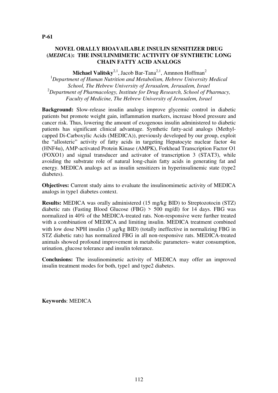# **NOVEL ORALLY BIOAVAILABLE INSULIN SENSITIZER DRUG (***MEDICA***): THE INSULINMIMETIC ACTIVITY OF SYNTHETIC LONG CHAIN FATTY ACID ANALOGS**

Michael Valitsky<sup>2,1</sup>, Jacob Bar-Tana<sup>2,1</sup>, Amnnon Hoffman<sup>2</sup>

<sup>1</sup>*Department of Human Nutrition and Metabolism, Hebrew University Medical School, The Hebrew University of Jerusalem, Jerusalem, Israel* <sup>2</sup>*Department of Pharmacology, Institute for Drug Research, School of Pharmacy, Faculty of Medicine, The Hebrew University of Jerusalem, Israel*

**Background:** Slow-release insulin analogs improve glycemic control in diabetic patients but promote weight gain, inflammation markers, increase blood pressure and cancer risk. Thus, lowering the amount of exogenous insulin administered to diabetic patients has significant clinical advantage. Synthetic fatty-acid analogs (Methylcapped Di-Carboxylic Acids (MEDICA)), previously developed by our group, exploit the "allosteric" activity of fatty acids in targeting Hepatocyte nuclear factor  $4\alpha$ (HNF4α), AMP-activated Protein Kinase (AMPK), Forkhead Transcription Factor O1 (FOXO1) and signal transducer and activator of transcription 3 (STAT3), while avoiding the substrate role of natural long-chain fatty acids in generating fat and energy. MEDICA analogs act as insulin sensitizers in hyperinsulinemic state (type2 diabetes).

**Objectives:** Current study aims to evaluate the insulinomimetic activity of MEDICA analogs in type1 diabetes context.

**Results:** MEDICA was orally administered (15 mg/kg BID) to Streptozotocin (STZ) diabetic rats (Fasting Blood Glucose (FBG)  $>$  500 mg/dl) for 14 days. FBG was normalized in 40% of the MEDICA-treated rats. Non-responsive were further treated with a combination of MEDICA and limiting insulin. MEDICA treatment combined with low dose NPH insulin  $(3 \mu g/kg \text{ BID})$  (totally ineffective in normalizing FBG in STZ diabetic rats) has normalized FBG in all non-responsive rats. MEDICA-treated animals showed profound improvement in metabolic parameters- water consumption, urination, glucose tolerance and insulin tolerance.

**Conclusions:** The insulinomimetic activity of MEDICA may offer an improved insulin treatment modes for both, type1 and type2 diabetes.

**Keywords**: MEDICA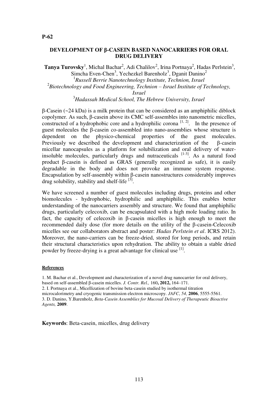**DEVELOPMENT OF β-CASEIN BASED NANOCARRIERS FOR ORAL DRUG DELIVERY**

Tanya Turovsky<sup>1</sup>, Michal Bachar<sup>2</sup>, Adi Chalilov<sup>2</sup>, Irina Portnaya<sup>2</sup>, Hadas Perlstein<sup>3</sup>, Simcha Even-Chen<sup>3</sup>, Yechezkel Barenholz<sup>3</sup>, Dganit Danino<sup>2</sup> 1 *Russell Berrie Nanotechnology Institute, Technion, Israel* <sup>2</sup>Biotechnology and Food Engineering, Technion – Israel Institute of Technology,

*Israel*

<sup>3</sup>*Hadassah Medical School, The Hebrew University, Israel*

β-Casein (~24 kDa) is a milk protein that can be considered as an amphiphilic diblock copolymer. As such, β-casein above its CMC self-assembles into nanometric micelles, constructed of a hydrophobic core and a hydrophilic corona  $[1, 2]$ . In the presence of guest molecules the β-casein co-assembled into nano-assemblies whose structure is dependent on the physico-chemical properties of the guest molecules. Previously we described the development and characterization of the β-casein micellar nanocapsules as a platform for solubilization and oral delivery of waterinsoluble molecules, particularly drugs and nutraceuticals  $[1-3]$ . As a natural food product β-casein is defined as GRAS (generally recognized as safe), it is easily degradable in the body and does not provoke an immune system response. Encapsulation by self-assembly within β-casein nanostructures considerably improves drug solubility, stability and shelf-life  $^{[3]}$ .

We have screened a number of guest molecules including drugs, proteins and other biomolecules - hydrophobic, hydrophilic and amphiphilic. This enables better understanding of the nanocarriers assembly and structure. We found that amphiphilic drugs, particularly celecoxib, can be encapsulated with a high mole loading ratio. In fact, the capacity of celecoxib in β-casein micelles is high enough to meet the recommended daily dose (for more details on the utility of the β-casein-Celecoxib micelles see our collaborators abstract and poster: *Hadas Perlstein et al*. ICRS 2012). Moreover, the nano-carriers can be freeze-dried, stored for long periods, and retain their structural characteristics upon rehydration. The ability to obtain a stable dried powder by freeze-drying is a great advantage for clinical use <sup>[1]</sup>.

#### **References**

1. M. Bachar et al., Development and characterization of a novel drug nanocarrier for oral delivery, based on self-assembled β-casein micelles. *J. Contr. Rel.,* 160**, 2012,** 164–171. 2. I. Portnaya et al., Micellization of bovine beta-casein studied by isothermal titration microcalorimetry and cryogenic transmission electron microscopy. *JAFC*, *54,* **2006**, 5555-5561. 3. D. Danino, Y.Barenholz, *Beta-Casein Assemblies for Mucosal Delivery of Therapeutic Bioactive Agents,* **2009**.

**Keywords**: Beta-casein, micelles, drug delivery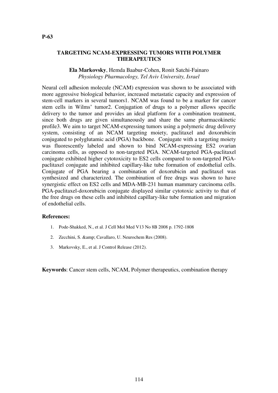## **TARGETING NCAM-EXPRESSING TUMORS WITH POLYMER THERAPEUTICS**

**Ela Markovsky**, Hemda Baabur-Cohen, Ronit Satchi-Fainaro *Physiology Pharmacology, Tel Aviv University, Israel*

Neural cell adhesion molecule (NCAM) expression was shown to be associated with more aggressive biological behavior, increased metastatic capacity and expression of stem-cell markers in several tumors1. NCAM was found to be a marker for cancer stem cells in Wilms' tumor2. Conjugation of drugs to a polymer allows specific delivery to the tumor and provides an ideal platform for a combination treatment, since both drugs are given simultaneously and share the same pharmacokinetic profile3. We aim to target NCAM-expressing tumors using a polymeric drug delivery system, consisting of an NCAM targeting moiety, paclitaxel and doxorubicin conjugated to polyglutamic acid (PGA) backbone. Conjugate with a targeting moiety was fluorescently labeled and shown to bind NCAM-expressing ES2 ovarian carcinoma cells, as opposed to non-targeted PGA. NCAM-targeted PGA-paclitaxel conjugate exhibited higher cytotoxicity to ES2 cells compared to non-targeted PGApaclitaxel conjugate and inhibited capillary-like tube formation of endothelial cells. Conjugate of PGA bearing a combination of doxorubicin and paclitaxel was synthesized and characterized. The combination of free drugs was shown to have synergistic effect on ES2 cells and MDA-MB-231 human mammary carcinoma cells. PGA-paclitaxel-doxorubicin conjugate displayed similar cytotoxic activity to that of the free drugs on these cells and inhibited capillary-like tube formation and migration of endothelial cells.

#### **References:**

- 1. Pode-Shakked, N., et al. J Cell Mol Med V13 No 8B 2008 p. 1792-1808
- 2. Zecchini, S. & amp; Cavallaro, U. Neurochem Res (2008).
- 3. Markovsky, E., et al. J Control Release (2012).

**Keywords**: Cancer stem cells, NCAM, Polymer therapeutics, combination therapy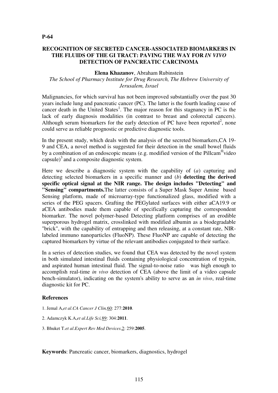# **RECOGNITION OF SECRETED CANCER-ASSOCIATED BIOMARKERS IN THE FLUIDS OF THE GI TRACT: PAVING THE WAY FOR** *IN VIVO*  **DETECTION OF PANCREATIC CARCINOMA**

#### **Elena Khazanov**, Abraham Rubinstein

## *The School of Pharmacy Institute for Drug Research, The Hebrew University of Jerusalem, Israel*

Malignancies, for which survival has not been improved substantially over the past 30 years include lung and pancreatic cancer (PC). The latter is the fourth leading cause of cancer death in the United States<sup>1</sup>. The major reason for this stagnancy in PC is the lack of early diagnosis modalities (in contrast to breast and colorectal cancers). Although serum biomarkers for the early detection of PC have been reported<sup>2</sup>, none could serve as reliable prognostic or predictive diagnostic tools.

In the present study, which deals with the analysis of the secreted biomarkers,CA 19- 9 and CEA, a novel method is suggested for their detection in the small bowel fluids by a combination of an endoscopic means (e.g. modified version of the Pillcam<sup>®</sup>video capsule)<sup>3</sup> and a composite diagnostic system.

Here we describe a diagnostic system with the capability of (*a*) capturing and detecting selected biomarkers in a specific manner and (*b*) **detecting the derived specific optical signal at the NIR range. The design includes "Detecting" and "Sensing" compartments.**The latter consists of a Super Mask Super Amine based Sensing platform, made of microarray-type functionalized glass, modified with a series of the PEG spacers. Grafting the PEGylated surfaces with either aCA19.9 or aCEA antibodies made them capable of specifically capturing the correspondent biomarker. The novel polymer-based Detecting platform comprises of an erodible superporous hydrogel matrix, crosslinked with modified albumin as a biodegradable "brick", with the capability of entrapping and then releasing, at a constant rate, NIRlabeled immuno nanoparticles (FluoNP). These FluoNP are capable of detecting the captured biomarkers by virtue of the relevant antibodies conjugated to their surface.

In a series of detection studies, we found that CEA was detected by the novel system in both simulated intestinal fluids containing physiological concentration of trypsin, and aspirated human intestinal fluid. The signal-to-noise ratio was high enough to accomplish real-time *in vivo* detection of CEA (above the limit of a video capsule bench-simulator), indicating on the system's ability to serve as an *in vivo*, real-time diagnostic kit for PC.

#### **References**

- 1. Jemal A,*et al*.*CA Cancer J Clin,*60: 277:**2010**.
- 2. Adamczyk K.A,*et al*.*Life Sci,*89: 304:**2011**.
- 3. Bhuket T.*et al*.*Expert Rev Med Devices*,2: 259:**2005**.

**Keywords**: Pancreatic cancer, biomarkers, diagnostics, hydrogel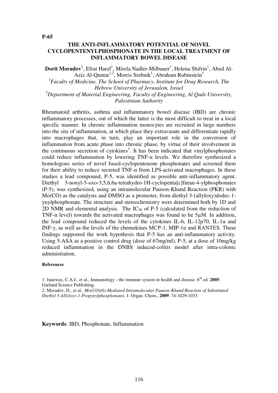## **THE ANTI-INFLAMMATORY POTENTIAL OF NOVEL CYCLOPENTENYLPHOSPHONATE IN THE LOCAL TREATMENT OF INFLAMMATORY BOWEL DISEASE**

 $\mathbf{Dorit \; Moradov}^{1}, \mathrm{Efrat \; Harel}^{1}, \mathrm{Mirela \; Nadler-Milbauer}^{1}, \mathrm{Helena \; Shifrin}^{1}, \mathrm{Abed \; Al-}$ Aziz Al-Quntar<sup>1,2</sup>, Morris Srebnik<sup>1</sup>, Abraham Rubinstein<sup>1</sup>

<sup>1</sup> Faculty of Medicine, The School of Pharmacy, Institute for Drug Research, The *Hebrew University of Jerusalem, Israel* <sup>2</sup>*Department of Material Engineering, Faculty of Engineering, Al Quds University,* 

*Palestinian Authority*

Rheumatoid arthritis, asthma and inflammatory bowel disease (IBD) are chronic inflammatory processes, out of which the latter is the most difficult to treat in a local specific manner. In chronic inflammation monocytes are recruited in large numbers into the site of inflammation, at which place they extravasate and differentiate rapidly into macrophages that, in turn, play an important role in the conversion of inflammation from acute phase into chronic phase, by virtue of their involvement in the continuous secretion of cytokines<sup>1</sup>. It has been indicated that vinylphosphonates could reduce inflammation by lowering TNF- $\alpha$  levels. We therefore synthesized a homologous series of novel fused-cyclopentenone phosphonates and screened them for their ability to reduce secreted TNF- $\alpha$  from LPS-activated macrophages. In these studies a lead compound, P-5, was identified as possible anti-inflammatory agent. Diethyl 3-nonyl-5-oxo-3,5,6,6a-tetrahydro-1H-cyclopenta[c]furan-4-ylphosphonates (P-5), was synthesized, using an intramolecular Pauson-Khand Reaction (PKR) with Mo(CO) as the catalysts and DMSO as a promoter, from diethyl 3-(allyloxy)dodec-1 ynylphosphonate. The structure and stereochemistry were determined both by 1D and 2D NMR and elemental analysis. The  $IC_{50}$  of P-5 (calculated from the reduction of TNF- $\alpha$  level) towards the activated macrophages was found to be 5 $\mu$ M. In addition, the lead compound reduced the levels of the cytokines IL-6, IL-12p70, IL-1 $\alpha$  and INF-γ, as well as the levels of the chemokines MCP-1, MIP-1 $\alpha$  and RANTES. These findings supported the work hypothesis that P-5 has an anti-inflammatory activity. Using 5-ASA as a positive control drug (dose of 67mg/ml), P-5, at a dose of 10mg/kg reduced inflammation in the DNBS induced-colitis model after intra-colonic administration.

#### **References**

1. Janeway, C.A.J., et al., Immunology - the immune system in health and disease.  $6<sup>th</sup>$  ed. **2005**: Garland Science Publishing.

2. Moradov, D., et al., *Mo(CO)(6)-Mediated Intramolecular Pauson-Khand Reaction of Substituted Diethyl 3-Allyloxy-1-Propynylphosphonates.* J. Organ. Chem., **2009**. 74:1029-1033.

**Keywords**: IBD, Phosphonate, Inflammation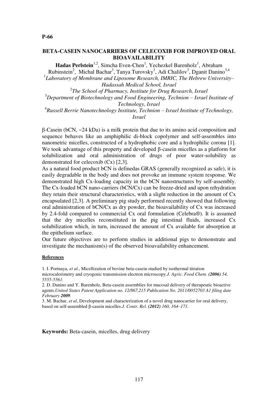#### **BETA-CASEIN NANOCARRIERS OF CELECOXIB FOR IMPROVED ORAL BIOAVAILABILITY**

**Hadas Perlstein**<sup>1,2</sup>, Simcha Even-Chen<sup>1</sup>, Yechezkel Barenholz<sup>1</sup>, Abraham Rubinstein<sup>2</sup>, Michal Bachar<sup>3</sup>, Tanya Turovsky<sup>3</sup>, Adi Chalilov<sup>3</sup>, Dganit Danino<sup>3,4</sup>

1 *Laboratory of Membrane and Liposome Research, IMRIC, The Hebrew University– Hadassah Medical School, Israel*

2 *The School of Pharmacy, Institute for Drug Research, Israel* <sup>3</sup>Department of Biotechnology and Food Engineering, Technion – Israel Institute of *Technology, Israel* <sup>4</sup> Russell Berrie Nanotechnology Institute, Technion – Israel Institute of Technology,

*Israel*

β-Casein (bCN, ~24 kDa) is a milk protein that due to its amino acid composition and sequence behaves like an amphiphilic di-block copolymer and self-assembles into nanometric micelles, constructed of a hydrophobic core and a hydrophilic corona [1]. We took advantage of this property and developed β-casein micelles as a platform for solubilization and oral administration of drugs of poor water-solubility as demonstrated for celecoxib (Cx) [2,3].

As a natural food product bCN is definedas GRAS (generally recognized as safe), it is easily degradable in the body and does not provoke an immune system response. We demonstrated high Cx-loading capacity in the bCN nanostructures by self-assembly. The Cx-loaded bCN nano-carriers (bCN/Cx) can be freeze-dried and upon rehydration they retain their structural characteristics, with a slight reduction in the amount of Cx encapsulated [2,3]. A preliminary pig study performed recently showed that following oral administration of bCN/Cx as dry powder, the bioavailability of Cx was increased by 2.4-fold compared to commercial Cx oral formulation (Celebra®). It is assumed that the dry micelles reconstituted in the pig intestinal fluids, increased Cx solubilization which, in turn, increased the amount of Cx available for absorption at the epithelium surface.

Our future objectives are to perform studies in additional pigs to demonstrate and investigate the mechanism(s) of the observed bioavailability enhancement.

#### **References**

1. I. Portnaya, *et al.*, Micellization of bovine beta-casein studied by isothermal titration microcalorimetry and cryogenic transmission electron microscopy.*J. Agric. Food Chem*. *(2006) 54, 5555-5561.* 

2. D. Danino and Y. Barenholz, Beta-casein assemblies for mucosal delivery of therapeutic bioactive agents.*United States Patent Application no. 12/867,215 Publication No. 2011/0052703 A1 filing date February 2009.* 

3. M. Bachar, *et al*, Development and characterization of a novel drug nanocarrier for oral delivery, based on self-assembled β-casein micelles.*J. Contr. Rel. (2012) 160, 164–171.* 

**Keywords:** Beta-casein, micelles, drug delivery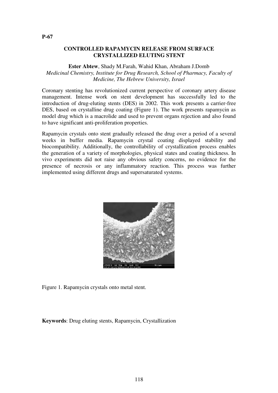## **CONTROLLED RAPAMYCIN RELEASE FROM SURFACE CRYSTALLIZED ELUTING STENT**

## **Ester Abtew**, Shady M.Farah, Wahid Khan, Abraham J.Domb *Medicinal Chemistry, Institute for Drug Research, School of Pharmacy, Faculty of Medicine, The Hebrew University, Israel*

Coronary stenting has revolutionized current perspective of coronary artery disease management. Intense work on stent development has successfully led to the introduction of drug-eluting stents (DES) in 2002. This work presents a carrier-free DES, based on crystalline drug coating (Figure 1). The work presents rapamycin as model drug which is a macrolide and used to prevent organs rejection and also found to have significant anti-proliferation properties.

Rapamycin crystals onto stent gradually released the drug over a period of a several weeks in buffer media. Rapamycin crystal coating displayed stability and biocompatibility. Additionally, the controllability of crystallization process enables the generation of a variety of morphologies, physical states and coating thickness. In vivo experiments did not raise any obvious safety concerns, no evidence for the presence of necrosis or any inflammatory reaction. This process was further implemented using different drugs and supersaturated systems.



Figure 1. Rapamycin crystals onto metal stent.

**Keywords**: Drug eluting stents, Rapamycin, Crystallization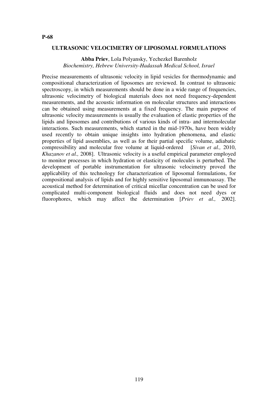#### **ULTRASONIC VELOCIMETRY OF LIPOSOMAL FORMULATIONS**

**Abba Priev**, Lola Polyansky, Yechezkel Barenholz *Biochemistry, Hebrew University-Hadassah Medical School, Israel*

Precise measurements of ultrasonic velocity in lipid vesicles for thermodynamic and compositional characterization of liposomes are reviewed. In contrast to ultrasonic spectroscopy, in which measurements should be done in a wide range of frequencies, ultrasonic velocimetry of biological materials does not need frequency-dependent measurements, and the acoustic information on molecular structures and interactions can be obtained using measurements at a fixed frequency. The main purpose of ultrasonic velocity measurements is usually the evaluation of elastic properties of the lipids and liposomes and contributions of various kinds of intra- and intermolecular interactions. Such measurements, which started in the mid-1970s, have been widely used recently to obtain unique insights into hydration phenomena, and elastic properties of lipid assemblies, as well as for their partial specific volume, adiabatic compressibility and molecular free volume at liquid-ordered[*Sivan et al.,* 2010, *Khazanov et al.,* 2008]. Ultrasonic velocity is a useful empirical parameter employed to monitor processes in which hydration or elasticity of molecules is perturbed. The development of portable instrumentation for ultrasonic velocimetry proved the applicability of this technology for characterization of liposomal formulations, for compositional analysis of lipids and for highly sensitive liposomal immunoassay. The acoustical method for determination of critical micellar concentration can be used for complicated multi-component biological fluids and does not need dyes or fluorophores, which may affect the determination [*Priev et al.,* 2002].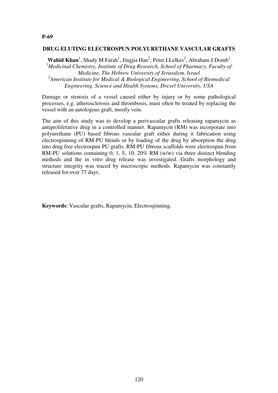## **P-69**

#### **DRUG ELUTING ELECTROSPUN POLYURETHANE VASCULAR GRAFTS**

Wahid Khan<sup>1</sup>, Shady M.Farah<sup>1</sup>, Jingjia Han<sup>2</sup>, Peter I.Lelkes<sup>2</sup>, Abraham J.Domb<sup>1</sup> <sup>1</sup>Medicinal Chemistry, Institute of Drug Research, School of Pharmacy, Faculty of *Medicine, The Hebrew University of Jerusalem, Israel* 2 *American Institute for Medical & Biological Engineering, School of Biomedical Engineering, Science and Health Systems, Drexel University, USA*

Damage or stenosis of a vessel caused either by injury or by some pathological processes, e.g. atherosclerosis and thrombosis, must often be treated by replacing the vessel with an autologous graft, mostly vein.

The aim of this study was to develop a perivascular grafts releasing rapamycin as antiproliferative drug in a controlled manner. Rapamycin (RM) was incorporate into polyurethane (PU) based fibrous vascular graft either during it fabrication using electrospinning of RM-PU blends or by loading of the drug by absorption the drug into drug free electrospun PU grafts. RM-PU fibrous scaffolds were electrospun from RM-PU solutions containing 0, 1, 5, 10, 20% RM (w/w) via three distinct blending methods and the in vitro drug release was investigated. Grafts morphology and structure integrity was traced by microscopic methods. Rapamycin was constantly released for over 77 days.

**Keywords**: Vascular grafts, Rapamycin, Electrospinning.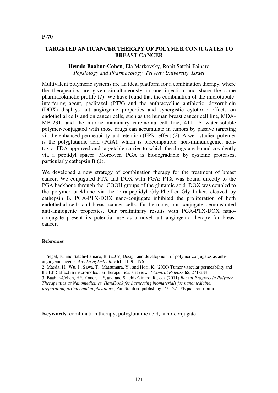# **TARGETED ANTICANCER THERAPY OF POLYMER CONJUGATES TO BREAST CANCER**

## **Hemda Baabur-Cohen**, Ela Markovsky, Ronit Satchi-Fainaro *Physiology and Pharmacology, Tel Aviv University, Israel*

Multivalent polymeric systems are an ideal platform for a combination therapy, where the therapeutics are given simultaneously in one injection and share the same pharmacokinetic profile (*1*). We have found that the combination of the microtubuleinterfering agent, paclitaxel (PTX) and the anthracycline antibiotic, doxorubicin (DOX) displays anti-angiogenic properties and synergistic cytotoxic effects on endothelial cells and on cancer cells, such as the human breast cancer cell line, MDA-MB-231, and the murine mammary carcinoma cell line, 4T1. A water-soluble polymer-conjugated with those drugs can accumulate in tumors by passive targeting via the enhanced permeability and retention (EPR) effect (*2*). A well-studied polymer is the polyglutamic acid (PGA), which is biocompatible, non-immunogenic, nontoxic, FDA-approved and targetable carrier to which the drugs are bound covalently via a peptidyl spacer. Moreover, PGA is biodegradable by cysteine proteases, particularly cathepsin B (*3*).

We developed a new strategy of combination therapy for the treatment of breast cancer. We conjugated PTX and DOX with PGA; PTX was bound directly to the PGA backbone through the <sup>γ</sup>COOH groups of the glutamic acid. DOX was coupled to the polymer backbone via the tetra-peptidyl Gly-Phe-Leu-Gly linker, cleaved by cathepsin B. PGA-PTX-DOX nano-conjugate inhibited the proliferation of both endothelial cells and breast cancer cells. Furthermore, our conjugate demonstrated anti-angiogenic properties. Our preliminary results with PGA-PTX-DOX nanoconjugate present its potential use as a novel anti-angiogenic therapy for breast cancer.

#### **References**

- 1. Segal, E., and Satchi-Fainaro, R. (2009) Design and development of polymer conjugates as antiangiogenic agents. *Adv Drug Deliv Rev* **61**, 1159-1176
- 2. Maeda, H., Wu, J., Sawa, T., Matsumura, Y., and Hori, K. (2000) Tumor vascular permeability and the EPR effect in macromolecular therapeutics: a review. *J Control Release* **65**, 271-284

3. Baabur-Cohen, H\*., Omer, L.\*, and and Satchi-Fainaro, R., eds (2011) *Recent Progress in Polymer Therapeutics as Nanomedicines, Handbook for harnessing biomaterials for nanomedicine: preparation, toxicity and applications.*, Pan Stanford publishing, 77-122 \*Equal contribution.

**Keywords**: combination therapy, polyglutamic acid, nano-conjugate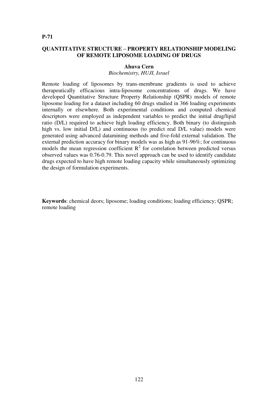# **QUANTITATIVE STRUCTURE – PROPERTY RELATIONSHIP MODELING OF REMOTE LIPOSOME LOADING OF DRUGS**

#### **Ahuva Cern**

#### *Biochemistry, HUJI, Israel*

Remote loading of liposomes by trans-membrane gradients is used to achieve therapeutically efficacious intra-liposome concentrations of drugs. We have developed Quantitative Structure Property Relationship (QSPR) models of remote liposome loading for a dataset including 60 drugs studied in 366 loading experiments internally or elsewhere. Both experimental conditions and computed chemical descriptors were employed as independent variables to predict the initial drug/lipid ratio (D/L) required to achieve high loading efficiency. Both binary (to distinguish high vs. low initial D/L) and continuous (to predict real D/L value) models were generated using advanced datamining methods and five-fold external validation. The external prediction accuracy for binary models was as high as 91-96%; for continuous models the mean regression coefficient  $R^2$  for correlation between predicted versus observed values was 0.76-0.79. This novel approach can be used to identify candidate drugs expected to have high remote loading capacity while simultaneously optimizing the design of formulation experiments.

**Keywords**: chemical deors; liposome; loading conditions; loading efficiency; QSPR; remote loading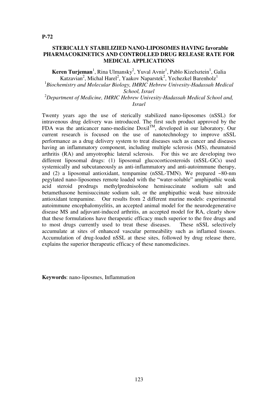Keren Turjeman<sup>1</sup>, Rina Ulmansky<sup>2</sup>, Yuval Avnir<sup>1</sup>, Pablo Kizelsztein<sup>1</sup>, Galia Katzavian<sup>2</sup>, Michal Harel<sup>2</sup>, Yaakov Naparstek<sup>2</sup>, Yechezkel Barenholz<sup>1</sup>

<sup>1</sup> Biochemistry and Molecular Biology, IMRIC Hebrew Univesity-Hadassah Medical *School, Israel*

<sup>2</sup>*Department of Medicine, IMRIC Hebrew Univesity-Hadassah Medical School and, Israel*

Twenty years ago the use of sterically stabilized nano-liposomes (nSSL) for intravenous drug delivery was introduced. The first such product approved by the FDA was the anticancer nano-medicine  $Doxil^{TM}$ , developed in our laboratory. Our current research is focused on the use of nanotechnology to improve nSSL performance as a drug delivery system to treat diseases such as cancer and diseases having an inflammatory component, including multiple sclerosis (MS), rheumatoid arthritis (RA) and amyotrophic lateral sclerosis. For this we are developing two different liposomal drugs: (1) liposomal glucocorticosteroids (nSSL-GCs) used systemically and subcutaneously as anti-inflammatory and anti-autoimmune therapy, and (2) a liposomal antioxidant, tempamine ( $nSSL-TMN$ ). We prepared  $\sim 80$ -nm pegylated nano-liposomes remote loaded with the "water-soluble" amphipathic weak acid steroid prodrugs methylprednisolone hemisuccinate sodium salt and betamethasone hemisuccinate sodium salt, or the amphipathic weak base nitroxide antioxidant tempamine. Our results from 2 different murine models: experimental autoimmune encephalomyelitis, an accepted animal model for the neurodegenerative disease MS and adjuvant-induced arthritis, an accepted model for RA, clearly show that these formulations have therapeutic efficacy much superior to the free drugs and to most drugs currently used to treat these diseases. These nSSL selectively accumulate at sites of enhanced vascular permeability such as inflamed tissues. Accumulation of drug-loaded nSSL at these sites, followed by drug release there, explains the superior therapeutic efficacy of these nanomedicines.

**Keywords**: nano-liposmes, Inflammation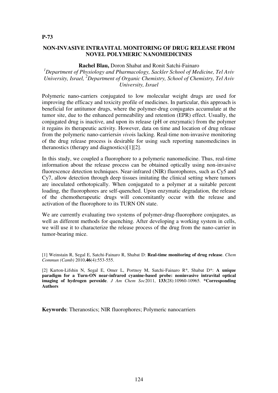#### **NON-INVASIVE INTRAVITAL MONITORING OF DRUG RELEASE FROM NOVEL POLYMERIC NANOMEDICINES**

#### **Rachel Blau,** Doron Shabat and Ronit Satchi-Fainaro

# *<sup>1</sup>Department of Physiology and Pharmacology, Sackler School of Medicine, Tel Aviv University, Israel, <sup>2</sup>Department of Organic Chemistry, School of Chemistry, Tel Aviv University, Israel*

Polymeric nano-carriers conjugated to low molecular weight drugs are used for improving the efficacy and toxicity profile of medicines. In particular, this approach is beneficial for antitumor drugs, where the polymer-drug conjugates accumulate at the tumor site, due to the enhanced permeability and retention (EPR) effect. Usually, the conjugated drug is inactive, and upon its release (pH or enzymatic) from the polymer it regains its therapeutic activity. However, data on time and location of drug release from the polymeric nano-carriers*in vivo*is lacking. Real-time non-invasive monitoring of the drug release process is desirable for using such reporting nanomedicines in theranostics (therapy and diagnostics)[1][2].

In this study, we coupled a fluorophore to a polymeric nanomedicine. Thus, real-time information about the release process can be obtained optically using non-invasive fluorescence detection techniques. Near-infrared (NIR) fluorophores, such as Cy5 and Cy7, allow detection through deep tissues imitating the clinical setting where tumors are inoculated orthotopically. When conjugated to a polymer at a suitable percent loading, the fluorophores are self-quenched. Upon enzymatic degradation, the release of the chemotherapeutic drugs will concomitantly occur with the release and activation of the fluorophore to its TURN ON state.

We are currently evaluating two systems of polymer-drug-fluorophore conjugates, as well as different methods for quenching. After developing a working system in cells, we will use it to characterize the release process of the drug from the nano-carrier in tumor-bearing mice.

[1] Weinstain R, Segal E, Satchi-Fainaro R, Shabat D: **Real-time monitoring of drug release**. *Chem Commun (Camb)* 2010,**46**(4):553-555.

[2] Karton-Lifshin N, Segal E, Omer L, Portnoy M, Satchi-Fainaro R\*, Shabat D\*: **A unique paradigm for a Turn-ON near-infrared cyanine-based probe: noninvasive intravital optical imaging of hydrogen peroxide**. *J Am Chem Soc*2011, **133**(28):10960-10965. **\*Corresponding Authors**

**Keywords**: Theranostics; NIR fluorophores; Polymeric nanocarriers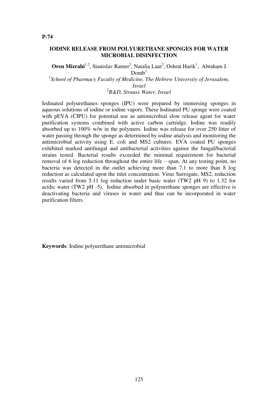## **IODINE RELEASE FROM POLYURETHANE SPONGES FOR WATER MICROBIAL DISINFECTION**

**Oren Mizrahi**<sup>1,2</sup>, Stanislav Ratner<sup>2</sup>, Natalia Laut<sup>2</sup>, Oshrat Harik<sup>1</sup>, Abraham J.  $Domh<sup>1</sup>$ 

<sup>1</sup> School of Pharmacy Faculty of Medicine, The Hebrew University of Jerusalem, *Israel*

2 *R&D, Strauss Water, Israel*

Iodinated polyurethanes sponges (IPU) were prepared by immersing sponges in aqueous solutions of iodine or iodine vapors. These Iodinated PU sponge were coated with pEVA (CIPU) for potential use as antimicrobial slow release agent for water purification systems combined with active carbon cartridge. Iodine was readily absorbed up to 100% w/w in the polymers. Iodine was release for over 250 litter of water passing through the sponge as determined by iodine analysis and monitoring the antimicrobial activity using E. coli and MS2 cultures. EVA coated PU sponges exhibited marked antifungal and antibacterial activities against the fungal/bacterial strains tested. Bacterial results exceeded the minimal requirement for bacterial removal of 6 log reduction throughout the entire life – span. At any testing point, no bacteria was detected in the outlet achieving more than 7.1 to more than 8 log reduction as calculated upon the inlet concentration. Virus Surrogate, MS2, reduction results varied from 5.11 log reduction under basic water (TW2 pH 9) to 1.32 for acidic water (TW2 pH -5). Iodine absorbed in polyurethane sponges are effective is deactivating bacteria and viruses in water and thus can be incorporated in water purification filters.

**Keywords**: Iodine polyurethane antimicrobial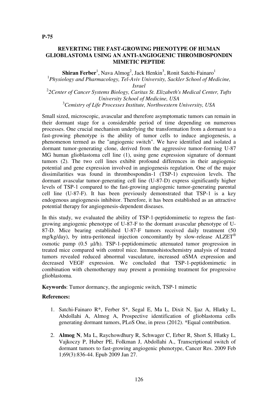# **REVERTING THE FAST-GROWING PHENOTYPE OF HUMAN GLIOBLASTOMA USING AN ANTI-ANGIOGENIC THROMBOSPONDIN MIMETIC PEPTIDE**

 $\mathbf{Shiran\, Ferber}^{1}$ , Nava Almog<sup>2</sup>, Jack Henkin<sup>3</sup>, Ronit Satchi-Fainaro<sup>1</sup> <sup>1</sup>Physiology and Pharmacology, Tel-Aviv University, Sackler School of Medicine, *Israel* 2 *2Center of Cancer Systems Biology, Caritas St. Elizabeth's Medical Center, Tufts University School of Medicine, USA* <sup>3</sup>*Cemistry of Life Processes Institute, Northwestern University, USA*

Small sized, microscopic, avascular and therefore asymptomatic tumors can remain in their dormant stage for a considerable period of time depending on numerous processes. One crucial mechanism underlying the transformation from a dormant to a fast-growing phenotype is the ability of tumor cells to induce angiogenesis, a phenomenon termed as the "angiogenic switch". We have identified and isolated a dormant tumor-generating clone, derived from the aggressive tumor-forming U-87 MG human glioblastoma cell line (1), using gene expression signature of dormant tumors (2). The two cell lines exhibit profound differences in their angiogenic potential and gene expression involved in angiogenesis regulation. One of the major dissimilarities was found in thrombospondin-1 (TSP-1) expression levels. The dormant avascular tumor-generating cell line (U-87-D) express significantly higher levels of TSP-1 compared to the fast-growing angiogenic tumor-generating parental cell line (U-87-F). It has been previously demonstrated that TSP-1 is a key endogenous angiogenesis inhibitor. Therefore, it has been established as an attractive potential therapy for angiogenesis-dependent diseases.

In this study, we evaluated the ability of TSP-1-peptidomimetic to regress the fastgrowing angiogenic phenotype of U-87-F to the dormant avascular phenotype of U-87-D. Mice bearing established U-87-F tumors received daily treatment (50 mg/kg/day), by intra-peritoneal injection concomitantly by slow-release  $ALZET^{\circledast}$ osmotic pump  $(0.5 \text{ }\mu\text{J/h})$ . TSP-1-peptidomimetic attenuated tumor progression in treated mice compared with control mice. Immunohistochemistry analysis of treated tumors revealed reduced abnormal vasculature, increased αSMA expression and decreased VEGF expression. We concluded that TSP-1-peptidomimetic in combination with chemotherapy may present a promising treatment for progressive glioblastoma.

**Keywords**: Tumor dormancy, the angiogenic switch, TSP-1 mimetic

## **References:**

- 1. Satchi-Fainaro R\*, Ferber S\*, Segal E, Ma L, Dixit N, Ijaz A, Hlatky L, Abdollahi A, Almog A, Prospective identification of glioblastoma cells generating dormant tumors, PLoS One, in press (2012). \*Equal contribution.
- 2. **Almog N**, Ma L, Raychowdhury R, Schwager C, Erber R, Short S, Hlatky L, Vajkoczy P, Huber PE, Folkman J, Abdollahi A., Transcriptional switch of dormant tumors to fast-growing angiogenic phenotype, Cancer Res. 2009 Feb 1;69(3):836-44. Epub 2009 Jan 27.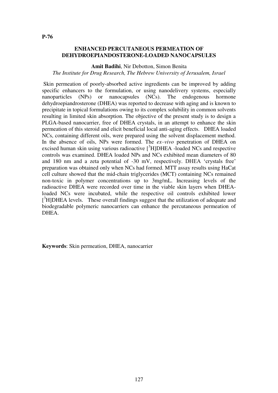# **ENHANCED PERCUTANEOUS PERMEATION OF DEHYDROEPIANDOSTERONE-LOADED NANOCAPSULES**

**Amit Badihi**, Nir Debotton, Simon Benita *The Institute for Drug Research, The Hebrew University of Jerusalem, Israel*

 Skin permeation of poorly-absorbed active ingredients can be improved by adding specific enhancers to the formulation, or using nanodelivery systems, especially nanoparticles (NPs) or nanocapsules (NCs). The endogenous hormone dehydroepiandrosterone (DHEA) was reported to decrease with aging and is known to precipitate in topical formulations owing to its complex solubility in common solvents resulting in limited skin absorption. The objective of the present study is to design a PLGA-based nanocarrier, free of DHEA crystals, in an attempt to enhance the skin permeation of this steroid and elicit beneficial local anti-aging effects. DHEA loaded NCs, containing different oils, were prepared using the solvent displacement method. In the absence of oils, NPs were formed. The *ex–vivo* penetration of DHEA on excised human skin using various radioactive  $\int^3 H$ ]DHEA -loaded NCs and respective controls was examined. DHEA loaded NPs and NCs exhibited mean diameters of 80 and 180 nm and a zeta potential of -30 mV, respectively. DHEA 'crystals free' preparation was obtained only when NCs had formed. MTT assay results using HaCat cell culture showed that the mid-chain triglycerides (MCT) containing NCs remained non-toxic in polymer concentrations up to 3mg/mL. Increasing levels of the radioactive DHEA were recorded over time in the viable skin layers when DHEAloaded NCs were incubated, while the respective oil controls exhibited lower [<sup>3</sup>H]DHEA levels. These overall findings suggest that the utilization of adequate and biodegradable polymeric nanocarriers can enhance the percutaneous permeation of DHEA.

**Keywords**: Skin permeation, DHEA, nanocarrier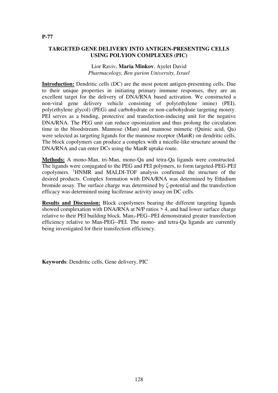# **TARGETED GENE DELIVERY INTO ANTIGEN-PRESENTING CELLS USING POLYION COMPLEXES (PIC)**

## Lior Raviv, **Maria Minkov**, Ayelet David *Pharmacology, Ben gurion University, Israel*

**Introduction:** Dendritic cells (DC) are the most potent antigen-presenting cells. Due to their unique properties in initiating primary immune responses, they are an excellent target for the delivery of DNA/RNA based activation. We constructed a non-viral gene delivery vehicle consisting of poly(ethylene imine) (PEI), poly(ethylene glycol) (PEG) and carbohydrate or non-carbohydrate targeting moiety. PEI serves as a binding, protective and transfection-inducing unit for the negative DNA/RNA. The PEG unit can reduce opsonization and thus prolong the circulation time in the bloodstream. Mannose (Man) and mannose mimetic (Quinic acid, Qa) were selected as targeting ligands for the mannose receptor (ManR) on dendritic cells. The block copolymers can produce a complex with a micelle-like structure around the DNA/RNA and can enter DCs using the ManR uptake route.

**Methods:** A mono-Man, tri-Man, mono-Qa and tetra-Qa ligands were constructed. The ligands were conjugated to the PEG and PEI polymers, to form targeted-PEG-PEI copolymers. <sup>1</sup>HNMR and MALDI-TOF analysis confirmed the structure of the desired products. Complex formation with DNA/RNA was determined by Ethidium bromide assay. The surface charge was determined by ζ-potential and the transfection efficacy was determined using luciferase activity assay on DC cells.

**Results and Discussion:** Block copolymers bearing the different targeting ligands showed complexation with DNA/RNA at N/P ratios > 4, and had lower surface charge relative to their PEI building block. Man<sub>3</sub>-PEG--PEI demonstrated greater transfection efficiency relative to Man-PEG--PEI. The mono- and tetra-Qa ligands are currently being investigated for their transfection efficiency.

**Keywords**: Dendritic cells, Gene delivery, PIC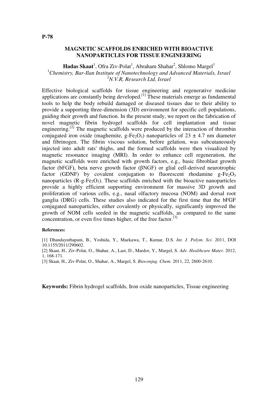## **MAGNETIC SCAFFOLDS ENRICHED WITH BIOACTIVE NANOPARTICLES FOR TISSUE ENGINEERING**

Hadas Skaat<sup>1</sup>, Ofra Ziv-Polat<sup>1</sup>, Abraham Shahar<sup>2</sup>, Shlomo Margel<sup>1</sup> <sup>1</sup>*Chemistry, Bar-Ilan Institute of Nanotechnology and Advanced Materials, Israel* <sup>2</sup>*N.V.R, Research Ltd, Israel*

Effective biological scaffolds for tissue engineering and regenerative medicine applications are constantly being developed.[1] These materials emerge as fundamental tools to help the body rebuild damaged or diseased tissues due to their ability to provide a supporting three-dimension (3D) environment for specific cell populations, guiding their growth and function. In the present study, we report on the fabrication of novel magnetic fibrin hydrogel scaffolds for cell implantation and tissue engineering.<sup>[2]</sup> The magnetic scaffolds were produced by the interaction of thrombin conjugated iron oxide (maghemite, g-Fe<sub>2</sub>O<sub>3</sub>) nanoparticles of  $23 \pm 4.7$  nm diameter and fibrinogen. The fibrin viscous solution, before gelation, was subcutaneously injected into adult rats' thighs, and the formed scaffolds were then visualized by magnetic resonance imaging (MRI). In order to enhance cell regeneration, the magnetic scaffolds were enriched with growth factors, e.g., basic fibroblast growth factor (bFGF), beta nerve growth factor (βNGF) or glial cell-derived neurotrophic factor (GDNF) by covalent conjugation to fluorescent rhodamine  $g$ -Fe<sub>2</sub>O<sub>3</sub> nanoparticles  $(R-g-Fe<sub>2</sub>O<sub>3</sub>)$ . These scaffolds enriched with the bioactive nanoparticles provide a highly efficient supporting environment for massive 3D growth and proliferation of various cells, e.g., nasal olfactory mucosa (NOM) and dorsal root ganglia (DRG) cells. These studies also indicated for the first time that the bFGF conjugated nanoparticles, either covalently or physically, significantly improved the growth of NOM cells seeded in the magnetic scaffolds, as compared to the same concentration, or even five times higher, of the free factor.<sup>[3]</sup>

#### **References:**

[1] Dhandayuthapani, B., Yoshida, Y., Maekawa, T., Kumar, D.S. *Int. J. Polym. Sci.* 2011, DOI 10.1155/2011/290602.

[2] Skaat, H., Ziv-Polat, O., Shahar, A., Last, D., Mardor, Y., Margel, S. *Adv. Healthcare Mater.* 2012, 1, 168-171.

[3] Skaat, H., Ziv-Polat, O., Shahar, A., Margel, S. *Bioconjug. Chem.* 2011, 22, 2600-2610.

**Keywords:** Fibrin hydrogel scaffolds, Iron oxide nanoparticles, Tissue engineering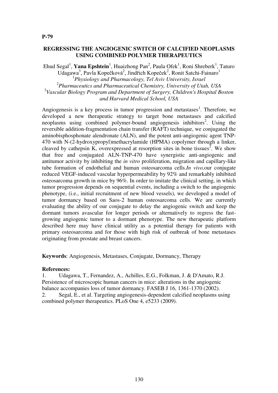## **REGRESSING THE ANGIOGENIC SWITCH OF CALCIFIED NEOPLASMS USING COMBINED POLYMER THERAPEUTICS**

Ehud Segal<sup>1</sup>, Yana Epshtein<sup>1</sup>, Huaizhong Pan<sup>2</sup>, Paula Ofek<sup>1</sup>, Roni Shreberk<sup>1</sup>, Taturo Udagawa<sup>3</sup>, Pavla Kopečková<sup>2</sup>, Jindřich Kopeček<sup>2</sup>, Ronit Satchi-Fainaro<sup>1</sup> 1 *Physiology and Pharmacology, Tel Aviv University, Israel* 2 *Pharmaceutics and Pharmaceutical Chemistry, University of Utah, USA* 3 *Vascular Biology Program and Department of Surgery, Children's Hospital Boston and Harvard Medical School, USA*

Angiogenesis is a key process in tumor progression and metastases<sup>1</sup>. Therefore, we developed a new therapeutic strategy to target bone metastases and calcified neoplasms using combined polymer-bound angiogenesis inhibitors<sup>2</sup>. Using the reversible addition-fragmentation chain transfer (RAFT) technique, we conjugated the aminobisphosphonate alendronate (ALN), and the potent anti-angiogenic agent TNP-470 with N-(2-hydroxypropyl)methacrylamide (HPMA) copolymer through a linker, cleaved by cathepsin K, overexpressed at resorption sites in bone tissues<sup>2</sup>. We show that free and conjugated ALN-TNP-470 have synergistic anti-angiogenic and antitumor activity by inhibiting the *in vitro* proliferation, migration and capillary-like tube formation of endothelial and human osteosarcoma cells.*In vivo,*our conjugate reduced VEGF-induced vascular hyperpermeability by 92% and remarkably inhibited osteosarcoma growth in mice by 96%. In order to imitate the clinical setting, in which tumor progression depends on sequential events, including a switch to the angiogenic phenotype, (i.e., initial recruitment of new blood vessels), we developed a model of tumor dormancy based on Saos-2 human osteosarcoma cells. We are currently evaluating the ability of our conjugate to delay the angiogenic switch and keep the dormant tumors avascular for longer periods or alternatively to regress the fastgrowing angiogenic tumor to a dormant phenotype. The new therapeutic platform described here may have clinical utility as a potential therapy for patients with primary osteosarcoma and for those with high risk of outbreak of bone metastases originating from prostate and breast cancers.

**Keywords**: Angiogenesis, Metastases, Conjugate, Dormancy, Therapy

#### **References:**

1. Udagawa, T., Fernandez, A., Achilles, E.G., Folkman, J. & D'Amato, R.J. Persistence of microscopic human cancers in mice: alterations in the angiogenic balance accompanies loss of tumor dormancy. FASEB J 16, 1361-1370 (2002).

2. Segal, E., et al. Targeting angiogenesis-dependent calcified neoplasms using combined polymer therapeutics. PLoS One 4, e5233 (2009).

#### **P-79**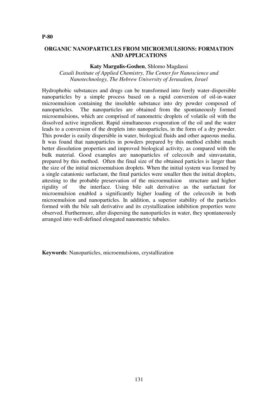# **ORGANIC NANOPARTICLES FROM MICROEMULSIONS: FORMATION AND APPLICATIONS**

**Katy Margulis-Goshen**, Shlomo Magdassi

*Casali Institute of Applied Chemistry, The Center for Nanoscience and Nanotechnology, The Hebrew University of Jerusalem, Israel*

Hydrophobic substances and drugs can be transformed into freely water-dispersible nanoparticles by a simple process based on a rapid conversion of oil-in-water microemulsion containing the insoluble substance into dry powder composed of nanoparticles. The nanoparticles are obtained from the spontaneously formed microemulsions, which are comprised of nanometric droplets of volatile oil with the dissolved active ingredient. Rapid simultaneous evaporation of the oil and the water leads to a conversion of the droplets into nanoparticles, in the form of a dry powder. This powder is easily dispersible in water, biological fluids and other aqueous media. It was found that nanoparticles in powders prepared by this method exhibit much better dissolution properties and improved biological activity, as compared with the bulk material. Good examples are nanoparticles of celecoxib and simvastatin, prepared by this method. Often the final size of the obtained particles is larger than the size of the initial microemulsion droplets. When the initial system was formed by a single catanionic surfactant, the final particles were smaller then the initial droplets, attesting to the probable preservation of the microemulsion structure and higher rigidity of the interface. Using bile salt derivative as the surfactant for microemulsion enabled a significantly higher loading of the celecoxib in both microemulsion and nanoparticles. In addition, a superior stability of the particles formed with the bile salt derivative and its crystallization inhibition properties were observed. Furthermore, after dispersing the nanoparticles in water, they spontaneously arranged into well-defined elongated nanometric tubules.

**Keywords**: Nanoparticles, microemulsions, crystallization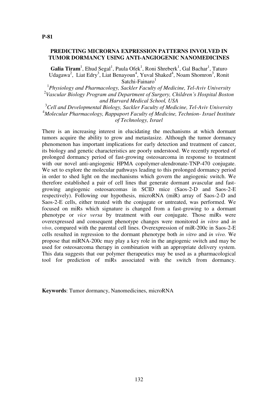## **PREDICTING MICRORNA EXPRESSION PATTERNS INVOLVED IN TUMOR DORMANCY USING ANTI-ANGIOGENIC NANOMEDICINES**

Galia Tiram<sup>1</sup>, Ehud Segal<sup>1</sup>, Paula Ofek<sup>1</sup>, Roni Shreberk<sup>1</sup>, Gal Bachar<sup>1</sup>, Taturo Udagawa<sup>2</sup>, Liat Edry<sup>3</sup>, Liat Benayoun<sup>4</sup>, Yuval Shaked<sup>4</sup>, Noam Shomron<sup>3</sup>, Ronit Satchi-Fainaro $1$ 

1 *Physiology and Pharmacology, Sackler Faculty of Medicine, Tel-Aviv University* 2 *Vascular Biology Program and Department of Surgery, Children's Hospital Boston and Harvard Medical School, USA*

<sup>3</sup>*Cell and Developmental Biology, Sackler Faculty of Medicine, Tel-Aviv University* <sup>4</sup>*Molecular Pharmacology, Rappaport Faculty of Medicine, Technion- Israel Institute of Technology, Israel*

There is an increasing interest in elucidating the mechanisms at which dormant tumors acquire the ability to grow and metastasize. Although the tumor dormancy phenomenon has important implications for early detection and treatment of cancer, its biology and genetic characteristics are poorly understood. We recently reported of prolonged dormancy period of fast-growing osteosarcoma in response to treatment with our novel anti-angiogenic HPMA copolymer-alendronate-TNP-470 conjugate. We set to explore the molecular pathways leading to this prolonged dormancy period in order to shed light on the mechanisms which govern the angiogenic switch. We therefore established a pair of cell lines that generate dormant avascular and fastgrowing angiogenic osteosarcomas in SCID mice (Saos-2-D and Saos-2-E respectively). Following our hypothesis, microRNA (miR) array of Saos-2-D and Saos-2-E cells, either treated with the conjugate or untreated, was performed. We focused on miRs which signature is changed from a fast-growing to a dormant phenotype or *vice versa* by treatment with our conjugate. Those miRs were overexpressed and consequent phenotype changes were monitored *in vitro* and *in vivo*, compared with the parental cell lines. Overexpression of miR-200c in Saos-2-E cells resulted in regression to the dormant phenotype both *in vitro* and *in vivo.* We propose that miRNA-200c may play a key role in the angiogenic switch and may be used for osteosarcoma therapy in combination with an appropriate delivery system. This data suggests that our polymer therapeutics may be used as a pharmacological tool for prediction of miRs associated with the switch from dormancy.

**Keywords**: Tumor dormancy, Nanomedicines, microRNA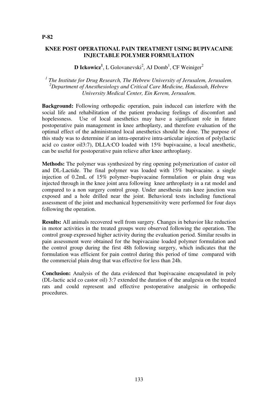## **KNEE POST OPERATIONAL PAIN TREATMENT USING BUPIVACAINE INJECTABLE POLYMER FORMULATION**

# **D Ickowicz<sup>1</sup>**, L Golovanevski<sup>2</sup>, AJ Domb<sup>1</sup>, CF Weiniger<sup>2</sup>

*1 The Institute for Drug Research, The Hebrew University of Jerusalem, Jerusalem. <sup>2</sup>Department of Anesthesiology and Critical Care Medicine, Hadassah, Hebrew University Medical Center, Ein Kerem, Jerusalem.* 

**Background:** Following orthopedic operation, pain induced can interfere with the social life and rehabilitation of the patient producing feelings of discomfort and hopelessness. Use of local anesthetics may have a significant role in future postoperative pain management in knee arthoplasty, and therefore evaluation of the optimal effect of the administrated local anesthetics should be done. The purpose of this study was to determine if an intra-operative intra-articular injection of poly(lactic acid co castor oil3:7), DLLA:CO loaded with 15% bupivacaine, a local anesthetic, can be useful for postoperative pain relieve after knee arthroplasty.

**Methods:** The polymer was synthesized by ring opening polymerization of castor oil and DL-Lactide. The final polymer was loaded with 15% bupivacaine. a single injection of 0.2mL of 15% polymer–bupivacaine formulation or plain drug was injected through in the knee joint area following knee arthroplasty in a rat model and compared to a non surgery control group. Under anesthesia rats knee junction was exposed and a hole drilled near the joint. Behavioral tests including functional assessment of the joint and mechanical hypersensitivity were performed for four days following the operation.

**Results:** All animals recovered well from surgery. Changes in behavior like reduction in motor activities in the treated groups were observed following the operation. The control group expressed higher activity during the evaluation period. Similar results in pain assessment were obtained for the bupivacaine loaded polymer formulation and the control group during the first 48h following surgery, which indicates that the formulation was efficient for pain control during this period of time compared with the commercial plain drug that was effective for less than 24h.

**Conclusion:** Analysis of the data evidenced that bupivacaine encapsulated in poly (DL-lactic acid co castor oil) 3:7 extended the duration of the analgesia on the treated rats and could represent and effective postoperative analgesic in orthopedic procedures.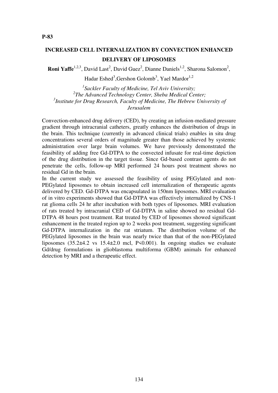# **INCREASED CELL INTERNALIZATION BY CONVECTION ENHANCED DELIVERY OF LIPOSOMES**

**Roni Yaffe**<sup>1,2,3</sup>, David Last<sup>2</sup>, David Guez<sup>2</sup>, Dianne Daniels<sup>1,2</sup>, Sharona Salomon<sup>2</sup>,

Hadar Eshed<sup>3</sup>,Gershon Golomb<sup>3</sup>, Yael Mardor<sup>1,2</sup>

 *Sackler Faculty of Medicine, Tel Aviv University; The Advanced Technology Center, Sheba Medical Center; Institute for Drug Research, Faculty of Medicine, The Hebrew University of Jerusalem* 

Convection-enhanced drug delivery (CED), by creating an infusion-mediated pressure gradient through intracranial catheters, greatly enhances the distribution of drugs in the brain. This technique (currently in advanced clinical trials) enables in situ drug concentrations several orders of magnitude greater than those achieved by systemic administration over large brain volumes. We have previously demonstrated the feasibility of adding free Gd-DTPA to the convected infusate for real-time depiction of the drug distribution in the target tissue. Since Gd-based contrast agents do not penetrate the cells, follow-up MRI performed 24 hours post treatment shows no residual Gd in the brain.

In the current study we assessed the feasibility of using PEGylated and non-PEGylated liposomes to obtain increased cell internalization of therapeutic agents delivered by CED. Gd-DTPA was encapsulated in 150nm liposomes. MRI evaluation of in vitro experiments showed that Gd-DTPA was effectively internalized by CNS-1 rat glioma cells 24 hr after incubation with both types of liposomes. MRI evaluation of rats treated by intracranial CED of Gd-DTPA in saline showed no residual Gd-DTPA 48 hours post treatment. Rat treated by CED of liposomes showed significant enhancement in the treated region up to 2 weeks post treatment, suggesting significant Gd-DTPA internalization in the rat striatum. The distribution volume of the PEGylated liposomes in the brain was nearly twice than that of the non-PEGylated liposomes  $(35.2\pm4.2 \text{ vs } 15.4\pm2.0 \text{ mol}, P\leq0.001)$ . In ongoing studies we evaluate Gd/drug formulations in glioblastoma multiforma (GBM) animals for enhanced detection by MRI and a therapeutic effect.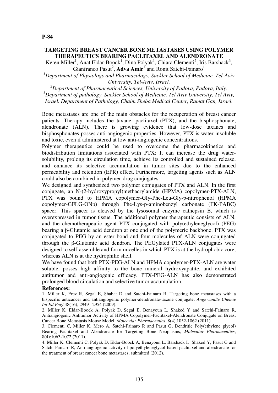# **TARGETING BREAST CANCER BONE METASTASES USING POLYMER THERAPEUTICS BEARING PACLITAXEL AND ALENDRONATE**

Keren Miller<sup>1</sup>, Anat Eldar-Boock<sup>1</sup>, Dina Polyak<sup>1</sup>, Chiara Clementi<sup>2</sup>, Iris Barshack<sup>3</sup>, Gianfranco Pasut<sup>2</sup>, Adva Amir<sup>1</sup> and Ronit Satchi-Fainaro<sup>1</sup>

*<sup>1</sup>Department of Physiology and Pharmacology, Sackler School of Medicine, Tel-Aviv University, Tel-Aviv, Israel.* 

*<sup>2</sup>Department of Pharmaceutical Sciences, University of Padova, Padova, Italy. <sup>3</sup>Department of pathology, Sackler School of Medicine, Tel Aviv University, Tel Aviv, Israel. Department of Pathology, Chaim Sheba Medical Center, Ramat Gan, Israel.* 

Bone metastases are one of the main obstacles for the recuperation of breast cancer patients. Therapy includes the taxane, paclitaxel (PTX), and the bisphosphonate, alendronate (ALN). There is growing evidence that low-dose taxanes and bisphosphonates posses anti-angiogenic properties. However, PTX is water insoluble and toxic, even if administered at low anti-angiogenic concentrations.

Polymer therapeutics could be used to overcome the pharmacokinetics and biodistribution limitations associated with PTX: It can increase the drug watersolubility, prolong its circulation time, achieve its controlled and sustained release, and enhance its selective accumulation in tumor sites due to the enhanced permeability and retention (EPR) effect. Furthermore, targeting agents such as ALN could also be combined in polymer-drug conjugates.

We designed and synthesized two polymer conjugates of PTX and ALN. In the first conjugate, an N-(2-hydroxypropyl)methacrylamide (HPMA) copolymer-PTX-ALN, PTX was bound to HPMA copolymer-Gly-Phe-Leu-Gly-p-nitrophenol (HPMA copolymer-GFLG-ONp) through Phe-Lys-p-aminobenzyl carbonate (FK-PABC) spacer. This spacer is cleaved by the lysosomal enzyme cathepsin B, which is overexpressed in tumor tissue. The additional polymer therapeutic consists of ALN, and the chemotherapeutic agent PTX conjugated with poly(ethyleneglycol) (PEG) bearing a β-Glutamic acid dendron at one end of the polymeric backbone. PTX was conjugated to PEG by an ester bond and four molecules of ALN were conjugated through the β-Glutamic acid dendron. The PEGylated PTX-ALN conjugates were designed to self-assemble and form micelles in which PTX is at the hydrophobic core, whereas ALN is at the hydrophilic shell.

We have found that both PTX-PEG-ALN and HPMA copolymer-PTX-ALN are water soluble, posses high affinity to the bone mineral hydroxyapatite, and exhibited antitumor and anti-angiogenic efficacy. PTX-PEG-ALN has also demonstrated prolonged blood circulation and selective tumor accumulation.

#### **References:**

1. Miller K, Erez R, Segal E, Shabat D and Satchi-Fainaro R, Targeting bone metastases with a bispecific anticancer and antiangiogenic polymer-alendronate-taxane conjugate, *Angewandte Chemie Int Ed Engl* 48(16), 2949 –2954 (2009).

2. Miller K, Eldar-Boock A, Polyak D, Segal E, Benayoun L, Shaked Y and Satchi-Fainaro R, Antiangiogenic Antitumor Activity of HPMA Copolymer-Paclitaxel-Alendronate Conjugate on Breast Cancer Bone Metastasis Mouse Model, *Molecular Pharmaceutics*, 8(4),1052-1062 (2011).

3. Clementi C, Miller K, Mero A, Satchi-Fainaro R and Pasut G, Dendritic Poly(ethylene glycol) Bearing Paclitaxel and Alendronate for Targeting Bone Neoplasms, *Molecular Pharmaceutics*, 8(4):1063-1072 (2011).

4. Miller K, Clementi C, Polyak D, Eldar-Boock A, Benayoun L, Barshack I, Shaked Y, Pasut G and Satchi-Fainaro R, Anti-angiogenic activity of polyethyleneglycol-based paclitaxel and alendronate for the treatment of breast cancer bone metastases, submitted (2012).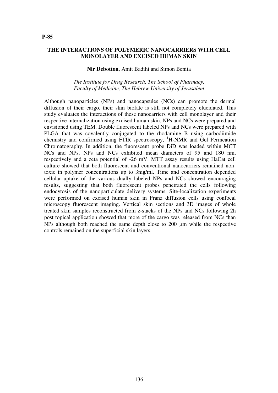#### **THE INTERACTIONS OF POLYMERIC NANOCARRIERS WITH CELL MONOLAYER AND EXCISED HUMAN SKIN**

#### **Nir Debotton**, Amit Badihi and Simon Benita

## *The Institute for Drug Research, The School of Pharmacy, Faculty of Medicine, The Hebrew University of Jerusalem*

Although nanoparticles (NPs) and nanocapsules (NCs) can promote the dermal diffusion of their cargo, their skin biofate is still not completely elucidated. This study evaluates the interactions of these nanocarriers with cell monolayer and their respective internalization using excised human skin. NPs and NCs were prepared and envisioned using TEM. Double fluorescent labeled NPs and NCs were prepared with PLGA that was covalently conjugated to the rhodamine B using carbodiimide chemistry and confirmed using FTIR spectroscopy,  ${}^{1}$ H-NMR and Gel Permeation Chromatography. In addition, the fluorescent probe DiD was loaded within MCT NCs and NPs. NPs and NCs exhibited mean diameters of 95 and 180 nm, respectively and a zeta potential of -26 mV. MTT assay results using HaCat cell culture showed that both fluorescent and conventional nanocarriers remained nontoxic in polymer concentrations up to 3mg/ml. Time and concentration depended cellular uptake of the various dually labeled NPs and NCs showed encouraging results, suggesting that both fluorescent probes penetrated the cells following endocytosis of the nanoparticulate delivery systems. Site-localization experiments were performed on excised human skin in Franz diffusion cells using confocal microscopy fluorescent imaging. Vertical skin sections and 3D images of whole treated skin samples reconstructed from z-stacks of the NPs and NCs following 2h post topical application showed that more of the cargo was released from NCs than NPs although both reached the same depth close to  $200 \mu m$  while the respective controls remained on the superficial skin layers.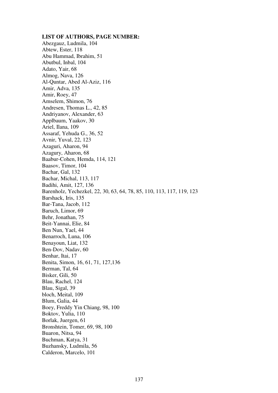#### **LIST OF AUTHORS, PAGE NUMBER:**

Abezgauz, Ludmila, 104 Abtew, Ester, 118 Abu Hammad, Ibrahim, 51 Abutbul, Inbal, 104 Adato, Yair, 68 Almog, Nava, 126 Al-Quntar, Abed Al-Aziz, 116 Amir, Adva, 135 Amir, Roey, 47 Amselem, Shimon, 76 Andresen, Thomas L., 42, 85 Andriyanov, Alexander, 63 Applbaum, Yaakov, 30 Ariel, Ilana, 109 Assaraf, Yehuda G., 36, 52 Avnir, Yuval, 22, 123 Azaguri, Aharon, 94 Azagury, Aharon, 68 Baabur-Cohen, Hemda, 114, 121 Baasov, Timor, 104 Bachar, Gal, 132 Bachar, Michal, 113, 117 Badihi, Amit, 127, 136 Barenholz, Yechezkel, 22, 30, 63, 64, 78, 85, 110, 113, 117, 119, 123 Barshack, Iris, 135 Bar-Tana, Jacob, 112 Baruch, Limor, 69 Behr, Jonathan, 75 Beit-Yannai, Elie, 84 Ben Nun, Yael, 44 Benarroch, Luna, 106 Benayoun, Liat, 132 Ben-Dov, Nadav, 60 Benhar, Itai, 17 Benita, Simon, 16, 61, 71, 127,136 Berman, Tal, 64 Bisker, Gili, 50 Blau, Rachel, 124 Blau, Sigal, 39 bloch, Meital, 109 Blum, Galia, 44 Boey, Freddy Yin Chiang, 98, 100 Boktov, Yulia, 110 Borlak, Juergen, 61 Bronshtein, Tomer, 69, 98, 100 Buaron, Nitsa, 94 Buchman, Katya, 31 Buzhansky, Ludmila, 56 Calderon, Marcelo, 101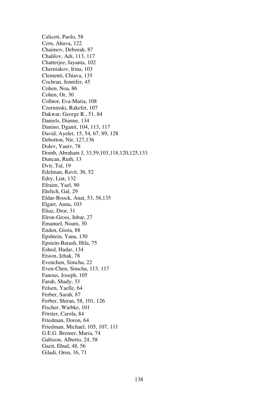Caliceti, Paolo, 58 Cern, Ahuva, 122 Chaimov, Deborah, 87 Chalilov, Adi, 113, 117 Chatterjee, Jayanta, 102 Cherniakov, Irina, 103 Clementi, Chiava, 135 Cochran, Jennifer, 45 Cohen, Noa, 86 Cohen, Or, 30 Collnot, Eva-Maria, 108 Czerninski, Rakefet, 107 Dakwar, George R., 51, 84 Daniels, Dianne, 134 Danino, Dganit, 104, 113, 117 David, Ayelet, 15, 54, 67, 89, 128 Debotton, Nir, 127,136 Dolev, Yaniv, 78 Domb, Abraham J, 33,59,103,118,120,125,133 Duncan, Ruth, 13 Dvir, Tal, 19 Edelman, Ravit, 36, 52 Edry, Liat, 132 Efraim, Yael, 90 Ehrlich, Gal, 29 Eldar-Boock, Anat, 53, 58,135 Elgart, Anna, 103 Eliaz, Dror, 31 Elron-Gross, Inbar, 27 Emanuel, Noam, 30 Enden, Giora, 88 Epshtein, Yana, 130 Epstein-Barash, Hila, 75 Eshed, Hadar, 134 Etsion, Izhak, 78 Evenchen, Simcha, 22 Even-Chen, Simcha, 113, 117 Fanous, Joseph, 105 Farah, Shady, 33 Felsen, Yaelle, 64 Ferber, Sarah, 87 Ferber, Shiran, 58, 101, 126 Fischer, Wiebke, 101 Förster, Carola, 84 Friedman, Doron, 64 Friedman, Michael, 105, 107, 111 G.E.G. Bremer, Maria, 74 Gabizon, Alberto, 24, 58 Gazit, Ehud, 48, 56 Giladi, Oren, 16, 71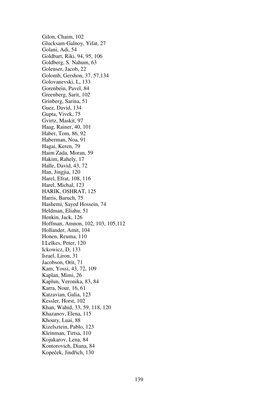Gilon, Chaim, 102 Glucksam-Galnoy, Yifat, 27 Golani, Adi, 54 Goldbart, Riki, 94, 95, 106 Goldberg, S. Nahum, 63 Golenser, Jacob, 22 Golomb, Gershon, 37, 57,134 Golovanevski, L, 133 Gorenbein, Pavel, 84 Greenberg, Sarit, 102 Grinberg, Sarina, 51 Guez, David, 134 Gupta, Vivek, 75 Gvirtz, Maskit, 97 Haag, Rainer, 40, 101 Haber, Tom, 86, 92 Haberman, Noa, 91 Hagai, Keren, 79 Haim Zada, Moran, 59 Hakim, Rahely, 17 Halle, David, 43, 72 Han, Jingjia, 120 Harel, Efrat, 108, 116 Harel, Michal, 123 HARIK, OSHRAT, 125 Harris, Baruch, 75 Hashemi, Sayed Hossein, 74 Heldman, Eliahu, 51 Henkin, Jack, 126 Hoffman, Amnon, 102, 103, 105,112 Hollander, Amit, 104 Honen, Reuma, 110 I.Lelkes, Peter, 120 Ickowicz, D, 133 Israel, Liron, 31 Jacobson, Orit, 71 Kam, Yossi, 43, 72, 109 Kaplan, Mimi, 26 Kaplun, Veronika, 83, 84 Karra, Nour, 16, 61 Katzavian, Galia, 123 Kessler, Horst, 102 Khan, Wahid, 33, 59, 118, 120 Khazanov, Elena, 115 Khoury, Luai, 88 Kizelsztein, Pablo, 123 Kleinman, Tirtsa, 110 Kojukarov, Lena, 84 Kontorovich, Diana, 84 Kopeček, Jindřich, 130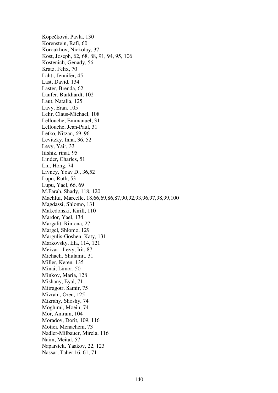Kopečková, Pavla, 130 Korenstein, Rafi, 60 Koroukhov, Nickolay, 37 Kost, Joseph, 62, 68, 88, 91, 94, 95, 106 Kostenich, Genady, 56 Kratz, Felix, 70 Lahti, Jennifer, 45 Last, David, 134 Laster, Brenda, 62 Laufer, Burkhardt, 102 Laut, Natalia, 125 Lavy, Eran, 105 Lehr, Claus-Michael, 108 Lellouche, Emmanuel, 31 Lellouche, Jean-Paul, 31 Letko, Nitzan, 69, 96 Levitzky, Inna, 36, 52 Levy, Yair, 33 lifshiz, rinat, 95 Linder, Charles, 51 Liu, Hong, 74 Livney, Yoav D., 36,52 Lupu, Ruth, 53 Lupu, Yael, 66, 69 M.Farah, Shady, 118, 120 Machluf, Marcelle, 18,66,69,86,87,90,92,93,96,97,98,99,100 Magdassi, Shlomo, 131 Makedonski, Kirill, 110 Mardor, Yael, 134 Margalit, Rimona, 27 Margel, Shlomo, 129 Margulis-Goshen, Katy, 131 Markovsky, Ela, 114, 121 Meivar - Levy, Irit, 87 Michaeli, Shulamit, 31 Miller, Keren, 135 Minai, Limor, 50 Minkov, Maria, 128 Mishany, Eyal, 71 Mitragotr, Samir, 75 Mizrahi, Oren, 125 Mizrahy, Shoshy, 74 Moghimi, Moein, 74 Mor, Amram, 104 Moradov, Dorit, 109, 116 Motiei, Menachem, 73 Nadler-Milbauer, Mirela, 116 Naim, Meital, 57 Naparstek, Yaakov, 22, 123 Nassar, Taher,16, 61, 71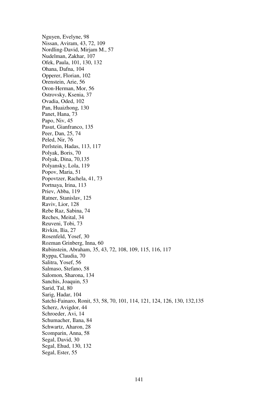Nguyen, Evelyne, 98 Nissan, Aviram, 43, 72, 109 Nordling-David, Mirjam M., 57 Nudelman, Zakhar, 107 Ofek, Paula, 101, 130, 132 Ohana, Dafna, 104 Opperer, Florian, 102 Orenstein, Arie, 56 Oron-Herman, Mor, 56 Ostrovsky, Ksenia, 37 Ovadia, Oded, 102 Pan, Huaizhong, 130 Panet, Hana, 73 Papo, Niv, 45 Pasut, Gianfranco, 135 Peer, Dan, 25, 74 Peled, Nir, 76 Perlstein, Hadas, 113, 117 Polyak, Boris, 70 Polyak, Dina, 70,135 Polyansky, Lola, 119 Popov, Maria, 51 Popovtzer, Rachela, 41, 73 Portnaya, Irina, 113 Priev, Abba, 119 Ratner, Stanislav, 125 Raviv, Lior, 128 Rebe Raz, Sabina, 74 Reches, Meital, 34 Reuveni, Tobi, 73 Rivkin, Ilia, 27 Rosenfeld, Yosef, 30 Rozman Grinberg, Inna, 60 Rubinstein, Abraham, 35, 43, 72, 108, 109, 115, 116, 117 Ryppa, Claudia, 70 Salitra, Yosef, 56 Salmaso, Stefano, 58 Salomon, Sharona, 134 Sanchis, Joaquin, 53 Sarid, Tal, 80 Sarig, Hadar, 104 Satchi-Fainaro, Ronit, 53, 58, 70, 101, 114, 121, 124, 126, 130, 132,135 Scherz, Avigdor, 44 Schroeder, Avi, 14 Schumacher, Ilana, 84 Schwartz, Aharon, 28 Scomparin, Anna, 58 Segal, David, 30 Segal, Ehud, 130, 132 Segal, Ester, 55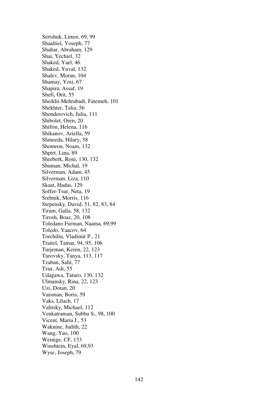Sertshuk, Limor, 69, 99 Shaaltiel, Yoseph, 77 Shahar, Abraham, 129 Shai, Yechiel, 32 Shaked, Yael, 46 Shaked, Yuval, 132 Shalev, Moran, 104 Shamay, Yosi, 67 Shapira, Assaf, 19 Shefi, Orit, 55 Sheikhi-Mehrabadi, Fatemeh, 101 Shekhter, Talia, 56 Shenderovich, Julia, 111 Shibolet, Oren, 20 Shifrin, Helena, 116 Shikanov, Ariella, 59 Shmeeda, Hilary, 58 Shomron, Noam, 132 Shpirt, Lina, 89 Shreberk, Roni, 130, 132 Shuman, Michal, 19 Silverman, Adam, 45 Silverman, Liza, 110 Skaat, Hadas, 129 Soffer-Tsur, Neta, 19 Srebnik, Morris, 116 Stepensky, David, 51, 82, 83, 84 Tiram, Galia, 58, 132 Tirosh, Boaz, 20, 108 Toledano Furman, Naama, 69,99 Toledo, Yaacov, 64 Torchilin, Vladimir P., 21 Traitel, Tamar, 94, 95, 106 Turjeman, Keren, 22, 123 Turovsky, Tanya, 113, 117 Tzaban, Salit, 77 Tzur, Adi, 55 Udagawa, Taturo, 130, 132 Ulmansky, Rina, 22, 123 Uzi, Dotan, 20 Vaisman, Boris, 59 Vaks, Lilach, 17 Valitsky, Michael, 112 Venkatraman, Subbu S., 98, 100 Vicent, Maria J., 53 Waknine, Judith, 22 Wang, Yao, 100 Weinige, CF, 133 Winshtein, Eyal, 69,93 Wyse, Joseph, 79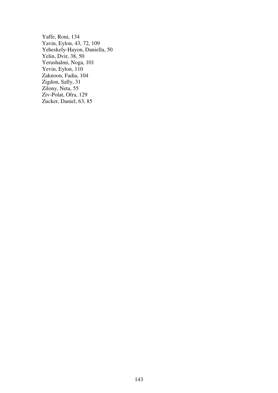Yaffe, Roni, 134 Yavin, Eylon, 43, 72, 109 Yeheskely-Hayon, Daniella, 50 Yelin, Dvir, 38, 50 Yerushalmi, Noga, 101 Yevin, Eylon, 110 Zaknoon, Fadia, 104 Zigdon, Sally, 31 Zilony, Neta, 55 Ziv-Polat, Ofra, 129 Zucker, Daniel, 63, 85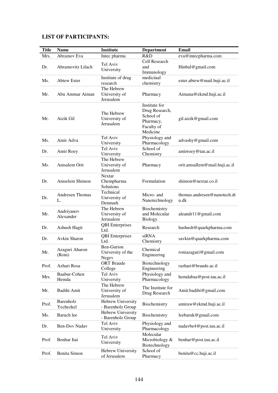# **LIST OF PARTICIPANTS:**

| <b>Title</b> | <b>Name</b>                           | <b>Institute</b>                                | <b>Department</b>                                                                   | <b>Email</b>                        |
|--------------|---------------------------------------|-------------------------------------------------|-------------------------------------------------------------------------------------|-------------------------------------|
| Mrs.         | Abramov Eva                           | Intec pharma                                    | R&D                                                                                 | eva@intecpharma.com                 |
| Dr.          | Abramovitz Lilach                     | Tel Aviv<br>University                          | Cell Research<br>and<br>Immunology                                                  | Hinbal@gmail.com                    |
| Ms.          | <b>Abtew Ester</b>                    | Institute of drug<br>research                   | medicinal<br>chemistry                                                              | ester.abtew@mail.huji.ac.il         |
| Mr.          | Abu Ammar Aiman                       | The Hebrew<br>University of<br>Jerusalem        | Pharmacy                                                                            | Aimana@ekmd.huji.ac.il              |
| Mr.          | Aizik Gil                             | The Hebrew<br>University of<br>Jerusalem        | Institute for<br>Drug Research,<br>School of<br>Pharmacy,<br>Faculty of<br>Medicine | gil.aizik@gmail.com                 |
| Ms.          | Amir Adva                             | Tel Aviv<br>University                          | Physiology and<br>Pharmacology                                                      | advashy@gmail.com                   |
| Dr.          | Amir Roey                             | Tel Aviv<br>University                          | School of<br>Chemistry                                                              | amirroey@tau.ac.il                  |
| Ms.          | Amsalem Orit                          | The Hebrew<br>University of<br>Jerusalem        | Pharmacy                                                                            | orit.amsallem@mail.huji.ac.il       |
| Dr.          | Amselem Shimon                        | Nextar<br>Chempharma<br>Solutions               | Formulation                                                                         | shimon@nextar.co.il                 |
| Dr.          | <b>Andresen Thomas</b><br>L.          | Technical<br>University of<br>Denmark           | Micro- and<br>Nanotechnology                                                        | thomas.andresen@nanotech.dt<br>u.dk |
| Mr.          | Andriyanov<br>Alexander               | The Hebrew<br>University of<br>Jerusalem        | Biochemistry<br>and Molecular<br><b>Biology</b>                                     | aleandr11@gmail.com                 |
| Dr.          | Ashush Hagit                          | <b>QBI</b> Enterprises<br>Ltd.                  | Research                                                                            | hashush@quarkpharma.com             |
| Dr.          | Avkin Sharon                          | <b>QBI</b> Enterprises<br>Ltd.                  | siRNA<br>Chemistry                                                                  | savkin@quarkpharma.com              |
| Mr.          | Azaguri Aharon<br>(Kon <sub>1</sub> ) | <b>Ben-Gurion</b><br>University of the<br>Negev | Chemical<br>Engineering                                                             | roniazaguri@gmail.com               |
| Prof.        | Azhari Rosa                           | <b>ORT</b> Braude<br>College                    | Biotechnology<br>Engineering                                                        | razhari@braude.ac.il                |
| Mrs.         | Baabur-Cohen<br>Hemda                 | Tel Aviv<br>University                          | Physiology and<br>Pharmacology                                                      | hemdabaa@post.tau.ac.il             |
| Mr.          | Badihi Amit                           | The Hebrew<br>University of<br>Jerusalem        | The Institute for<br>Drug Research                                                  | Amit.badihi@gmail.com               |
| Prof.        | Barenholz<br>Yechezkel                | Hebrew University<br>- Barenholz Group          | Biochemistry                                                                        | amiraw@ekmd.huji.ac.il              |
| Ms.          | Baruch lee                            | Hebrew University<br>- Barenholz Group          | Biochemistry                                                                        | leebaruk@gmail.com                  |
| Dr.          | Ben-Dov Nadav                         | Tel Aviv<br>University                          | Physiology and<br>Pharmacology                                                      | nadavbe4@post.tau.ac.il             |
| Prof.        | Benhar Itai                           | Tel Aviv<br>University                          | Molecular<br>Microbiology &<br>Biotechnology                                        | benhar@post.tau.ac.il               |
| Prof.        | Benita Simon                          | Hebrew University<br>of Jerusalem               | School of<br>Pharmacy                                                               | benita@cc.huji.ac.il                |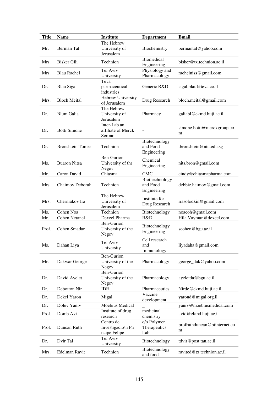| Title | <b>Name</b>             | <b>Institute</b>                   | <b>Department</b>   | Email                        |
|-------|-------------------------|------------------------------------|---------------------|------------------------------|
|       |                         | The Hebrew                         |                     |                              |
| Mr.   | Berman Tal              | University of                      | Biochemistry        | bermantal@yahoo.com          |
|       |                         | Jerusalem                          |                     |                              |
|       |                         |                                    | <b>Biomedical</b>   |                              |
| Mrs.  | <b>Bisker Gili</b>      | Technion                           | Engineering         | bisker@tx.technion.ac.il     |
|       |                         | Tel Aviv                           | Physiology and      |                              |
| Mrs.  | <b>Blau Rachel</b>      | University                         | Pharmacology        | rachelniss@gmail.com         |
|       |                         | Teva                               |                     |                              |
| Dr.   | <b>Blau Sigal</b>       | parmaceutical                      | Generic R&D         | sigal.blau@teva.co.il        |
|       |                         | industries                         |                     |                              |
|       |                         | Hebrew University                  |                     |                              |
| Mrs.  | <b>Bloch Meital</b>     | of Jerusalem                       | Drug Research       | bloch.meital@gmail.com       |
|       |                         | The Hebrew                         |                     |                              |
| Dr.   | Blum Galia              | University of                      | Pharmacy            | galiabl@ekmd.huji.ac.il      |
|       |                         | Jerusalem                          |                     |                              |
|       |                         | Inter-Lab an                       |                     |                              |
| Dr.   | <b>Botti Simone</b>     | affiliate of Merck                 |                     | simone.botti@merckgroup.co   |
|       |                         | Serono                             |                     | m                            |
|       |                         |                                    | Biotechnology       |                              |
| Dr.   | <b>Bronshtein Tomer</b> | Technion                           | and Food            | tbronshtein@ntu.edu.sg       |
|       |                         |                                    | Engineering         |                              |
|       |                         | Ben-Gurion                         | Chemical            |                              |
| Ms.   | <b>Buaron Nitsa</b>     | University of thr                  | Engineering         | nits.bron@gmail.com          |
|       |                         | Negev                              |                     |                              |
| Mr.   | Caron David             | Chiasma                            | <b>CMC</b>          | cindy@chiasmapharma.com      |
|       |                         |                                    | Biothechnology      |                              |
| Mrs.  | Chaimov Deborah         | Technion                           | and Food            | debbie.haimov@gmail.com      |
|       |                         |                                    | Engineering         |                              |
|       |                         | The Hebrew                         | Institute for       |                              |
| Mrs.  | Cherniakov Ira          | University of                      | Drug Research       | irasolodkin@gmail.com        |
|       |                         | Jerusalem                          |                     |                              |
| Ms.   | Cohen Noa               | Technion                           | Biotechnology       | noacoh@gmail.com             |
| Mr.   | <b>Cohen Netanel</b>    | Dexcel Pharma                      | R&D                 | Hila.Vayman@dexcel.com       |
|       |                         | Ben-Gurion                         | Biotechnology       |                              |
| Prof. | Cohen Smadar            | University of the                  | Engineering         | scohen@bgu.ac.il             |
|       |                         | Negev                              |                     |                              |
|       |                         | Tel Aviv                           | Cell research       |                              |
| Ms.   | Dahan Liya              | University                         | and                 | liyadaha@gmail.com           |
|       |                         |                                    | Immunology          |                              |
|       |                         | <b>Ben-Gurion</b>                  |                     |                              |
| Mr.   | Dakwar George           | University of the                  | Pharmacology        | george_dak@yahoo.com         |
|       |                         | Negev                              |                     |                              |
|       |                         | Ben-Gurion                         |                     |                              |
| Dr.   | David Ayelet            | University of the                  | Pharmacology        | ayeletda@bgu.ac.il           |
|       |                         | Negev                              |                     |                              |
| Dr.   | Debotton Nir            | <b>IDR</b>                         | Pharmaceutics       | Nirde@ekmd.huji.ac.il        |
| Dr.   | Dekel Yaron             | Migal                              | Vaccine             | yarond@migal.org.il          |
|       | Dolev Yaniv             | Moebius Medical                    | development         |                              |
| Dr.   |                         |                                    |                     | yaniv@moebiusmedical.com     |
| Prof. | Domb Avi                | Institute of drug                  | medicinal           | avid@ekmd.huji.ac.il         |
|       |                         | research                           | chemistry           |                              |
| Prof. | Duncan Ruth             | Centro de                          | c/o Polymer         | profruthduncan@btinternet.co |
|       |                         | Investigacio3n Pri<br>ncipe Felipe | Therapeutics<br>Lab | m                            |
|       |                         | Tel Aviv                           |                     |                              |
| Dr.   | Dvir Tal                | University                         | Biotechnology       | tdvir@post.tau.ac.il         |
|       |                         |                                    | Biotechnology       |                              |
| Mrs.  | Edelman Ravit           | Technion                           | and food            | ravited@tx.technion.ac.il    |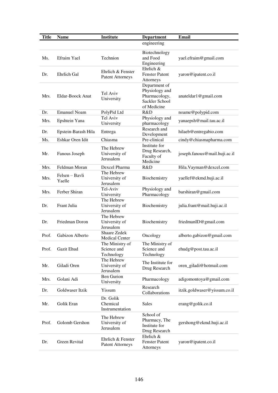| <b>Title</b> | <b>Name</b>              | <b>Institute</b>                             | <b>Department</b>                                                                 | <b>Email</b>                  |
|--------------|--------------------------|----------------------------------------------|-----------------------------------------------------------------------------------|-------------------------------|
|              |                          |                                              | engineering                                                                       |                               |
| Ms.          | Efraim Yael              | Technion                                     | Biotechnology<br>and Food<br>Engineering                                          | yael.efraim@gmail.com         |
| Dr.          | Ehrlich Gal              | Ehrlich & Fenster<br><b>Patent Attorneys</b> | Ehrlich &<br><b>Fenster Patent</b><br>Attorneys                                   | yaron@ipatent.co.il           |
| Mrs.         | Eldar-Boock Anat         | Tel Aviv<br>University                       | Department of<br>Physiology and<br>Pharmacology,<br>Sackler School<br>of Medicine | anateldar1@gmail.com          |
| Dr.          | <b>Emanuel Noam</b>      | PolyPid Ltd                                  | R&D                                                                               | noame@polypid.com             |
| Mrs.         | Epshtein Yana            | Tel Aviv<br>University                       | Physiology and<br>pharmacology                                                    | yanaepsh@mail.tau.ac.il       |
| Dr.          | Epstein-Barash Hila      | Entrega                                      | Research and<br>Development                                                       | hilaeb@entregabio.com         |
| Ms.          | Eshkar Oren Idit         | Chiasma                                      | Pre-clinical                                                                      | cindy@chiasmapharma.com       |
| Mr.          | Fanous Joseph            | The Hebrew<br>University of<br>Jerusalem     | Institute for<br>Drug Research,<br>Faculty of<br>Medicine                         | joseph.fanous@mail.huji.ac.il |
| Mrs.         | Feldman Moran            | Dexcel Pharma                                | R&D                                                                               | Hila. Vayman@dexcel.com       |
| Mrs.         | Felsen – Bayli<br>Yaelle | The Hebrew<br>University of<br>Jerusalem     | Biochemistry                                                                      | yaellef@ekmd.huji.ac.il       |
| Mrs.         | Ferber Shiran            | Tel-Aviv<br>University                       | Physiology and<br>Pharmacology                                                    | barshiran@gmail.com           |
| Dr.          | Frant Julia              | The Hebrew<br>University of<br>Jerusalem     | Biochemistry                                                                      | julia.frant@mail.huji.ac.il   |
| Dr.          | Friedman Doron           | The Hebrew<br>University of<br>Jerusalem     | Biochemistry                                                                      | friedmanID@gmail.com          |
| Prof.        | Gabizon Alberto          | <b>Shaare Zedek</b><br><b>Medical Center</b> | Oncology                                                                          | alberto.gabizon@gmail.com     |
| Prof.        | Gazit Ehud               | The Ministry of<br>Science and<br>Technology | The Ministry of<br>Science and<br>Technology                                      | ehudg@post.tau.ac.il          |
| Mr.          | Giladi Oren              | The Hebrew<br>University of<br>Jerusalem     | The Institute for<br>Drug Research                                                | oren_giladi@hotmail.com       |
| Mrs.         | Golani Adi               | <b>Ben Gurion</b><br>University              | Pharmacology                                                                      | adigomontoya@gmail.com        |
| Dr.          | Goldwaser Itzik          | Yissum                                       | Research<br>Collaborations                                                        | itzik.goldwaser@yissum.co.il  |
| Mr.          | Golik Eran               | Dr. Golik<br>Chemical<br>Instrumentation     | Sales                                                                             | erang@golik.co.il             |
| Prof.        | Golomb Gershon           | The Hebrew<br>University of<br>Jerusalem     | School of<br>Pharmacy, The<br>Institute for<br>Drug Research                      | gershong@ekmd.huji.ac.il      |
| Dr.          | Green Revital            | Ehrlich & Fenster<br><b>Patent Attorneys</b> | Ehrlich $&$<br><b>Fenster Patent</b><br>Attorneys                                 | yaron@ipatent.co.il           |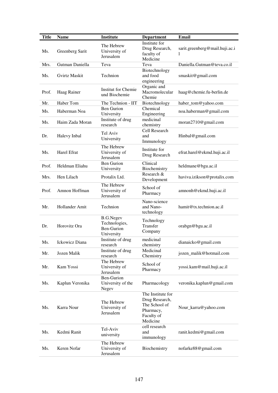| <b>Title</b> | <b>Name</b>     | <b>Institute</b>                                              | <b>Department</b>                                                                           | <b>Email</b>                   |
|--------------|-----------------|---------------------------------------------------------------|---------------------------------------------------------------------------------------------|--------------------------------|
| Ms.          | Greenberg Sarit | The Hebrew<br>University of<br>Jerusalem                      | Institute for<br>Drug Research,<br>faculty of<br>Medicine                                   | sarit.greenberg@mail.huji.ac.i |
| Mrs.         | Gutman Daniella | Teva                                                          | Teva                                                                                        | Daniella.Gutman@teva.co.il     |
| Ms.          | Gvirtz Maskit   | Technion                                                      | Biotechnology<br>and food<br>engineering                                                    | smaskit@gmail.com              |
| Prof.        | Haag Rainer     | Institut for Chemie<br>und Biochemie                          | Organic and<br>Macromolecular<br>Chemie                                                     | haag@chemie.fu-berlin.de       |
| Mr.          | Haber Tom       | The Technion - IIT                                            | Biotechnology                                                                               | haber_tom@yahoo.com            |
| Ms.          | Haberman Noa    | <b>Ben Gurion</b><br>University                               | Chemical<br>Engineering                                                                     | noa.haberman@gmail.com         |
| Ms.          | Haim Zada Moran | Institute of drug<br>research                                 | medicinal<br>chemistry                                                                      | moran2710@gmail.com            |
| Dr.          | Halevy Inbal    | Tel Aviv<br>University                                        | Cell Research<br>and<br>Immunology                                                          | Hinbal@gmail.com               |
| Ms.          | Harel Efrat     | The Hebrew<br>University of<br>Jerusalem                      | Institute for<br>Drug Research                                                              | efrat.harel@ekmd.huji.ac.il    |
| Prof.        | Heldman Eliahu  | <b>Ben Gurion</b><br>University                               | Clinical<br>Biochemistry                                                                    | heldmane@bgu.ac.il             |
| Mrs.         | Hen Lilach      | Protalix Ltd.                                                 | Research &<br>Development                                                                   | haviva.izikson@protalix.com    |
| Prof.        | Amnon Hoffman   | The Hebrew<br>University of<br>Jerusalem                      | School of<br>Pharmacy                                                                       | amnonh@ekmd.huji.ac.il         |
| Mr.          | Hollander Amit  | Technion                                                      | Nano-science<br>and Nano-<br>technology                                                     | hamit@tx.technion.ac.il        |
| Dr.          | Horovitz Ora    | <b>B.G.Negev</b><br>Technologies,<br>Ben-Gurion<br>University | Technology<br>Transfer<br>Company                                                           | orabgn@bgu.ac.il               |
| Ms.          | Ickowicz Diana  | Institute of drug<br>research                                 | medicinal<br>chemistry                                                                      | dianaicko@gmail.com            |
| Mr.          | Jozen Malik     | Institute of drug<br>research                                 | Medicinal<br>Chemistry                                                                      | jozen_malik@hotmail.com        |
| Mr.          | Kam Yossi       | The Hebrew<br>University of<br>Jerusalem                      | School of<br>Pharmacy                                                                       | yossi.kam@mail.huji.ac.il      |
| Ms.          | Kaplun Veronika | Ben-Gurion<br>University of the<br>Negev                      | Pharmacology                                                                                | veronika.kaplun@gmail.com      |
| Ms.          | Karra Nour      | The Hebrew<br>University of<br>Jerusalem                      | The Institute for<br>Drug Research,<br>The School of<br>Pharmacy,<br>Faculty of<br>Medicine | Nour_karra@yahoo.com           |
| Ms.          | Kedmi Ranit     | Tel-Aviv<br>university                                        | cell research<br>and<br>immunology                                                          | ranit.kedmi@gmail.com          |
| Ms.          | Keren Nofar     | The Hebrew<br>University of<br>Jerusalem                      | Biochemistry                                                                                | nofarke88@gmail.com            |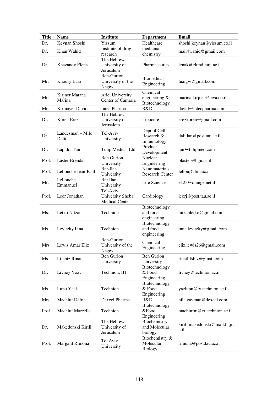| <b>Title</b> | <b>Name</b>               | <b>Institute</b>                                      | <b>Department</b>                             | <b>Email</b>                          |
|--------------|---------------------------|-------------------------------------------------------|-----------------------------------------------|---------------------------------------|
| Dr.          | Keynan Shoshi             | Yissum                                                | Healthcare                                    | shoshi.keynan@yissum.co.il            |
| Dr.          | Khan Wahid                | Institute of drug<br>research                         | medicinal<br>chemistry                        | mail4wahid@gmail.com                  |
| Dr.          | Khazanov Elena            | The Hebrew<br>University of<br>Jerusalem              | Pharmaceutics                                 | lenak@ekmd.huji.ac.il                 |
| Mr.          | Khoury Luai               | Ben-Gurion<br>University of the<br>Negev              | <b>Biomedical</b><br>Engineering              | luaigw@gmail.com                      |
| Mrs.         | Kirjner Matana<br>Marina  | Ariel University<br>Center of Camaria                 | Chemical<br>engineering &<br>Biotechnology    | marina.kirjner@teva.co.il             |
| Mr.          | Kirmayer David            | Intec Pharma                                          | R&D                                           | david@intecpharma.com                 |
| Dr.          | Koren Erez                | The Hebrew<br>University of<br>Jerusalem              | Lipocure                                      | erezkoren@gmail.com                   |
| Dr.          | Landesman – Milo<br>Dalit | Tel-Aviv<br>University                                | Dept.of Cell<br>Research &<br>Immunology      | dalitlan@post.tau.ac.il               |
| Dr.          | Lapidot Tair              | Tulip Medical Ltd                                     | Product<br>Development                        | tair@tulipmed.com                     |
| Prof.        | Laster Brenda             | <b>Ben Gurion</b><br>University                       | Nuclear<br>Engineering                        | blaster@bgu.ac.il                     |
| Prof.        | Lellouche Jean-Paul       | Bar-Ilan<br>University                                | Nanomaterials<br><b>Research Center</b>       | lellouj@biu.ac.il                     |
| Mr.          | Lellouche<br>Emmanuel     | Bar Ilan<br>University                                | Life Science                                  | e123@orange.net.il                    |
| Prof.        | Leor Jonathan             | Tel-Aviv<br>University Sheba<br><b>Medical Center</b> | Cardiology                                    | leorj@post.tau.ac.il                  |
| Ms.          | Letko Nitzan              | Technion                                              | Biotechnology<br>and food<br>engineering      | nitzanletko@gmail.com                 |
| Ms.          | Levitzky Inna             | Technion                                              | Biotechnology<br>and food<br>engineering      | inna.levitzky@gmail.com               |
| Mrs.         | Lewis Amar Eliz           | <b>Ben-Gurion</b><br>University of the<br>Negev       | Chemical<br>Engineering                       | eliz.lewis26@gmail.com                |
| Ms.          | Lifshiz Rinat             | <b>Ben Gurion</b><br>University                       | <b>Ben Gurion</b><br>University               | rinatlifshiz@gmail.com                |
| Dr.          | Livney Yoav               | Technion, IIT                                         | Biotechnology<br>& Food<br>Engineering        | livney@technion.ac.il                 |
| Ms.          | Lupu Yael                 | Technion                                              | Biotechnology<br>& Food<br>Engineering        | yaelupu@tx.technion.ac.il             |
| Mrs.         | Machluf Dafna             | Dexcel Pharma                                         | R&D                                           | hila.vayman@dexcel.com                |
| Prof.        | <b>Machluf Marcelle</b>   | Technion                                              | Biotechnology<br>&Food<br>Engineering         | machlufm@tx.technion.ac.il            |
| Dr.          | Makedonski Kirill         | The Hebrew<br>University of<br>Jerusalem              | Biochemistry<br>and Molecular<br>biology      | kirill.makedonski@mail.huji.a<br>c.il |
| Prof.        | Margalit Rimona           | Tel Aviv<br>University                                | Biochemistry &<br>Molecular<br><b>Biology</b> | rimona@post.tau.ac.il                 |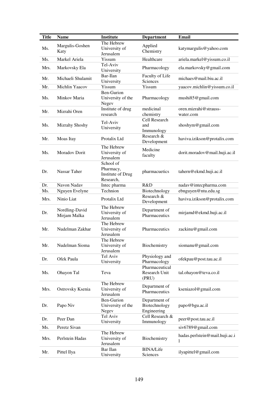| <b>Title</b> | <b>Name</b>                    | <b>Institute</b>                                         | <b>Department</b>                             | <b>Email</b>                        |
|--------------|--------------------------------|----------------------------------------------------------|-----------------------------------------------|-------------------------------------|
| Ms.          | Margulis-Goshen                | The Hebrew<br>University of                              | Applied                                       | katymargulis@yahoo.com              |
|              | Katy                           | Jerusalem                                                | Chemistry                                     |                                     |
| Ms.          | Markel Ariela                  | Yissum                                                   | Healthcare                                    | ariela.markel@yissum.co.il          |
| Mrs.         | Markovsky Ela                  | Tel-Aviv<br>University                                   | Pharmacology                                  | ela.markovsky@gmail.com             |
| Mr.          | Michaeli Shulamit              | Bar-Ilan<br>University                                   | Faculty of Life<br>Sciences                   | michaes@mail,biu.ac.i]              |
| Mr.          | Michlin Yaacov                 | Yissum                                                   | Yissum                                        | yaacov.michlin@yissum.co.il         |
| Ms.          | Minkov Maria                   | <b>Ben-Gurion</b><br>University of the<br>Negev          | Pharmacology                                  | mushi85@gmail.com                   |
| Mr.          | Mizrahi Oren                   | Institute of drug<br>research                            | medicinal<br>chemistry                        | oren.mizrahi@strauss-<br>water.com  |
| Ms.          | Mizrahy Shoshy                 | Tel-Aviv<br>University                                   | Cell Research<br>and<br>Immunology            | shoshym@gmail.com                   |
| Mr.          | Moas Itay                      | Protalix Ltd                                             | Research &<br>Development                     | haviva.izikson@protalix.com         |
| Ms.          | Moradov Dorit                  | The Hebrew<br>University of<br>Jerusalem                 | Medicine<br>faculty                           | dorit.moradov@mail.huji.ac.il       |
| Dr.          | Nassar Taher                   | School of<br>Pharmacy,<br>Institute of Drug<br>Research, | pharmacuetics                                 | tahern@ekmd.huji.ac.il              |
| Dr.          | Navon Nadav                    | Intec pharma                                             | R&D                                           | nadav@intecpharma.com               |
| Ms.          | Nguyen Evelyne                 | Technion                                                 | Biotechnology                                 | ebnguyen@ntu.edu.sg                 |
| Mrs.         | Ninio Liat                     | Protalix Ltd                                             | Research &<br>Development                     | haviva.izikson@protalix.com         |
| Dr.          | Nordling-David<br>Mirjam Malka | The Hebrew<br>University of<br>Jerusalem                 | Department of<br>Pharmaceutics                | mirjamd@ekmd.huji.ac.il             |
| Mr.          | Nudelman Zakhar                | The Hebrew<br>University of<br>Jerusalem                 | Pharmaceutics                                 | zackinu@gmail.com                   |
| Mr.          | Nudelman Sioma                 | The Hebrew<br>University of<br>Jerusalem                 | Biochemistry                                  | siomanu@gmail.com                   |
| Dr.          | Ofek Paula                     | Tel Aviv<br>University                                   | Physiology and<br>Pharmacology                | ofekpau@post.tau.ac.il              |
| Ms.          | Ohayon Tal                     | Teva                                                     | Pharmaceutical<br>Research Unit<br>(PRU)      | tal.ohayon@teva.co.il               |
| Mrs.         | Ostrovsky Ksenia               | The Hebrew<br>University of<br>Jerusalem                 | Department of<br>Pharmaceutics                | kseniazol@gmail.com                 |
| Dr.          | Papo Niv                       | <b>Ben-Gurion</b><br>University of the<br>Negev          | Department of<br>Biotechnology<br>Engineering | papo@bgu.ac.il                      |
| Dr.          | Peer Dan                       | Tel Aviv<br>University                                   | Cell Research &<br>Immunology                 | peer@post.tau.ac.il                 |
| Ms.          | Peretz Sivan                   |                                                          |                                               | siv6789@gmail.com                   |
| Mrs.         | Perlstein Hadas                | The Hebrew<br>University of<br>Jerusalem                 | Biochemistry                                  | hadas.perlstein@mail.huji.ac.i<br>1 |
| Mr.          | Pittel Ilya                    | Bar Ilan<br>University                                   | <b>BINA/Life</b><br>Sciences                  | ilyapittel@gmail.com                |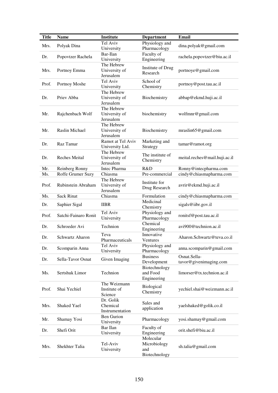| <b>Title</b> | <b>Name</b>            | <b>Institute</b>                         | <b>Department</b>                                 | Email                                  |
|--------------|------------------------|------------------------------------------|---------------------------------------------------|----------------------------------------|
| Mrs.         | Polyak Dina            | Tel Aviv<br>University                   | Physiology and<br>Pharmacology                    | dina.polyak@gmail.com                  |
| Dr.          | Popovtzer Rachela      | Bar-Ilan<br>University                   | Faculty of<br>Engineering                         | rachela.popovtzer@biu.ac.il            |
| Mrs.         | Portnoy Emma           | The Hebrew<br>University of<br>Jerusalem | <b>Institute of Drug</b><br>Research              | portnoye@gmail.com                     |
| Prof.        | Portnoy Moshe          | Tel Aviv<br>University                   | School of<br>Chemistry                            | portnoy@post.tau.ac.il                 |
| Dr.          | Priev Abba             | The Hebrew<br>University of<br>Jerusalem | Biochemistry                                      | abbap@ekmd.huji.ac.il                  |
| Mr.          | Rajchenbach Wolf       | The Hebrew<br>University of<br>Jerusalem | biochemistry                                      | wolfmnr@gmail.com                      |
| Mr.          | Raslin Michael         | The Hebrew<br>University of<br>Jerusalem | Biochemistry                                      | mraslin65@gmail.com                    |
| Dr.          | Raz Tamar              | Ramot at Tel Aviv<br>University Ltd.     | Marketing and<br>Strategy                         | tamar@ramot.org                        |
| Dr.          | <b>Reches Meital</b>   | The Hebrew<br>University of<br>Jerusalem | The institute of<br>Chemistry                     | meital.reches@mail.huji.ac.il          |
| Mr.          | Reinberg Ronny         | Intec Pharma                             | R&D                                               | Ronny@intecpharma.com                  |
| Ms.          | Roffe Grumer Suzy      | Chiasma                                  | Pre-commercial                                    | cindy@chiasmapharma.com                |
| Prof.        | Rubinstein Abraham     | The Hebrew<br>University of<br>Jerusalem | Institute for<br>Drug Research                    | avrir@ekmd.huji.ac.il                  |
| Ms.          | <b>Sack Rinat</b>      | Chiasma                                  | Formulation                                       | cindy@chiasmapharma.com                |
| Dr.          | Saphier Sigal          | <b>IIBR</b>                              | Medicinal<br>Chemistry                            | sigals@iibr.gov.il                     |
| Prof.        | Satchi-Fainaro Ronit   | Tel Aviv<br>University                   | Physiology and<br>Pharmacology                    | ronitsf@post.tau.ac.il                 |
| Dr.          | Schroeder Avi          | Technion                                 | Chemical<br>Engineering                           | avi900@technion.ac.il                  |
| Dr.          | <b>Schwartz Aharon</b> | Teva<br>Pharmaceuticals                  | Innovative<br>Ventures                            | Aharon.Schwartz@teva.co.il             |
| Dr.          | Scomparin Anna         | Tel Aviv<br>University                   | Physiology and<br>Pharmacology                    | anna.scomparin@gmail.com               |
| Dr.          | Sella-Tavor Osnat      | Given Imaging                            | <b>Business</b><br>Development                    | Osnat.Sella-<br>tavor@givenimaging.com |
| Ms.          | Sertshuk Limor         | Technion                                 | Biotechnology<br>and Food<br>Engineering          | limorser@tx.technion.ac.il             |
| Prof.        | Shai Yechiel           | The Weizmann<br>Institute of<br>Science  | <b>Biological</b><br>Chemistry                    | yechiel.shai@weizmann.ac.il            |
| Mrs.         | Shaked Yael            | Dr. Golik<br>Chemical<br>Instrumentation | Sales and<br>application                          | yaelshaked@golik.co.il                 |
| Mr.          | Shamay Yosi            | <b>Ben Gurion</b><br>University          | Pharmacology                                      | yosi.shamay@gmail.com                  |
| Dr.          | Shefi Orit             | Bar Ilan<br>University                   | Faculty of<br>Engineering                         | orit.shefi@biu.ac.il                   |
| Mrs.         | Shekhter Talia         | Tel-Aviv<br>University                   | Molecular<br>Microbiology<br>and<br>Biotechnology | sh.talia@gmail.com                     |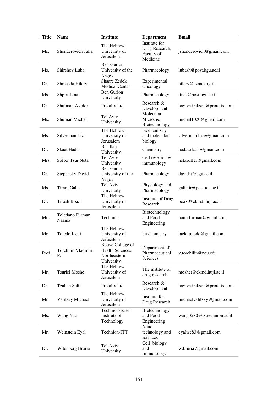| <b>Title</b> | <b>Name</b>              | <b>Institute</b>                                                   | <b>Department</b>                                         | <b>Email</b>                |
|--------------|--------------------------|--------------------------------------------------------------------|-----------------------------------------------------------|-----------------------------|
| Ms.          | Shenderovich Julia       | The Hebrew<br>University of<br>Jerusalem                           | Institute for<br>Drug Research,<br>Faculty of<br>Medicine | jshenderovich@gmail.com     |
| Ms.          | Shirshov Luba            | Ben-Gurion<br>University of the<br>Negev                           | Pharmacology                                              | lubash@post.bgu.ac.il       |
| Dr.          | Shmeeda Hilary           | Shaare Zedek<br><b>Medical Center</b>                              | Experimental<br>Oncology                                  | hilary@szmc.org.il          |
| Ms.          | Shpirt Lina              | <b>Ben Gurion</b><br>University                                    | Pharmacology                                              | linas@post.bgu.ac.il        |
| Dr.          | Shulman Avidor           | Protalix Ltd                                                       | Research &<br>Development                                 | haviva.izikson@protalix.com |
| Ms.          | Shuman Michal            | Tel Aviv<br>University                                             | Molecular<br>Micro. &<br>Biotechnology                    | michal1020@gmail.com        |
| Ms.          | Silverman Liza           | The Hebrew<br>University of<br>Jerusalem                           | biochemistry<br>and molecular<br>biology                  | silverman.liza@gmail.com    |
| Dr.          | <b>Skaat Hadas</b>       | Bar-Ilan<br>University                                             | Chemistry                                                 | hadas.skaat@gmail.com       |
| Mrs.         | Soffer Tsur Neta         | Tel Aviv<br>University                                             | Cell research &<br>immunology                             | netasoffer@gmail.com        |
| Dr.          | <b>Stepensky David</b>   | Ben-Gurion<br>University of the<br>Negev                           | Pharmacology                                              | davidst@bgu.ac.il           |
| Ms.          | Tiram Galia              | Tel-Aviv<br>University                                             | Physiology and<br>Pharmacology                            | galiatir@post.tau.ac.il     |
| Dr.          | <b>Tirosh Boaz</b>       | The Hebrew<br>University of<br>Jerusalem                           | Institute of Drug<br>Research                             | boazt@ekmd.huji.ac.il       |
| Mrs.         | Toledano Furman<br>Naama | Technion                                                           | Biotechnology<br>and Food<br>Engineering                  | nami.furman@gmail.com       |
| Mr.          | Toledo Jacki             | The Hebrew<br>University of<br>Jerusalem                           | biochemistry                                              | jacki.toledo@gmail.com      |
| Prof.        | Torchilin Vladimir<br>Ρ. | Bouve College of<br>Health Sciences,<br>Northeastern<br>University | Department of<br>Pharmaceutical<br>Sciences               | v.torchilin@neu.edu         |
| Mr.          | <b>Tsuriel Moshe</b>     | The Hebrew<br>University of<br>Jerusalem                           | The institute of<br>drug research                         | moshet@ekmd.huji.ac.il      |
| Dr.          | Tzaban Salit             | Protalix Ltd                                                       | Research &<br>Development                                 | haviva.izikson@protalix.com |
| Mr.          | Valitsky Michael         | The Hebrew<br>University of<br>Jerusalem                           | Institute for<br>Drug Research                            | michaelvalitsky@gmail.com   |
| Ms.          | Wang Yao                 | Technion-Israel<br>Institute of<br>Technology                      | Biotechnology<br>and Food<br>Engineering                  | wang0580@tx.technion.ac.il  |
| Mr.          | Weinstein Eyal           | Technion-ITT                                                       | Nano<br>technology and<br>sciences                        | eyalwe83@gmail.com          |
| Dr.          | Witenberg Bruria         | Tel-Aviv<br>University                                             | Cell biology<br>and<br>Immunology                         | w.bruria@gmail.com          |